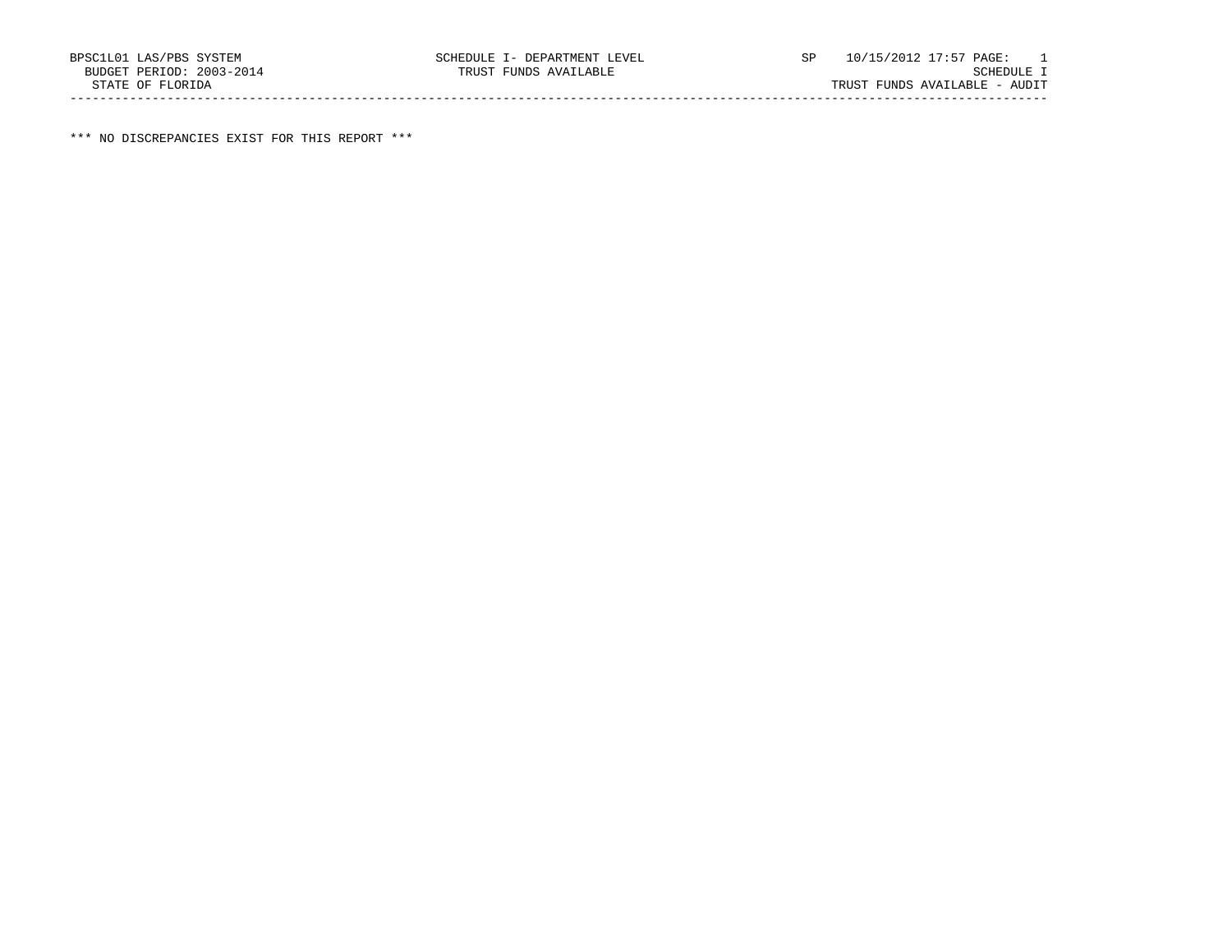\*\*\* NO DISCREPANCIES EXIST FOR THIS REPORT \*\*\*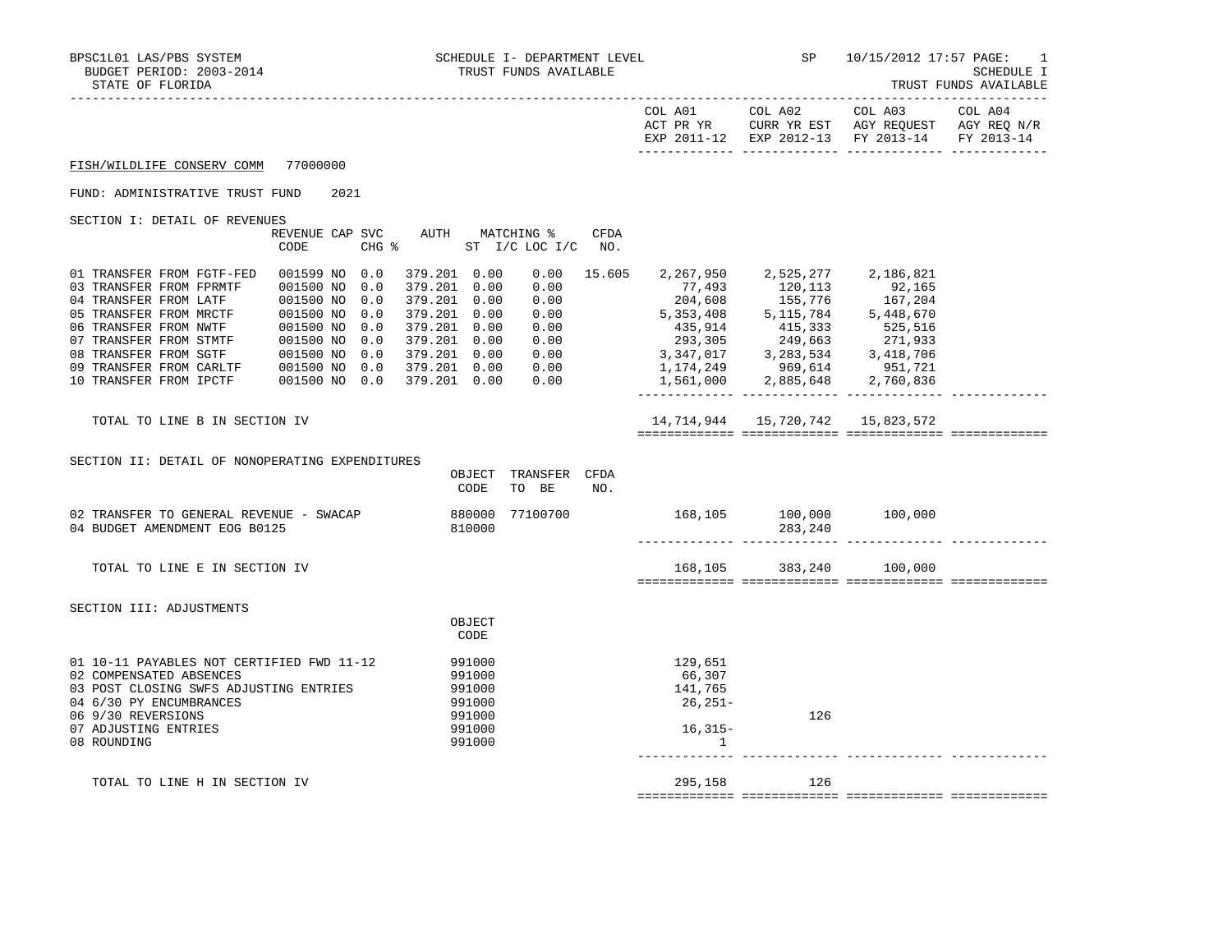| STATE OF FLORIDA                                                                                                                                                                                                                                                     |                                                                                                                                    |                                                                                                                                                                   |                                              |                    |                                                           |                                                                                                                                                                                                                                                                              |                                     | TRUST FUNDS AVAILABLE |
|----------------------------------------------------------------------------------------------------------------------------------------------------------------------------------------------------------------------------------------------------------------------|------------------------------------------------------------------------------------------------------------------------------------|-------------------------------------------------------------------------------------------------------------------------------------------------------------------|----------------------------------------------|--------------------|-----------------------------------------------------------|------------------------------------------------------------------------------------------------------------------------------------------------------------------------------------------------------------------------------------------------------------------------------|-------------------------------------|-----------------------|
|                                                                                                                                                                                                                                                                      |                                                                                                                                    |                                                                                                                                                                   |                                              |                    |                                                           | COL A01 COL A02 COL A03<br>ACT PR YR     CURR YR EST    AGY REQUEST<br>EXP 2011-12 EXP 2012-13 FY 2013-14 FY 2013-14                                                                                                                                                         | CURR YR EST AGY REQUEST AGY REQ N/R | COL A04               |
| FISH/WILDLIFE CONSERV COMM 77000000                                                                                                                                                                                                                                  |                                                                                                                                    |                                                                                                                                                                   |                                              |                    |                                                           |                                                                                                                                                                                                                                                                              |                                     |                       |
| FUND: ADMINISTRATIVE TRUST FUND                                                                                                                                                                                                                                      | 2021                                                                                                                               |                                                                                                                                                                   |                                              |                    |                                                           |                                                                                                                                                                                                                                                                              |                                     |                       |
| SECTION I: DETAIL OF REVENUES                                                                                                                                                                                                                                        | REVENUE CAP SVC AUTH MATCHING %<br>CODE                                                                                            | CHG % ST I/C LOC I/C                                                                                                                                              |                                              | <b>CFDA</b><br>NO. |                                                           |                                                                                                                                                                                                                                                                              |                                     |                       |
| 01 TRANSFER FROM FGTF-FED<br>03 TRANSFER FROM FPRMTF<br>04 TRANSFER FROM LATF<br>05 TRANSFER FROM MRCTF<br>06 TRANSFER FROM NWTF<br>07 TRANSFER FROM STMTF<br>08 TRANSFER FROM SGTF 001500 NO 0.0<br>09 TRANSFER FROM CARLTF 001500 NO 0.0<br>10 TRANSFER FROM IPCTF | 001599 NO 0.0<br>001500 NO<br>0.0<br>001500 NO<br>0.0<br>001500 NO<br>0.0<br>001500 NO<br>0.0<br>001500 NO<br>0.0<br>001500 NO 0.0 | 379.201 0.00<br>379.201 0.00<br>379.201 0.00<br>379.201 0.00<br>379.201 0.00<br>379.201  0.00  0.00<br>379.201  0.00  0.00<br>379.201  0.00  0.00<br>379.201 0.00 | 0.00<br>0.00<br>0.00<br>0.00<br>0.00<br>0.00 | 15.605             | 77,493<br>204,608<br>5,353,408                            | 2,267,950 2,525,277 2,186,821<br>120,113<br>155,776<br>5,115,784<br>415, 914<br>415, 333<br>525, 516<br>293, 305<br>249, 663<br>271, 933<br>3, 347, 017<br>3, 283, 534<br>3, 418, 706<br>1, 174, 249<br>969, 614<br>2, 751, 721<br>1, 561, 000<br>2, 885, 648<br>2, 760, 836 | 92,165<br>167,204<br>5,448,670      |                       |
| TOTAL TO LINE B IN SECTION IV                                                                                                                                                                                                                                        |                                                                                                                                    |                                                                                                                                                                   |                                              |                    |                                                           | 14,714,944 15,720,742 15,823,572                                                                                                                                                                                                                                             |                                     |                       |
| SECTION II: DETAIL OF NONOPERATING EXPENDITURES                                                                                                                                                                                                                      |                                                                                                                                    | CODE                                                                                                                                                              | OBJECT TRANSFER CFDA<br>TO BE                | NO.                |                                                           |                                                                                                                                                                                                                                                                              |                                     |                       |
| 02 TRANSFER TO GENERAL REVENUE - SWACAP<br>04 BUDGET AMENDMENT EOG B0125                                                                                                                                                                                             |                                                                                                                                    | 880000 77100700<br>810000                                                                                                                                         |                                              |                    |                                                           | 168,105 100,000 100,000<br>283,240                                                                                                                                                                                                                                           |                                     |                       |
| TOTAL TO LINE E IN SECTION IV                                                                                                                                                                                                                                        |                                                                                                                                    |                                                                                                                                                                   |                                              |                    | 168,105                                                   | 383,240                                                                                                                                                                                                                                                                      | 100,000                             |                       |
| SECTION III: ADJUSTMENTS                                                                                                                                                                                                                                             |                                                                                                                                    | OBJECT<br>CODE                                                                                                                                                    |                                              |                    |                                                           |                                                                                                                                                                                                                                                                              |                                     |                       |
| 01 10-11 PAYABLES NOT CERTIFIED FWD 11-12<br>02 COMPENSATED ABSENCES<br>03 POST CLOSING SWFS ADJUSTING ENTRIES<br>04 6/30 PY ENCUMBRANCES<br>06 9/30 REVERSIONS<br>07 ADJUSTING ENTRIES<br>08 ROUNDING                                                               |                                                                                                                                    | 991000<br>991000<br>991000<br>991000<br>991000<br>991000<br>991000                                                                                                |                                              |                    | 129,651<br>66,307<br>141,765<br>26,251-<br>$16,315-$<br>1 | 126                                                                                                                                                                                                                                                                          |                                     |                       |
| TOTAL TO LINE H IN SECTION IV                                                                                                                                                                                                                                        |                                                                                                                                    |                                                                                                                                                                   |                                              |                    | 295,158                                                   | 126                                                                                                                                                                                                                                                                          |                                     |                       |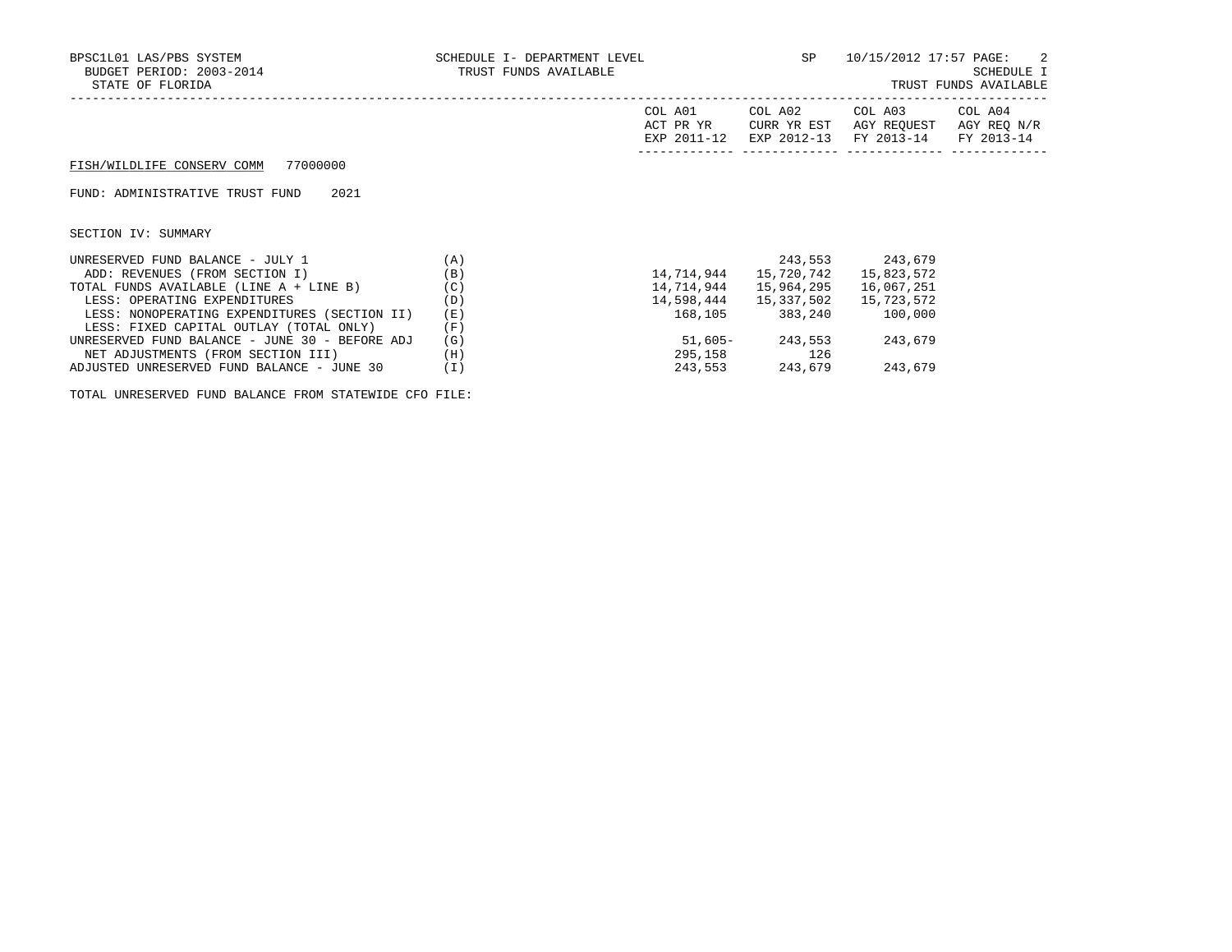| BPSC1L01 LAS/PBS SYSTEM<br>BUDGET PERIOD: 2003-2014<br>STATE OF FLORIDA | SCHEDULE I- DEPARTMENT LEVEL $SP$ $10/15/2012$ 17:57 PAGE: 2<br>TRUST FUNDS AVAILABLE |                      |                                      | SCHEDULE I<br>TRUST FUNDS AVAILABLE                                                                 |  |
|-------------------------------------------------------------------------|---------------------------------------------------------------------------------------|----------------------|--------------------------------------|-----------------------------------------------------------------------------------------------------|--|
|                                                                         |                                                                                       | COL A01<br>ACT PR YR | CURR YR EST                          | COL A02 COL A03 COL A04<br>AGY REQUEST AGY REQ N/R<br>EXP 2011-12 EXP 2012-13 FY 2013-14 FY 2013-14 |  |
| FISH/WILDLIFE CONSERV COMM 77000000                                     |                                                                                       |                      |                                      |                                                                                                     |  |
| 2021<br>FUND: ADMINISTRATIVE TRUST FUND                                 |                                                                                       |                      |                                      |                                                                                                     |  |
| SECTION IV: SUMMARY                                                     |                                                                                       |                      |                                      |                                                                                                     |  |
| (A)<br>UNRESERVED FUND BALANCE - JULY 1                                 |                                                                                       |                      |                                      | 243,553 243,679                                                                                     |  |
| ADD: REVENUES (FROM SECTION I)                                          | (B)                                                                                   | 14,714,944           | 15,720,742                           | 15,823,572                                                                                          |  |
| TOTAL FUNDS AVAILABLE (LINE A + LINE B) $(C)$                           |                                                                                       | 14,714,944           | 15,964,295                           | 16,067,251                                                                                          |  |
| LESS: OPERATING EXPENDITURES                                            | (D)                                                                                   |                      | 14,598,444   15,337,502   15,723,572 |                                                                                                     |  |
| LESS: NONOPERATING EXPENDITURES (SECTION II)                            | (E)                                                                                   |                      | 168,105 383,240 100,000              |                                                                                                     |  |
| LESS: FIXED CAPITAL OUTLAY (TOTAL ONLY)                                 | (F)                                                                                   |                      |                                      |                                                                                                     |  |
| UNRESERVED FUND BALANCE - JUNE 30 - BEFORE ADJ                          | (G)                                                                                   |                      | 51,605 - 243,553                     | 243,679                                                                                             |  |
| NET ADJUSTMENTS (FROM SECTION III)                                      | (H)                                                                                   |                      | 295,158 126                          |                                                                                                     |  |
| ADJUSTED UNRESERVED FUND BALANCE - JUNE 30                              | (I)                                                                                   |                      | 243,553 243,679                      | 243,679                                                                                             |  |

TOTAL UNRESERVED FUND BALANCE FROM STATEWIDE CFO FILE: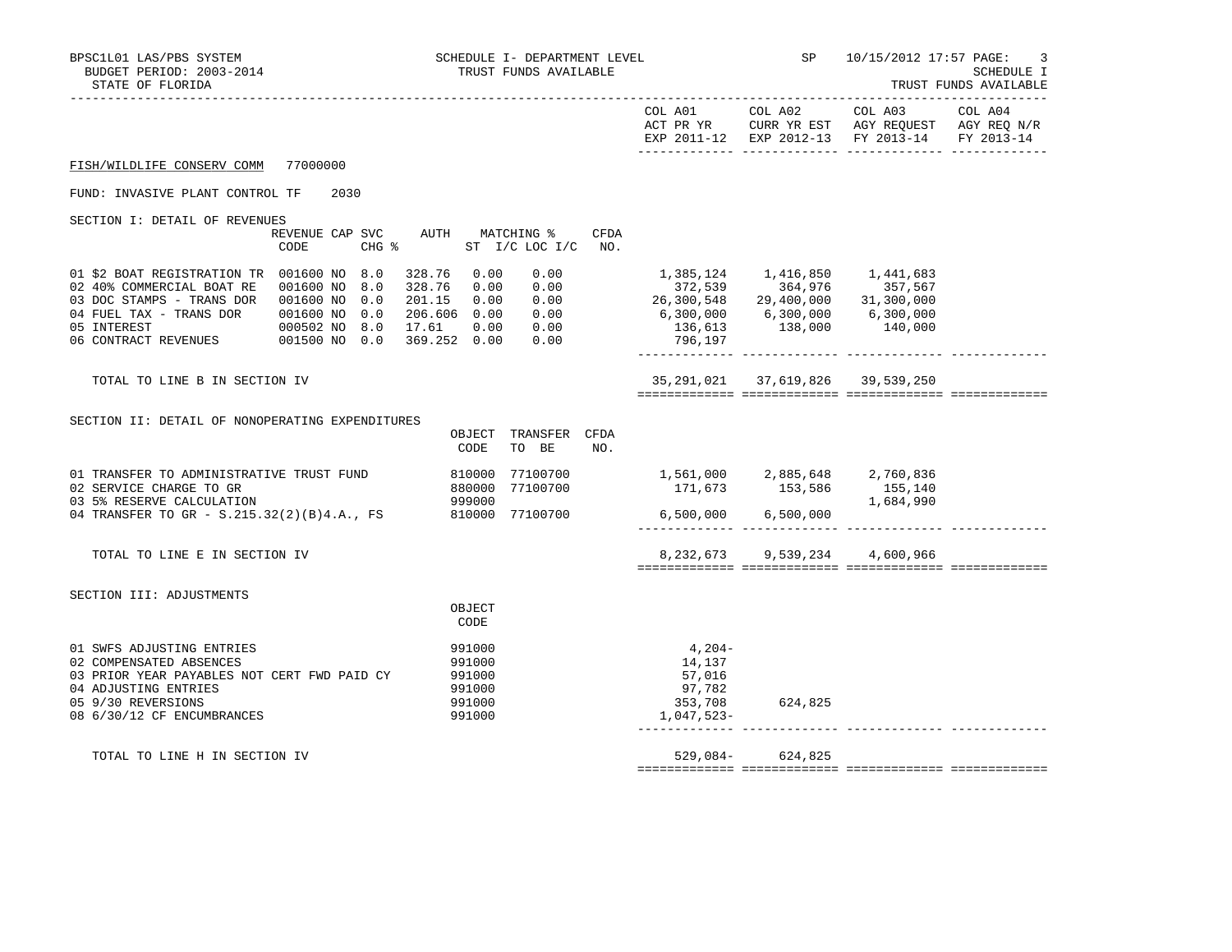| BPSC1L01 LAS/PBS SYSTEM<br>BUDGET PERIOD: 2003-2014<br>STATE OF FLORIDA                                                                                                                                            |                                            | SCHEDULE I- DEPARTMENT LEVEL<br>TRUST FUNDS AVAILABLE                                                                                 |                                                                               | SP                                                                                | 10/15/2012 17:57 PAGE:<br>3<br>SCHEDULE I<br>TRUST FUNDS AVAILABLE<br>-----------                                 |  |  |
|--------------------------------------------------------------------------------------------------------------------------------------------------------------------------------------------------------------------|--------------------------------------------|---------------------------------------------------------------------------------------------------------------------------------------|-------------------------------------------------------------------------------|-----------------------------------------------------------------------------------|-------------------------------------------------------------------------------------------------------------------|--|--|
|                                                                                                                                                                                                                    |                                            |                                                                                                                                       | COL A01 COL A02                                                               |                                                                                   | COL A03 COL A04<br>ACT PR YR CURR YR EST AGY REQUEST AGY REQ N/R<br>EXP 2011-12 EXP 2012-13 FY 2013-14 FY 2013-14 |  |  |
| FISH/WILDLIFE CONSERV COMM                                                                                                                                                                                         | 77000000                                   |                                                                                                                                       |                                                                               |                                                                                   |                                                                                                                   |  |  |
| FUND: INVASIVE PLANT CONTROL TF                                                                                                                                                                                    | 2030                                       |                                                                                                                                       |                                                                               |                                                                                   |                                                                                                                   |  |  |
| SECTION I: DETAIL OF REVENUES                                                                                                                                                                                      | REVENUE CAP SVC<br>$CHG$ $\approx$<br>CODE | AUTH MATCHING %<br>CFDA<br>ST I/C LOC I/C NO.                                                                                         |                                                                               |                                                                                   |                                                                                                                   |  |  |
| 01 \$2 BOAT REGISTRATION TR 001600 NO 8.0<br>02 40% COMMERCIAL BOAT RE  001600 NO 8.0<br>03 DOC STAMPS - TRANS DOR  001600 NO  0.0<br>04 FUEL TAX - TRANS DOR<br>05 INTEREST<br>06 CONTRACT REVENUES 001500 NO 0.0 | 001600 NO 0.0<br>000502 NO 8.0             | 328.76 0.00<br>0.00<br>328.76<br>0.00 0.00<br>201.15  0.00  0.00<br>206.606  0.00  0.00<br>0.00 0.00<br>17.61<br>369.252 0.00<br>0.00 | $26,300,548$ $29,400,000$ $31,300,000$<br>796,197                             | 372,539 364,976 357,567<br>$6,300,000$ $6,300,000$ $6,300,000$<br>136,613 138,000 | 140,000                                                                                                           |  |  |
| TOTAL TO LINE B IN SECTION IV                                                                                                                                                                                      |                                            |                                                                                                                                       |                                                                               | 35, 291, 021 37, 619, 826 39, 539, 250                                            |                                                                                                                   |  |  |
| SECTION II: DETAIL OF NONOPERATING EXPENDITURES                                                                                                                                                                    |                                            | OBJECT TRANSFER CFDA<br>CODE<br>TO BE<br>NO.                                                                                          |                                                                               |                                                                                   |                                                                                                                   |  |  |
| 01 TRANSFER TO ADMINISTRATIVE TRUST FUND<br>02 SERVICE CHARGE TO GR<br>03 5% RESERVE CALCULATION<br>04 TRANSFER TO GR - S.215.32(2)(B)4.A., FS                                                                     |                                            | 810000 77100700<br>880000 77100700<br>999000<br>810000 77100700                                                                       | 1,561,000 2,885,648 2,760,836<br>$171,673$ $153,586$ $155,140$<br>$1,684,990$ | $6,500,000$ $6,500,000$                                                           |                                                                                                                   |  |  |
| TOTAL TO LINE E IN SECTION IV                                                                                                                                                                                      |                                            |                                                                                                                                       |                                                                               | 8, 232, 673 9, 539, 234 4, 600, 966                                               |                                                                                                                   |  |  |
| SECTION III: ADJUSTMENTS                                                                                                                                                                                           |                                            | OBJECT<br>CODE                                                                                                                        |                                                                               |                                                                                   |                                                                                                                   |  |  |
| 01 SWFS ADJUSTING ENTRIES<br>02 COMPENSATED ABSENCES<br>03 PRIOR YEAR PAYABLES NOT CERT FWD PAID CY<br>04 ADJUSTING ENTRIES<br>05 9/30 REVERSIONS<br>08 6/30/12 CF ENCUMBRANCES                                    |                                            | 991000<br>991000<br>991000<br>991000<br>991000<br>991000                                                                              | $4,204-$<br>14,137<br>57,016<br>97,782<br>353,708<br>1,047,523-               | 624,825                                                                           |                                                                                                                   |  |  |
| TOTAL TO LINE H IN SECTION IV                                                                                                                                                                                      |                                            |                                                                                                                                       | $529,084-$                                                                    | 624,825                                                                           |                                                                                                                   |  |  |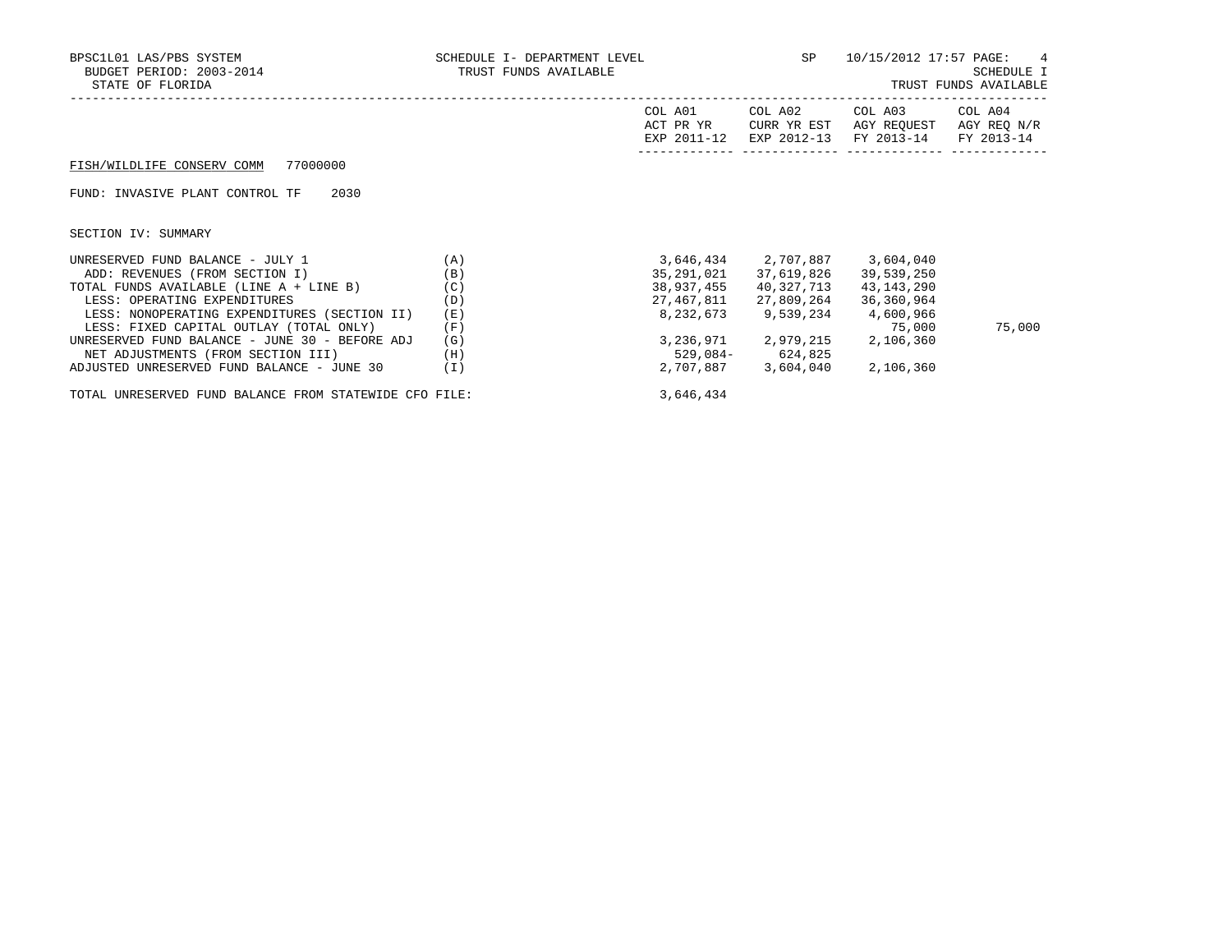| BPSC1L01 LAS/PBS SYSTEM<br>BUDGET PERIOD: 2003-2014<br>STATE OF FLORIDA                                                                                                                       | SCHEDULE I- DEPARTMENT LEVEL<br>TRUST FUNDS AVAILABLE |                                                     | <b>SP</b>                                                                            | 10/15/2012 17:57 PAGE:                              | 4<br>SCHEDULE I<br>TRUST FUNDS AVAILABLE |
|-----------------------------------------------------------------------------------------------------------------------------------------------------------------------------------------------|-------------------------------------------------------|-----------------------------------------------------|--------------------------------------------------------------------------------------|-----------------------------------------------------|------------------------------------------|
|                                                                                                                                                                                               |                                                       | COL A01<br>ACT PR YR<br>EXP 2011-12                 | COL A02<br>CURR YR EST<br>EXP 2012-13                                                | COL A03<br>AGY REOUEST<br>FY 2013-14                | COL A04<br>AGY REQ N/R<br>FY 2013-14     |
| 77000000<br>FISH/WILDLIFE CONSERV COMM                                                                                                                                                        |                                                       |                                                     |                                                                                      |                                                     |                                          |
| FUND: INVASIVE PLANT CONTROL TF<br>2030                                                                                                                                                       |                                                       |                                                     |                                                                                      |                                                     |                                          |
| SECTION IV: SUMMARY                                                                                                                                                                           |                                                       |                                                     |                                                                                      |                                                     |                                          |
| UNRESERVED FUND BALANCE - JULY 1<br>ADD: REVENUES (FROM SECTION I)<br>TOTAL FUNDS AVAILABLE (LINE A + LINE B)<br>LESS: OPERATING EXPENDITURES<br>LESS: NONOPERATING EXPENDITURES (SECTION II) | (A)<br>(B)<br>(C)<br>(D)<br>(E)                       | 35,291,021<br>38,937,455<br>27,467,811<br>8,232,673 | 3,646,434 2,707,887 3,604,040<br>37,619,826<br>40,327,713<br>27,809,264<br>9,539,234 | 39,539,250<br>43,143,290<br>36,360,964<br>4,600,966 |                                          |
| LESS: FIXED CAPITAL OUTLAY (TOTAL ONLY)<br>UNRESERVED FUND BALANCE - JUNE 30 - BEFORE ADJ<br>NET ADJUSTMENTS (FROM SECTION III)<br>ADJUSTED UNRESERVED FUND BALANCE - JUNE 30                 | (F)<br>(G)<br>(H)<br>$(\bot)$                         | 529,084-                                            | 3, 236, 971 2, 979, 215 2, 106, 360<br>624,825<br>2,707,887 3,604,040                | 75,000<br>2,106,360                                 | 75,000                                   |

TOTAL UNRESERVED FUND BALANCE FROM STATEWIDE CFO FILE: 3,646,434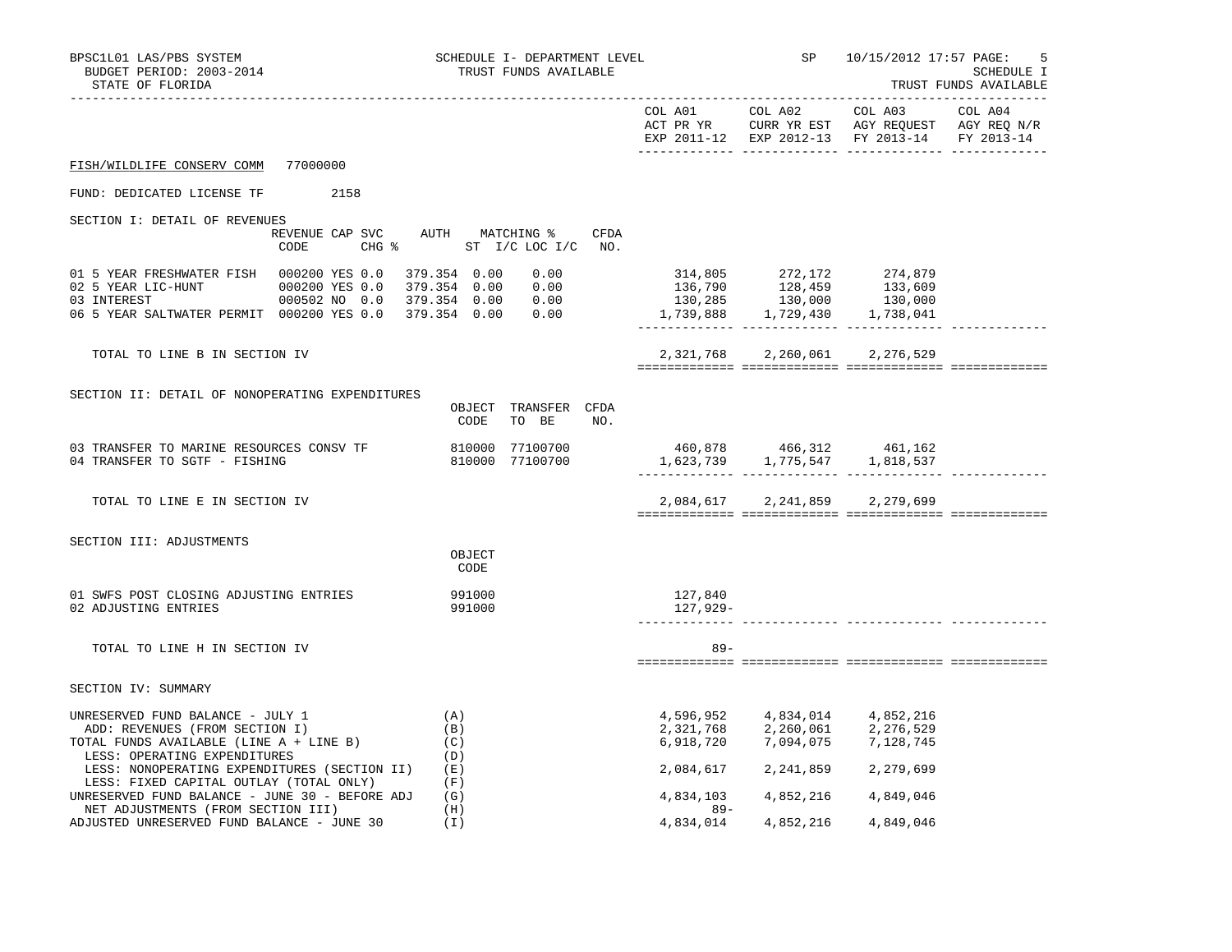| BPSC1L01 LAS/PBS SYSTEM<br>BUDGET PERIOD: 2003-2014<br>STATE OF FLORIDA                                                                                                                                                             |      | <b>SP</b><br>10/15/2012 17:57 PAGE:<br>5<br>SCHEDULE I<br>TRUST FUNDS AVAILABLE |                                                                                                                                                                                                                  |                                                                                                                                              |                                                                                                                                                            |  |
|-------------------------------------------------------------------------------------------------------------------------------------------------------------------------------------------------------------------------------------|------|---------------------------------------------------------------------------------|------------------------------------------------------------------------------------------------------------------------------------------------------------------------------------------------------------------|----------------------------------------------------------------------------------------------------------------------------------------------|------------------------------------------------------------------------------------------------------------------------------------------------------------|--|
|                                                                                                                                                                                                                                     |      |                                                                                 |                                                                                                                                                                                                                  |                                                                                                                                              | COL A01 COL A02 COL A03 COL A04<br>ACT PR YR $\,$ CURR YR EST $\,$ AGY REQUEST $\,$ AGY REQ $\,$ N/R $\,$<br>EXP 2011-12 EXP 2012-13 FY 2013-14 FY 2013-14 |  |
| FISH/WILDLIFE CONSERV COMM 77000000                                                                                                                                                                                                 |      |                                                                                 |                                                                                                                                                                                                                  |                                                                                                                                              |                                                                                                                                                            |  |
| FUND: DEDICATED LICENSE TF                                                                                                                                                                                                          | 2158 |                                                                                 |                                                                                                                                                                                                                  |                                                                                                                                              |                                                                                                                                                            |  |
| SECTION I: DETAIL OF REVENUES<br>CODE                                                                                                                                                                                               |      | REVENUE CAP SVC AUTH MATCHING % CFDA<br>CHG % ST I/C LOC I/C NO.                |                                                                                                                                                                                                                  |                                                                                                                                              |                                                                                                                                                            |  |
| 01 5 YEAR FRESHWATER FISH  000200 YES 0.0  379.354  0.00  0.00<br>02 5 YEAR LIC-HUNT 000200 YES 0.0 379.354 0.00 0.00<br>03 INTEREST 000502 NO 0.0 379.354 0.00 0.00<br>06 5 YEAR SALTWATER PERMIT 000200 YES 0.0 379.354 0.00 0.00 |      |                                                                                 | $\begin{array}{cccc} 314\,, 805 & 272\,, 172 & 274\,, 879 \\ 136\,, 790 & 128\,, 459 & 133\,, 609 \\ 130\,, 285 & 130\,, 000 & 130\,, 000 \\ 1\,, 739\,, 888 & 1\,, 729\,, 430 & 1\,, 738\,, 041 \\ \end{array}$ |                                                                                                                                              |                                                                                                                                                            |  |
| TOTAL TO LINE B IN SECTION IV                                                                                                                                                                                                       |      |                                                                                 |                                                                                                                                                                                                                  | 2,321,768 2,260,061 2,276,529                                                                                                                |                                                                                                                                                            |  |
| SECTION II: DETAIL OF NONOPERATING EXPENDITURES                                                                                                                                                                                     |      | OBJECT TRANSFER CFDA<br>CODE<br>TO BE NO.                                       |                                                                                                                                                                                                                  |                                                                                                                                              |                                                                                                                                                            |  |
| 03 TRANSFER TO MARINE RESOURCES CONSV TF<br>04 TRANSFER TO SGTF - FISHING                                                                                                                                                           |      | 810000 77100700<br>810000 77100700                                              |                                                                                                                                                                                                                  |                                                                                                                                              |                                                                                                                                                            |  |
| TOTAL TO LINE E IN SECTION IV                                                                                                                                                                                                       |      |                                                                                 |                                                                                                                                                                                                                  | 2,084,617 2,241,859 2,279,699                                                                                                                |                                                                                                                                                            |  |
| SECTION III: ADJUSTMENTS                                                                                                                                                                                                            |      | OBJECT<br>CODE                                                                  |                                                                                                                                                                                                                  |                                                                                                                                              |                                                                                                                                                            |  |
| 01 SWFS POST CLOSING ADJUSTING ENTRIES<br>02 ADJUSTING ENTRIES                                                                                                                                                                      |      | 991000<br>991000                                                                | 127,840<br>127,929-                                                                                                                                                                                              |                                                                                                                                              |                                                                                                                                                            |  |
| TOTAL TO LINE H IN SECTION IV                                                                                                                                                                                                       |      |                                                                                 | $89 -$                                                                                                                                                                                                           |                                                                                                                                              |                                                                                                                                                            |  |
| SECTION IV: SUMMARY                                                                                                                                                                                                                 |      |                                                                                 |                                                                                                                                                                                                                  |                                                                                                                                              |                                                                                                                                                            |  |
| UNRESERVED FUND BALANCE - JULY 1<br>ADD: REVENUES (FROM SECTION I)<br>TOTAL FUNDS AVAILABLE (LINE A + LINE B)<br>LESS: OPERATING EXPENDITURES<br>LESS: NONOPERATING EXPENDITURES (SECTION II)                                       |      | (A)<br>(B)<br>(C)<br>(D)<br>( E )                                               |                                                                                                                                                                                                                  | 4,596,952 4,834,014 4,852,216<br>2, 321, 768 2, 260, 061 2, 276, 529<br>6, 918, 720 7, 094, 075 7, 128, 745<br>2,084,617 2,241,859 2,279,699 |                                                                                                                                                            |  |
| LESS: FIXED CAPITAL OUTLAY (TOTAL ONLY)<br>UNRESERVED FUND BALANCE - JUNE 30 - BEFORE ADJ $(G)$<br>NET ADJUSTMENTS (FROM SECTION III)                                                                                               |      | (F)<br>(H)                                                                      | 4,834,103<br>$89-$                                                                                                                                                                                               | 4,852,216 4,849,046                                                                                                                          |                                                                                                                                                            |  |
| ADJUSTED UNRESERVED FUND BALANCE - JUNE 30                                                                                                                                                                                          |      | ( I )                                                                           | 4,834,014                                                                                                                                                                                                        | 4,852,216                                                                                                                                    | 4,849,046                                                                                                                                                  |  |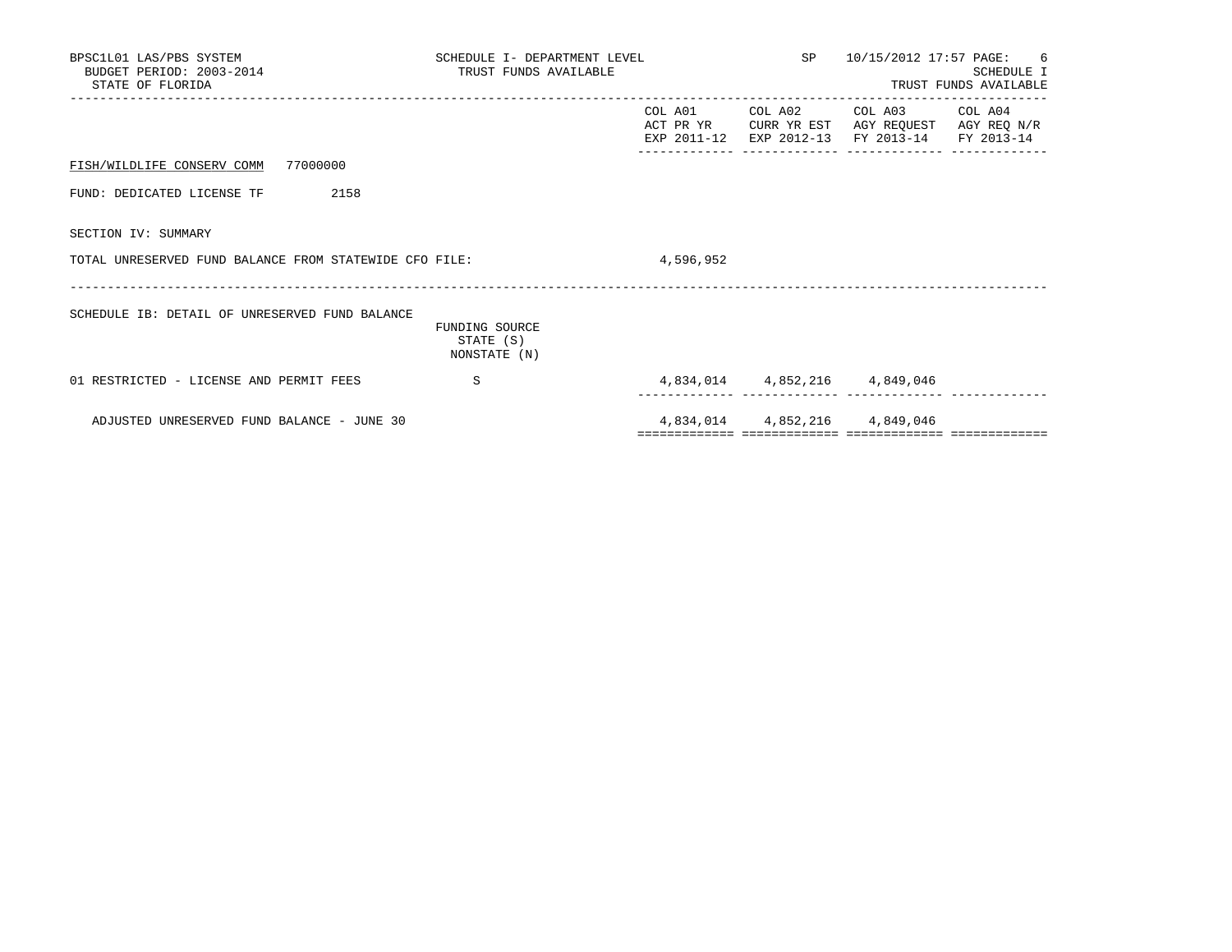| BPSC1L01 LAS/PBS SYSTEM<br>BUDGET PERIOD: 2003-2014<br>STATE OF FLORIDA | SCHEDULE I- DEPARTMENT LEVEL<br>TRUST FUNDS AVAILABLE |           |                               | SP 10/15/2012 17:57 PAGE: 6                                                                                               | <b>SCHEDULE I</b><br>TRUST FUNDS AVAILABLE |
|-------------------------------------------------------------------------|-------------------------------------------------------|-----------|-------------------------------|---------------------------------------------------------------------------------------------------------------------------|--------------------------------------------|
|                                                                         |                                                       | COL A01   |                               | COL A02 COL A03 COL A04<br>ACT PR YR CURR YR EST AGY REOUEST AGY REO N/R<br>EXP 2011-12 EXP 2012-13 FY 2013-14 FY 2013-14 |                                            |
| FISH/WILDLIFE CONSERV COMM 77000000                                     |                                                       |           |                               |                                                                                                                           |                                            |
| FUND: DEDICATED LICENSE TF<br>2158                                      |                                                       |           |                               |                                                                                                                           |                                            |
| SECTION IV: SUMMARY                                                     |                                                       |           |                               |                                                                                                                           |                                            |
| TOTAL UNRESERVED FUND BALANCE FROM STATEWIDE CFO FILE:                  |                                                       | 4,596,952 |                               |                                                                                                                           |                                            |
| SCHEDULE IB: DETAIL OF UNRESERVED FUND BALANCE                          | FUNDING SOURCE<br>STATE (S)<br>NONSTATE (N)           |           |                               |                                                                                                                           |                                            |
| 01 RESTRICTED - LICENSE AND PERMIT FEES                                 | S                                                     |           | ._______  ______________  ___ | 4,834,014 4,852,216 4,849,046                                                                                             |                                            |
| ADJUSTED UNRESERVED FUND BALANCE - JUNE 30                              |                                                       |           |                               | 4,834,014 4,852,216 4,849,046                                                                                             |                                            |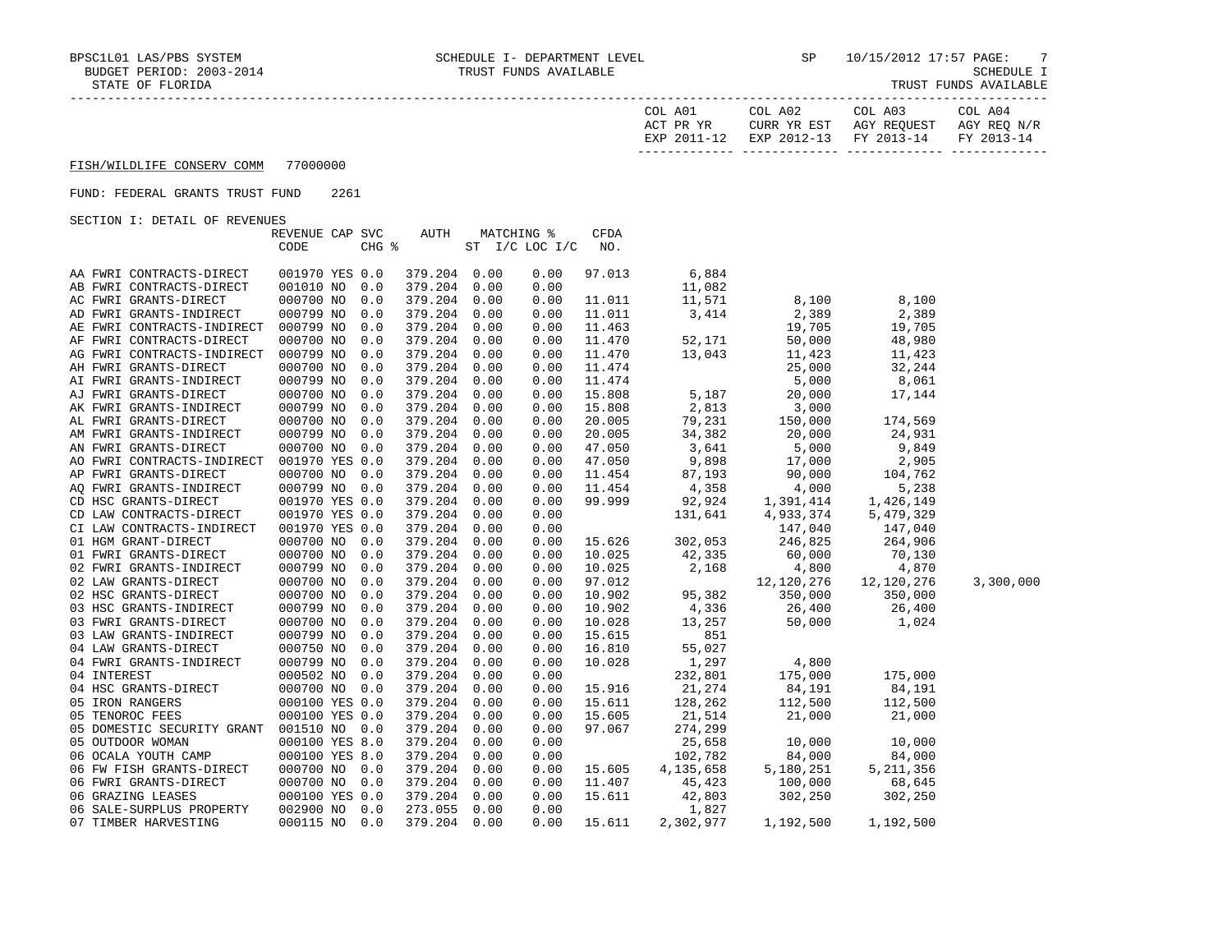| COL A01<br>ACT PR YR | COL A02<br>CURR YR EST            | COL A03<br>AGY REOUEST | COL A04<br>AGY REO N/R |
|----------------------|-----------------------------------|------------------------|------------------------|
| EXP 2011-12          | EXP 2012-13 FY 2013-14 FY 2013-14 |                        |                        |

### FUND: FEDERAL GRANTS TRUST FUND 2261

| DECITON I: DEIAID OF REVENUED                  |                 |       |              |      |                   |             |                                    |                                                                       |                      |           |
|------------------------------------------------|-----------------|-------|--------------|------|-------------------|-------------|------------------------------------|-----------------------------------------------------------------------|----------------------|-----------|
|                                                | REVENUE CAP SVC |       | <b>AUTH</b>  |      | <b>MATCHING %</b> | <b>CFDA</b> |                                    |                                                                       |                      |           |
|                                                | CODE            | CHG % |              |      | ST I/C LOC I/C    | NO.         |                                    |                                                                       |                      |           |
|                                                |                 |       |              |      |                   |             |                                    |                                                                       |                      |           |
| AA FWRI CONTRACTS-DIRECT                       | 001970 YES 0.0  |       | 379.204 0.00 |      | 0.00              | 97.013      | 6,884                              |                                                                       |                      |           |
| AB FWRI CONTRACTS-DIRECT                       | 001010 NO       | 0.0   | 379.204 0.00 |      | 0.00              |             | 11,082                             |                                                                       |                      |           |
| AC FWRI GRANTS-DIRECT                          | 000700 NO       | 0.0   | 379.204      | 0.00 | 0.00              | 11.011      | 11,571                             | 8,100                                                                 | 8,100                |           |
| AD FWRI GRANTS-INDIRECT                        | 000799 NO       | 0.0   | 379.204      | 0.00 | 0.00              | 11.011      | 3,414                              | 2,389                                                                 | 2,389                |           |
| AE FWRI CONTRACTS-INDIRECT                     | 000799 NO       | 0.0   | 379.204      | 0.00 | 0.00              | 11.463      |                                    | 19,705                                                                | 19,705               |           |
| AF FWRI CONTRACTS-DIRECT                       | 000700 NO       | 0.0   | 379.204      | 0.00 | 0.00              | 11.470      | 52,171                             | 50,000                                                                | 48,980               |           |
| AG FWRI CONTRACTS-INDIRECT                     | 000799 NO       | 0.0   | 379.204      | 0.00 | 0.00              | 11.470      | 13,043                             | 11,423                                                                | 11,423               |           |
| AH FWRI GRANTS-DIRECT                          | 000700 NO       | 0.0   | 379.204      | 0.00 | 0.00              | 11.474      |                                    | 25,000                                                                | 32,244               |           |
| AI FWRI GRANTS-INDIRECT                        | 000799 NO       | 0.0   | 379.204      | 0.00 | 0.00              | 11.474      |                                    | 5,000                                                                 | 8,061                |           |
| AJ FWRI GRANTS-DIRECT                          | 000700 NO       | 0.0   | 379.204      | 0.00 | 0.00              | 15.808      | 5,187                              | 20,000                                                                | 17,144               |           |
| AK FWRI GRANTS-INDIRECT                        | 000799 NO       | 0.0   | 379.204      | 0.00 | 0.00              | 15.808      | 2,813                              | 3,000                                                                 |                      |           |
| AL FWRI GRANTS-DIRECT                          | 000700 NO       | 0.0   | 379.204      | 0.00 | 0.00              | 20.005      | 79,231                             | 150,000                                                               | 174,569              |           |
| AM FWRI GRANTS-INDIRECT                        | 000799 NO       | 0.0   | 379.204      | 0.00 | 0.00              | 20.005      |                                    |                                                                       | 24,931               |           |
| AN FWRI GRANTS-DIRECT                          | 000700 NO       | 0.0   | 379.204      | 0.00 | 0.00              | 47.050      |                                    |                                                                       | 9,849                |           |
| AO FWRI CONTRACTS-INDIRECT                     | 001970 YES 0.0  |       | 379.204      | 0.00 | 0.00              | 47.050      | $34, -2$<br>3,641<br>3,98<br>9,898 |                                                                       | 2,905                |           |
| AP FWRI GRANTS-DIRECT                          | 000700 NO       | 0.0   | 379.204      | 0.00 | 0.00              | 11.454      | 87,193                             |                                                                       | 104,762              |           |
| AO FWRI GRANTS-INDIRECT                        | 000799 NO       | 0.0   | 379.204      | 0.00 | 0.00              | 11.454      | 87,193<br>4,358                    |                                                                       | 5,238                |           |
| CD HSC GRANTS-DIRECT                           | 001970 YES 0.0  |       | 379.204      | 0.00 | 0.00              | 99.999      |                                    | $20,000$<br>$5,000$<br>$17,000$<br>$90,000$<br>$4,000$<br>$1,391,414$ | 1,426,149            |           |
| CD LAW CONTRACTS-DIRECT                        | 001970 YES 0.0  |       | 379.204      | 0.00 | 0.00              |             | $92,924$<br>131,641                |                                                                       |                      |           |
| CI LAW CONTRACTS-INDIRECT                      | 001970 YES 0.0  |       | 379.204      | 0.00 | 0.00              |             |                                    |                                                                       | 5,479,329<br>147,040 |           |
|                                                |                 |       |              |      |                   |             |                                    | $4,933,2$<br>147,040<br>245 825                                       | 264,906              |           |
| 01 HGM GRANT-DIRECT                            | 000700 NO       | 0.0   | 379.204      | 0.00 | 0.00              | 15.626      | 302,053                            | $246, 825$<br>60,000<br>4,800                                         |                      |           |
| 01 FWRI GRANTS-DIRECT                          | 000700 NO       | 0.0   | 379.204      | 0.00 | 0.00              | 10.025      | 42,335<br>$\frac{12}{2}$ , 168     |                                                                       | 70,130               |           |
| 02 FWRI GRANTS-INDIRECT                        | 000799 NO       | 0.0   | 379.204      | 0.00 | 0.00              | 10.025      |                                    |                                                                       | 4,870                |           |
| 02 LAW GRANTS-DIRECT                           | 000700 NO       | 0.0   | 379.204      | 0.00 | 0.00              | 97.012      |                                    | 12,120,276                                                            | 12,120,276           | 3,300,000 |
| 02 HSC GRANTS-DIRECT<br>03 HSC GRANTS-INDIRECT | 000700 NO       | 0.0   | 379.204      | 0.00 | 0.00              | 10.902      | 95,382                             | $350,000$<br>$26,400$<br>$50,000$                                     | 350,000              |           |
|                                                | 000799 NO       | 0.0   | 379.204      | 0.00 | 0.00              | 10.902      | 4,336                              |                                                                       | 26,400               |           |
| 03 FWRI GRANTS-DIRECT                          | 000700 NO       | 0.0   | 379.204      | 0.00 | 0.00              | 10.028      | 13,257                             |                                                                       | 1,024                |           |
| 03 LAW GRANTS-INDIRECT                         | 000799 NO       | 0.0   | 379.204      | 0.00 | 0.00              | 15.615      | 851                                |                                                                       |                      |           |
| 04 LAW GRANTS-DIRECT                           | 000750 NO       | 0.0   | 379.204      | 0.00 | 0.00              | 16.810      | 55,027                             |                                                                       |                      |           |
| 04 FWRI GRANTS-INDIRECT                        | 000799 NO       | 0.0   | 379.204      | 0.00 | 0.00              | 10.028      | 1,297                              | 4,800                                                                 |                      |           |
| 04 INTEREST                                    | 000502 NO       | 0.0   | 379.204      | 0.00 | 0.00              |             | 232,801                            | 175,000                                                               | 175,000              |           |
| 04 HSC GRANTS-DIRECT                           | 000700 NO 0.0   |       | 379.204      | 0.00 | 0.00              | 15.916      | 21,274                             | $84,191$<br>$112,500$<br>$21,000$                                     | 84,191               |           |
| 05 IRON RANGERS                                | 000100 YES 0.0  |       | 379.204      | 0.00 | 0.00              | 15.611      | $\frac{128,202}{21,514}$           |                                                                       | 112,500              |           |
| 05 TENOROC FEES                                | 000100 YES 0.0  |       | 379.204      | 0.00 | 0.00              | 15.605      |                                    |                                                                       | 21,000               |           |
| 05 DOMESTIC SECURITY GRANT                     | 001510 NO 0.0   |       | 379.204      | 0.00 | 0.00              | 97.067      | 274,299                            |                                                                       |                      |           |
| 05 OUTDOOR WOMAN                               | 000100 YES 8.0  |       | 379.204      | 0.00 | 0.00              |             | 25,658                             |                                                                       | 10,000               |           |
| 06 OCALA YOUTH CAMP                            | 000100 YES 8.0  |       | 379.204      | 0.00 | 0.00              |             | 102,782                            | $10,000$<br>$84,000$<br>5,180,251<br>100,000                          | 84,000               |           |
| 06 FW FISH GRANTS-DIRECT                       | 000700 NO 0.0   |       | 379.204      | 0.00 | 0.00              | 15.605      | 4,135,658                          |                                                                       | 5, 211, 356          |           |
| 06 FWRI GRANTS-DIRECT                          | 000700 NO 0.0   |       | 379.204      | 0.00 | 0.00              | 11.407      | 45,423                             |                                                                       | 68,645               |           |
| 06 GRAZING LEASES                              | 000100 YES 0.0  |       | 379.204      | 0.00 | 0.00              | 15.611      | 42,803                             | $100,000$<br>302,250<br>302,250                                       | 302,250              |           |
| 06 SALE-SURPLUS PROPERTY                       | 002900 NO       | 0.0   | 273.055      | 0.00 | 0.00              |             | 1,827                              |                                                                       |                      |           |
| 07 TIMBER HARVESTING                           | 000115 NO 0.0   |       | 379.204      | 0.00 | 0.00              | 15.611      | 2,302,977                          | 1,192,500                                                             | 1,192,500            |           |
|                                                |                 |       |              |      |                   |             |                                    |                                                                       |                      |           |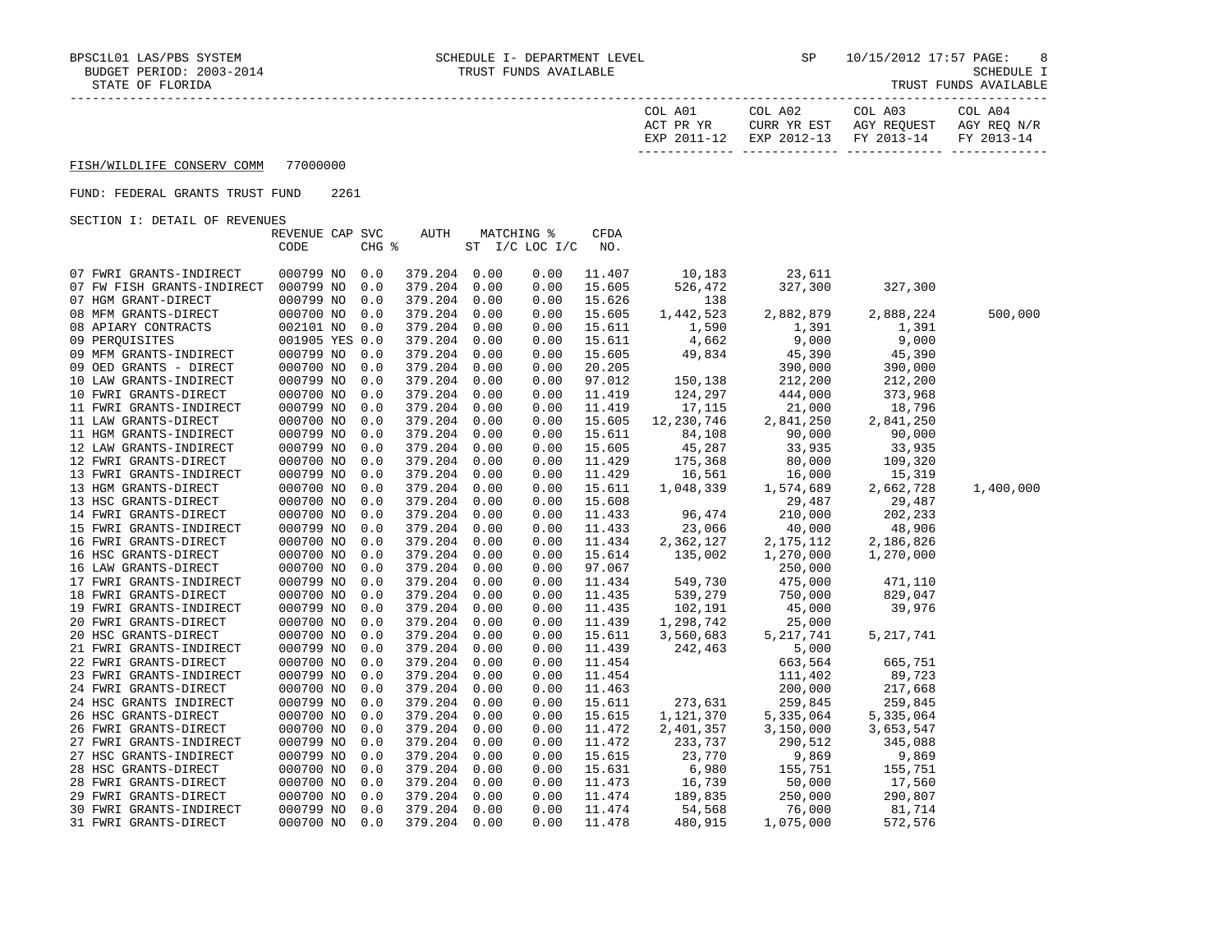| COL A01<br>PR YR<br>ACT    | COL A02<br>VD<br>EST<br>CURR | COL A03<br>AGY REOUEST | COL A04<br>AGY REO N/R   |
|----------------------------|------------------------------|------------------------|--------------------------|
| 2011<br>$\sqrt{10}$<br>FYD | $2012 - 13$<br>EXP           | $2013 - 14$<br>ਸ਼ਾ     | $2013 - 14$<br><b>DV</b> |
|                            |                              |                        |                          |

### FUND: FEDERAL GRANTS TRUST FUND 2261

|                            | REVENUE CAP SVC |       | <b>AUTH</b>  |      | MATCHING %     | $\mathtt{CFDA}$ |            |             |             |           |
|----------------------------|-----------------|-------|--------------|------|----------------|-----------------|------------|-------------|-------------|-----------|
|                            | CODE            | CHG % |              |      | ST I/C LOC I/C | NO.             |            |             |             |           |
|                            |                 |       |              |      |                |                 |            |             |             |           |
| 07 FWRI GRANTS-INDIRECT    | 000799 NO       | 0.0   | 379.204 0.00 |      | 0.00           | 11.407          | 10,183     | 23,611      |             |           |
| 07 FW FISH GRANTS-INDIRECT | 000799 NO       | 0.0   | 379.204      | 0.00 | 0.00           | 15.605          | 526,472    | 327,300     | 327,300     |           |
| 07 HGM GRANT-DIRECT        | 000799 NO       | 0.0   | 379.204      | 0.00 | 0.00           | 15.626          | 138        |             |             |           |
| 08 MFM GRANTS-DIRECT       | 000700 NO       | 0.0   | 379.204      | 0.00 | 0.00           | 15.605          | 1,442,523  | 2,882,879   | 2,888,224   | 500,000   |
| 08 APIARY CONTRACTS        | 002101 NO       | 0.0   | 379.204      | 0.00 | 0.00           | 15.611          | 1,590      | 1,391       | 1,391       |           |
| 09 PERQUISITES             | 001905 YES 0.0  |       | 379.204      | 0.00 | 0.00           | 15.611          | 4,662      | 9,000       | 9,000       |           |
| 09 MFM GRANTS-INDIRECT     | 000799 NO       | 0.0   | 379.204      | 0.00 | 0.00           | 15.605          | 49,834     | 45,390      | 45,390      |           |
| 09 OED GRANTS - DIRECT     | 000700 NO       | 0.0   | 379.204      | 0.00 | 0.00           | 20.205          |            | 390,000     | 390,000     |           |
| 10 LAW GRANTS-INDIRECT     | 000799 NO       | 0.0   | 379.204      | 0.00 | 0.00           | 97.012          | 150,138    | 212,200     | 212,200     |           |
| 10 FWRI GRANTS-DIRECT      | 000700 NO       | 0.0   | 379.204      | 0.00 | 0.00           | 11.419          | 124,297    | 444,000     | 373,968     |           |
| 11 FWRI GRANTS-INDIRECT    | 000799 NO       | 0.0   | 379.204      | 0.00 | 0.00           | 11.419          | 17,115     | 21,000      | 18,796      |           |
| 11 LAW GRANTS-DIRECT       | 000700 NO       | 0.0   | 379.204      | 0.00 | 0.00           | 15.605          | 12,230,746 | 2,841,250   | 2,841,250   |           |
| 11 HGM GRANTS-INDIRECT     | 000799 NO       | 0.0   | 379.204      | 0.00 | 0.00           | 15.611          | 84,108     | 90,000      | 90,000      |           |
| 12 LAW GRANTS-INDIRECT     | 000799 NO       | 0.0   | 379.204      | 0.00 | 0.00           | 15.605          | 45,287     | 33,935      | 33,935      |           |
| 12 FWRI GRANTS-DIRECT      | 000700 NO       | 0.0   | 379.204      | 0.00 | 0.00           | 11.429          | 175,368    | 80,000      | 109,320     |           |
| 13 FWRI GRANTS-INDIRECT    | 000799 NO       | 0.0   | 379.204      | 0.00 | 0.00           | 11.429          | 16,561     | 16,000      | 15,319      |           |
| 13 HGM GRANTS-DIRECT       | 000700 NO       | 0.0   | 379.204      | 0.00 | 0.00           | 15.611          | 1,048,339  | 1,574,689   | 2,662,728   | 1,400,000 |
| 13 HSC GRANTS-DIRECT       | 000700 NO       | 0.0   | 379.204      | 0.00 | 0.00           | 15.608          |            | 29,487      | 29,487      |           |
| 14 FWRI GRANTS-DIRECT      | 000700 NO       | 0.0   | 379.204      | 0.00 | 0.00           | 11.433          | 96,474     | 210,000     | 202,233     |           |
| 15 FWRI GRANTS-INDIRECT    | 000799 NO       | 0.0   | 379.204      | 0.00 | 0.00           | 11.433          | 23,066     | 40,000      | 48,906      |           |
| 16 FWRI GRANTS-DIRECT      | 000700 NO       | 0.0   | 379.204      | 0.00 | 0.00           | 11.434          | 2,362,127  | 2, 175, 112 | 2,186,826   |           |
| 16 HSC GRANTS-DIRECT       | 000700 NO       | 0.0   | 379.204      | 0.00 | 0.00           | 15.614          | 135,002    | 1,270,000   | 1,270,000   |           |
| 16 LAW GRANTS-DIRECT       | 000700 NO       | 0.0   | 379.204      | 0.00 | 0.00           | 97.067          |            | 250,000     |             |           |
| 17 FWRI GRANTS-INDIRECT    | 000799 NO       | 0.0   | 379.204      | 0.00 | 0.00           | 11.434          | 549,730    | 475,000     | 471,110     |           |
| 18 FWRI GRANTS-DIRECT      | 000700 NO       | 0.0   | 379.204      | 0.00 | 0.00           | 11.435          | 539,279    | 750,000     | 829,047     |           |
| 19 FWRI GRANTS-INDIRECT    | 000799 NO       | 0.0   | 379.204      | 0.00 | 0.00           | 11.435          | 102,191    | 45,000      | 39,976      |           |
| 20 FWRI GRANTS-DIRECT      | 000700 NO       | 0.0   | 379.204      | 0.00 | 0.00           | 11.439          | 1,298,742  | 25,000      |             |           |
| 20 HSC GRANTS-DIRECT       | 000700 NO       | 0.0   | 379.204      | 0.00 | 0.00           | 15.611          | 3,560,683  | 5, 217, 741 | 5, 217, 741 |           |
| 21 FWRI GRANTS-INDIRECT    | 000799 NO       | 0.0   | 379.204      | 0.00 | 0.00           | 11.439          | 242,463    | 5,000       |             |           |
| 22 FWRI GRANTS-DIRECT      | 000700 NO       | 0.0   | 379.204      | 0.00 | 0.00           | 11.454          |            | 663,564     | 665,751     |           |
| 23 FWRI GRANTS-INDIRECT    | 000799 NO       | 0.0   | 379.204      | 0.00 | 0.00           | 11.454          |            | 111,402     | 89,723      |           |
| 24 FWRI GRANTS-DIRECT      | 000700 NO       | 0.0   | 379.204      | 0.00 | 0.00           | 11.463          |            | 200,000     | 217,668     |           |
| 24 HSC GRANTS INDIRECT     | 000799 NO       | 0.0   | 379.204      | 0.00 | 0.00           | 15.611          | 273,631    | 259,845     | 259,845     |           |
| 26 HSC GRANTS-DIRECT       | 000700 NO       | 0.0   | 379.204      | 0.00 | 0.00           | 15.615          | 1,121,370  | 5,335,064   | 5,335,064   |           |
| 26 FWRI GRANTS-DIRECT      | 000700 NO       | 0.0   | 379.204      | 0.00 | 0.00           | 11.472          | 2,401,357  | 3,150,000   | 3,653,547   |           |
| 27 FWRI GRANTS-INDIRECT    | 000799 NO       | 0.0   | 379.204      | 0.00 | 0.00           | 11.472          | 233,737    | 290,512     | 345,088     |           |
| 27 HSC GRANTS-INDIRECT     | 000799 NO       | 0.0   | 379.204      | 0.00 | 0.00           | 15.615          | 23,770     | 9,869       | 9,869       |           |
| 28 HSC GRANTS-DIRECT       | 000700 NO       | 0.0   | 379.204      | 0.00 | 0.00           | 15.631          | 6,980      | 155,751     | 155,751     |           |
| 28 FWRI GRANTS-DIRECT      | 000700 NO       | 0.0   | 379.204      | 0.00 | 0.00           | 11.473          | 16,739     | 50,000      | 17,560      |           |
| 29 FWRI GRANTS-DIRECT      | 000700 NO       | 0.0   | 379.204      | 0.00 | 0.00           | 11.474          | 189,835    | 250,000     | 290,807     |           |
| 30 FWRI GRANTS-INDIRECT    | 000799 NO       | 0.0   | 379.204      | 0.00 | 0.00           | 11.474          | 54,568     | 76,000      | 81,714      |           |
| 31 FWRI GRANTS-DIRECT      | 000700 NO       | 0.0   | 379.204      | 0.00 | 0.00           | 11.478          | 480,915    | 1,075,000   | 572,576     |           |
|                            |                 |       |              |      |                |                 |            |             |             |           |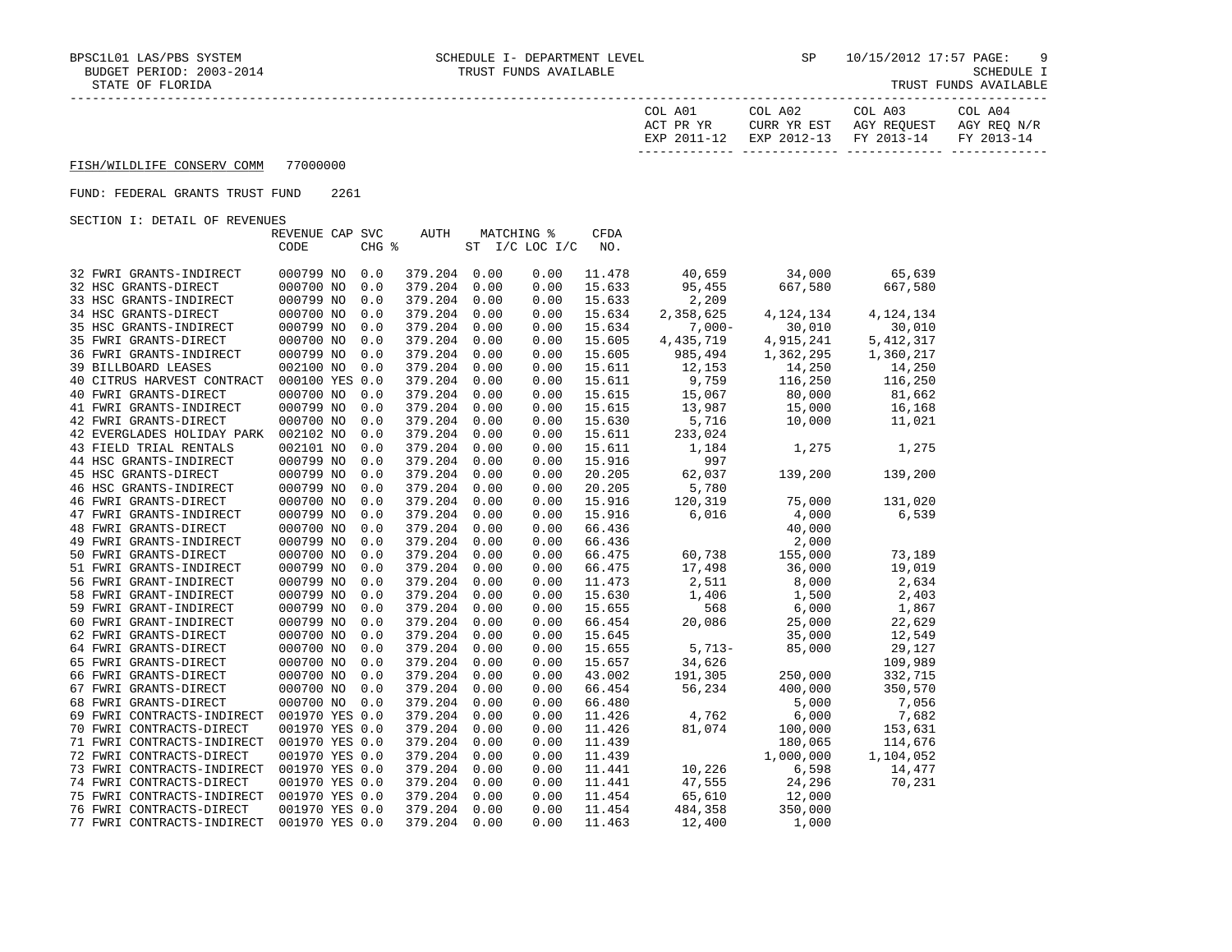| A01<br>COL.<br>PR YR<br>አ ጦ<br>$2011$<br>FYE | COL A02<br>CURR YR EST<br>$2012 - 13$<br>FYD | COL A03<br>AGY REQUEST<br>$2013 - 14$<br><b>FV</b> | COL A04<br>AGY REQ<br>N/R<br><b>FV</b> |
|----------------------------------------------|----------------------------------------------|----------------------------------------------------|----------------------------------------|
|                                              |                                              |                                                    |                                        |

### FUND: FEDERAL GRANTS TRUST FUND 2261

|                            | REVENUE CAP SVC |       | AUTH         |      | MATCHING %     | <b>CFDA</b> |           |             |             |
|----------------------------|-----------------|-------|--------------|------|----------------|-------------|-----------|-------------|-------------|
|                            | CODE            | CHG % |              |      | ST I/C LOC I/C | NO.         |           |             |             |
|                            |                 |       |              |      |                |             |           |             |             |
| 32 FWRI GRANTS-INDIRECT    | 000799 NO       | 0.0   | 379.204 0.00 |      | 0.00           | 11.478      | 40,659    | 34,000      | 65,639      |
| 32 HSC GRANTS-DIRECT       | 000700 NO       | 0.0   | 379.204      | 0.00 | 0.00           | 15.633      | 95,455    | 667,580     | 667,580     |
| 33 HSC GRANTS-INDIRECT     | 000799 NO       | 0.0   | 379.204      | 0.00 | 0.00           | 15.633      | 2,209     |             |             |
| 34 HSC GRANTS-DIRECT       | 000700 NO       | 0.0   | 379.204      | 0.00 | 0.00           | 15.634      | 2,358,625 | 4, 124, 134 | 4,124,134   |
| 35 HSC GRANTS-INDIRECT     | 000799 NO       | 0.0   | 379.204      | 0.00 | 0.00           | 15.634      | $7,000-$  | 30,010      | 30,010      |
| 35 FWRI GRANTS-DIRECT      | 000700 NO       | 0.0   | 379.204      | 0.00 | 0.00           | 15.605      | 4,435,719 | 4,915,241   | 5, 412, 317 |
| 36 FWRI GRANTS-INDIRECT    | 000799 NO       | 0.0   | 379.204      | 0.00 | 0.00           | 15.605      | 985,494   | 1,362,295   | 1,360,217   |
| 39 BILLBOARD LEASES        | 002100 NO       | 0.0   | 379.204      | 0.00 | 0.00           | 15.611      | 12,153    | 14,250      | 14,250      |
| 40 CITRUS HARVEST CONTRACT | 000100 YES 0.0  |       | 379.204      | 0.00 | 0.00           | 15.611      | 9,759     | 116,250     | 116,250     |
| 40 FWRI GRANTS-DIRECT      | 000700 NO       | 0.0   | 379.204      | 0.00 | 0.00           | 15.615      | 15,067    | 80,000      | 81,662      |
| 41 FWRI GRANTS-INDIRECT    | 000799 NO       | 0.0   | 379.204      | 0.00 | 0.00           | 15.615      | 13,987    | 15,000      | 16,168      |
| 42 FWRI GRANTS-DIRECT      | 000700 NO       | 0.0   | 379.204      | 0.00 | 0.00           | 15.630      | 5,716     | 10,000      | 11,021      |
| 42 EVERGLADES HOLIDAY PARK | 002102 NO       | 0.0   | 379.204      | 0.00 | 0.00           | 15.611      | 233,024   |             |             |
| 43 FIELD TRIAL RENTALS     | 002101 NO       | 0.0   | 379.204      | 0.00 | 0.00           | 15.611      | 1,184     | 1,275       | 1,275       |
| 44 HSC GRANTS-INDIRECT     | 000799 NO       | 0.0   | 379.204      | 0.00 | 0.00           | 15.916      | 997       |             |             |
| 45 HSC GRANTS-DIRECT       | 000799 NO       | 0.0   | 379.204      | 0.00 | 0.00           | 20.205      | 62,037    | 139,200     | 139,200     |
| 46 HSC GRANTS-INDIRECT     | 000799 NO       | 0.0   | 379.204      | 0.00 | 0.00           | 20.205      | 5,780     |             |             |
| 46 FWRI GRANTS-DIRECT      | 000700 NO       | 0.0   | 379.204      | 0.00 | 0.00           | 15.916      | 120,319   | 75,000      | 131,020     |
| 47 FWRI GRANTS-INDIRECT    | 000799 NO       | 0.0   | 379.204      | 0.00 | 0.00           | 15.916      | 6,016     | 4,000       | 6,539       |
| 48 FWRI GRANTS-DIRECT      | 000700 NO       | 0.0   | 379.204      | 0.00 | 0.00           | 66.436      |           | 40,000      |             |
| 49 FWRI GRANTS-INDIRECT    | 000799 NO       | 0.0   | 379.204      | 0.00 | 0.00           | 66.436      |           | 2,000       |             |
| 50 FWRI GRANTS-DIRECT      | 000700 NO       | 0.0   | 379.204 0.00 |      | 0.00           | 66.475      | 60,738    | 155,000     | 73,189      |
| 51 FWRI GRANTS-INDIRECT    | 000799 NO       | 0.0   | 379.204 0.00 |      | 0.00           | 66.475      | 17,498    | 36,000      | 19,019      |
| 56 FWRI GRANT-INDIRECT     | 000799 NO       | 0.0   | 379.204      | 0.00 | 0.00           | 11.473      | 2,511     | 8,000       | 2,634       |
| 58 FWRI GRANT-INDIRECT     | 000799 NO       | 0.0   | 379.204      | 0.00 | 0.00           | 15.630      | 1,406     | 1,500       | 2,403       |
| 59 FWRI GRANT-INDIRECT     | 000799 NO       | 0.0   | 379.204      | 0.00 | 0.00           | 15.655      | 568       | 6,000       | 1,867       |
| 60 FWRI GRANT-INDIRECT     | 000799 NO       | 0.0   | 379.204      | 0.00 | 0.00           | 66.454      | 20,086    | 25,000      | 22,629      |
| 62 FWRI GRANTS-DIRECT      | 000700 NO       | 0.0   | 379.204      | 0.00 | 0.00           | 15.645      |           | 35,000      | 12,549      |
| 64 FWRI GRANTS-DIRECT      | 000700 NO       | 0.0   | 379.204      | 0.00 | 0.00           | 15.655      | $5,713-$  | 85,000      | 29,127      |
| 65 FWRI GRANTS-DIRECT      | 000700 NO       | 0.0   | 379.204      | 0.00 | 0.00           | 15.657      | 34,626    |             | 109,989     |
| 66 FWRI GRANTS-DIRECT      | 000700 NO       | 0.0   | 379.204      | 0.00 | 0.00           | 43.002      | 191,305   | 250,000     | 332,715     |
| 67 FWRI GRANTS-DIRECT      | 000700 NO       | 0.0   | 379.204      | 0.00 | 0.00           | 66.454      | 56,234    | 400,000     | 350,570     |
| 68 FWRI GRANTS-DIRECT      | 000700 NO       | 0.0   | 379.204      | 0.00 | 0.00           | 66.480      |           | 5,000       | 7,056       |
| 69 FWRI CONTRACTS-INDIRECT | 001970 YES 0.0  |       | 379.204      | 0.00 | 0.00           | 11.426      | 4,762     | 6,000       | 7,682       |
| 70 FWRI CONTRACTS-DIRECT   | 001970 YES 0.0  |       | 379.204      | 0.00 | 0.00           | 11.426      | 81,074    | 100,000     | 153,631     |
| 71 FWRI CONTRACTS-INDIRECT | 001970 YES 0.0  |       | 379.204      | 0.00 | 0.00           | 11.439      |           | 180,065     | 114,676     |
| 72 FWRI CONTRACTS-DIRECT   | 001970 YES 0.0  |       | 379.204      | 0.00 | 0.00           | 11.439      |           | 1,000,000   | 1,104,052   |
| 73 FWRI CONTRACTS-INDIRECT | 001970 YES 0.0  |       | 379.204      | 0.00 | 0.00           | 11.441      | 10,226    | 6,598       | 14,477      |
| 74 FWRI CONTRACTS-DIRECT   | 001970 YES 0.0  |       | 379.204      | 0.00 | 0.00           | 11.441      | 47,555    | 24,296      | 70,231      |
| 75 FWRI CONTRACTS-INDIRECT | 001970 YES 0.0  |       | 379.204      | 0.00 | 0.00           | 11.454      | 65,610    | 12,000      |             |
| 76 FWRI CONTRACTS-DIRECT   | 001970 YES 0.0  |       | 379.204      | 0.00 | 0.00           | 11.454      | 484,358   | 350,000     |             |
| 77 FWRI CONTRACTS-INDIRECT | 001970 YES 0.0  |       | 379.204      | 0.00 | 0.00           | 11.463      | 12,400    | 1,000       |             |
|                            |                 |       |              |      |                |             |           |             |             |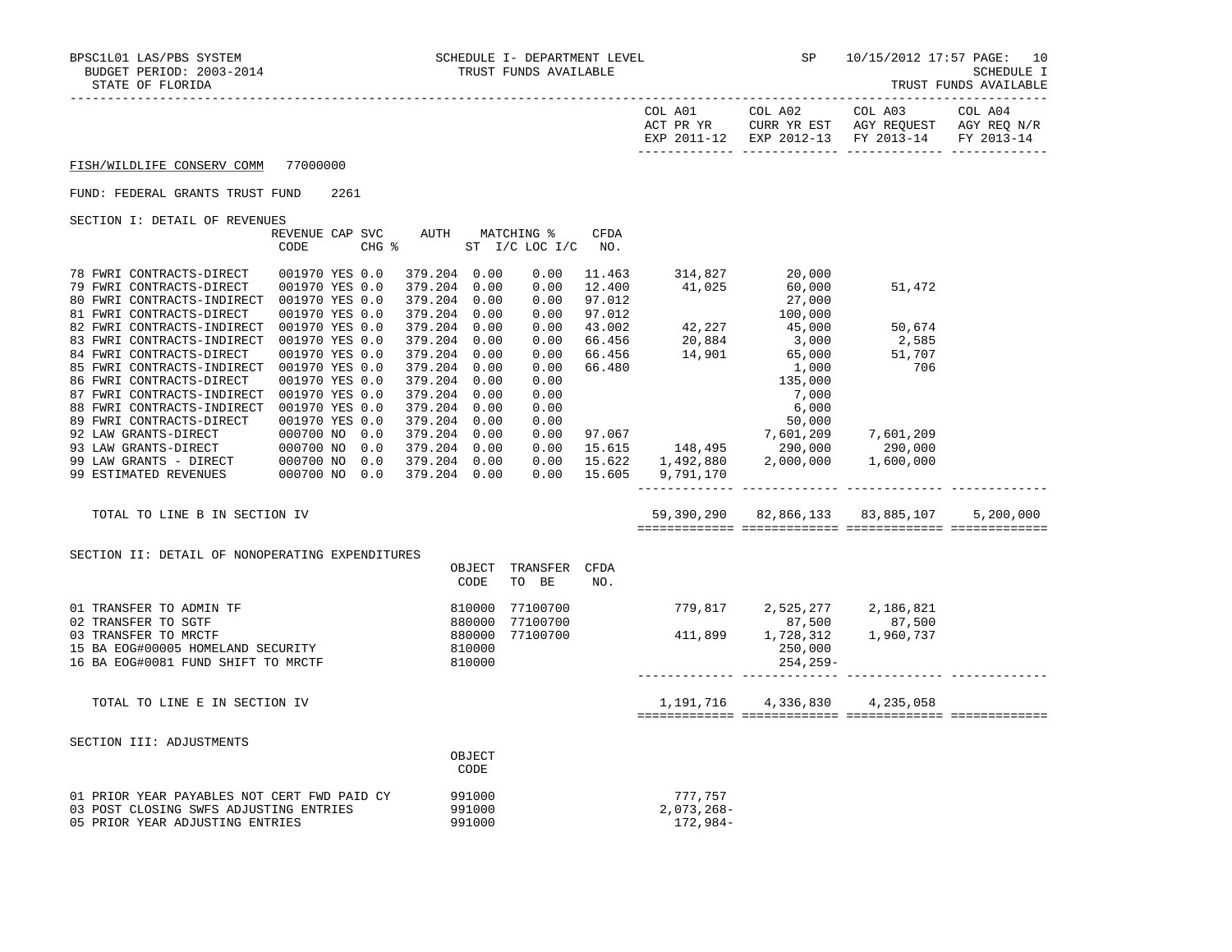| : LURIDA<br><u>.</u> | LKU D<br>פעמע<br>781 DADIR |
|----------------------|----------------------------|
|                      |                            |

|                                                        |                                  |      |       |                              |        |                              |                  | COL A01<br>ACT PR YR | COL A02<br>CURR YR EST<br>EXP 2011-12 EXP 2012-13 | COL A03<br>AGY REQUEST<br>FY 2013-14 | COL A04<br>AGY REQ N/R<br>FY 2013-14 |
|--------------------------------------------------------|----------------------------------|------|-------|------------------------------|--------|------------------------------|------------------|----------------------|---------------------------------------------------|--------------------------------------|--------------------------------------|
| FISH/WILDLIFE CONSERV COMM                             | 77000000                         |      |       |                              |        |                              |                  |                      |                                                   |                                      |                                      |
| FUND: FEDERAL GRANTS TRUST FUND                        |                                  | 2261 |       |                              |        |                              |                  |                      |                                                   |                                      |                                      |
| SECTION I: DETAIL OF REVENUES                          |                                  |      |       |                              |        |                              |                  |                      |                                                   |                                      |                                      |
|                                                        | REVENUE CAP SVC<br>CODE          |      | CHG % | AUTH                         |        | MATCHING %<br>ST I/C LOC I/C | CFDA<br>NO.      |                      |                                                   |                                      |                                      |
| 78 FWRI CONTRACTS-DIRECT                               | 001970 YES 0.0                   |      |       | 379.204 0.00                 |        | 0.00                         | 11.463           |                      | 314,827<br>20,000                                 |                                      |                                      |
| 79 FWRI CONTRACTS-DIRECT                               | 001970 YES 0.0                   |      |       | 379.204 0.00                 |        | 0.00                         | 12.400           | 41,025               | 60,000                                            | 51,472                               |                                      |
| 80 FWRI CONTRACTS-INDIRECT                             | 001970 YES 0.0                   |      |       | 379.204 0.00                 |        | 0.00                         | 97.012           |                      | 27,000                                            |                                      |                                      |
| 81 FWRI CONTRACTS-DIRECT                               | 001970 YES 0.0                   |      |       | 379.204 0.00                 |        | 0.00                         | 97.012           |                      | 100,000                                           |                                      |                                      |
| 82 FWRI CONTRACTS-INDIRECT                             | 001970 YES 0.0                   |      |       | 379.204 0.00                 |        | 0.00                         | 43.002           | 42,227               | 45,000                                            | 50,674                               |                                      |
| 83 FWRI CONTRACTS-INDIRECT                             | 001970 YES 0.0<br>001970 YES 0.0 |      |       | 379.204 0.00                 |        | 0.00                         | 66.456           | 20,884<br>14,901     | 3,000                                             | 2,585                                |                                      |
| 84 FWRI CONTRACTS-DIRECT<br>85 FWRI CONTRACTS-INDIRECT | 001970 YES 0.0                   |      |       | 379.204 0.00<br>379.204 0.00 |        | 0.00<br>0.00                 | 66.456<br>66.480 |                      | 65,000<br>1,000                                   | 51,707<br>706                        |                                      |
| 86 FWRI CONTRACTS-DIRECT                               | 001970 YES 0.0                   |      |       | 379.204 0.00                 |        | 0.00                         |                  |                      | 135,000                                           |                                      |                                      |
| 87 FWRI CONTRACTS-INDIRECT                             | 001970 YES 0.0                   |      |       | 379.204 0.00                 |        | 0.00                         |                  |                      | 7,000                                             |                                      |                                      |
| 88 FWRI CONTRACTS-INDIRECT                             | 001970 YES 0.0                   |      |       | 379.204 0.00                 |        | 0.00                         |                  |                      | 6,000                                             |                                      |                                      |
| 89 FWRI CONTRACTS-DIRECT                               | 001970 YES 0.0                   |      |       | 379.204 0.00                 |        | 0.00                         |                  |                      | 50,000                                            |                                      |                                      |
| 92 LAW GRANTS-DIRECT                                   | 000700 NO                        |      | 0.0   | 379.204 0.00                 |        | 0.00                         | 97.067           |                      | 7,601,209                                         | 7,601,209                            |                                      |
| 93 LAW GRANTS-DIRECT                                   | 000700 NO                        |      | 0.0   | 379.204 0.00                 |        | 0.00                         | 15.615           | 148,495              | 290,000                                           | 290,000                              |                                      |
| 99 LAW GRANTS - DIRECT                                 | 000700 NO                        |      | 0.0   | 379.204 0.00                 |        | 0.00                         | 15.622           | 1,492,880            | 2,000,000                                         | 1,600,000                            |                                      |
| 99 ESTIMATED REVENUES                                  | 000700 NO 0.0                    |      |       | 379.204 0.00                 |        | 0.00                         | 15.605           | 9,791,170            |                                                   |                                      |                                      |
| TOTAL TO LINE B IN SECTION IV                          |                                  |      |       |                              |        |                              |                  |                      | 59,390,290 82,866,133 83,885,107                  |                                      | 5,200,000                            |
|                                                        |                                  |      |       |                              |        |                              |                  |                      |                                                   |                                      |                                      |
| SECTION II: DETAIL OF NONOPERATING EXPENDITURES        |                                  |      |       |                              | OBJECT | TRANSFER                     | CFDA             |                      |                                                   |                                      |                                      |
|                                                        |                                  |      |       |                              | CODE   | TO BE                        | NO.              |                      |                                                   |                                      |                                      |
| 01 TRANSFER TO ADMIN TF                                |                                  |      |       |                              | 810000 | 77100700                     |                  | 779,817              | 2,525,277                                         | 2,186,821                            |                                      |
| 02 TRANSFER TO SGTF                                    |                                  |      |       |                              | 880000 | 77100700                     |                  | 411,899              | 87,500                                            | 87,500                               |                                      |
| 03 TRANSFER TO MRCTF                                   |                                  |      |       |                              | 880000 | 77100700                     |                  |                      | 1,728,312                                         | 1,960,737                            |                                      |
| 15 BA EOG#00005 HOMELAND SECURITY                      |                                  |      |       |                              | 810000 |                              |                  |                      | 250,000                                           |                                      |                                      |
| 16 BA EOG#0081 FUND SHIFT TO MRCTF                     |                                  |      |       |                              | 810000 |                              |                  |                      | $254, 259 -$                                      |                                      |                                      |
| TOTAL TO LINE E IN SECTION IV                          |                                  |      |       |                              |        |                              |                  | 1,191,716            | 4,336,830                                         | 4,235,058                            |                                      |

SECTION III: ADJUSTMENTS

|                                             | OBJECT      |            |
|---------------------------------------------|-------------|------------|
|                                             | <b>CODE</b> |            |
| 01 PRIOR YEAR PAYABLES NOT CERT FWD PAID CY | 991000      | 777.757    |
| 03 POST CLOSING SWFS ADJUSTING ENTRIES      | 991000      | 2,073,268- |
| 05 PRIOR YEAR ADJUSTING ENTRIES             | 991000      | 172,984-   |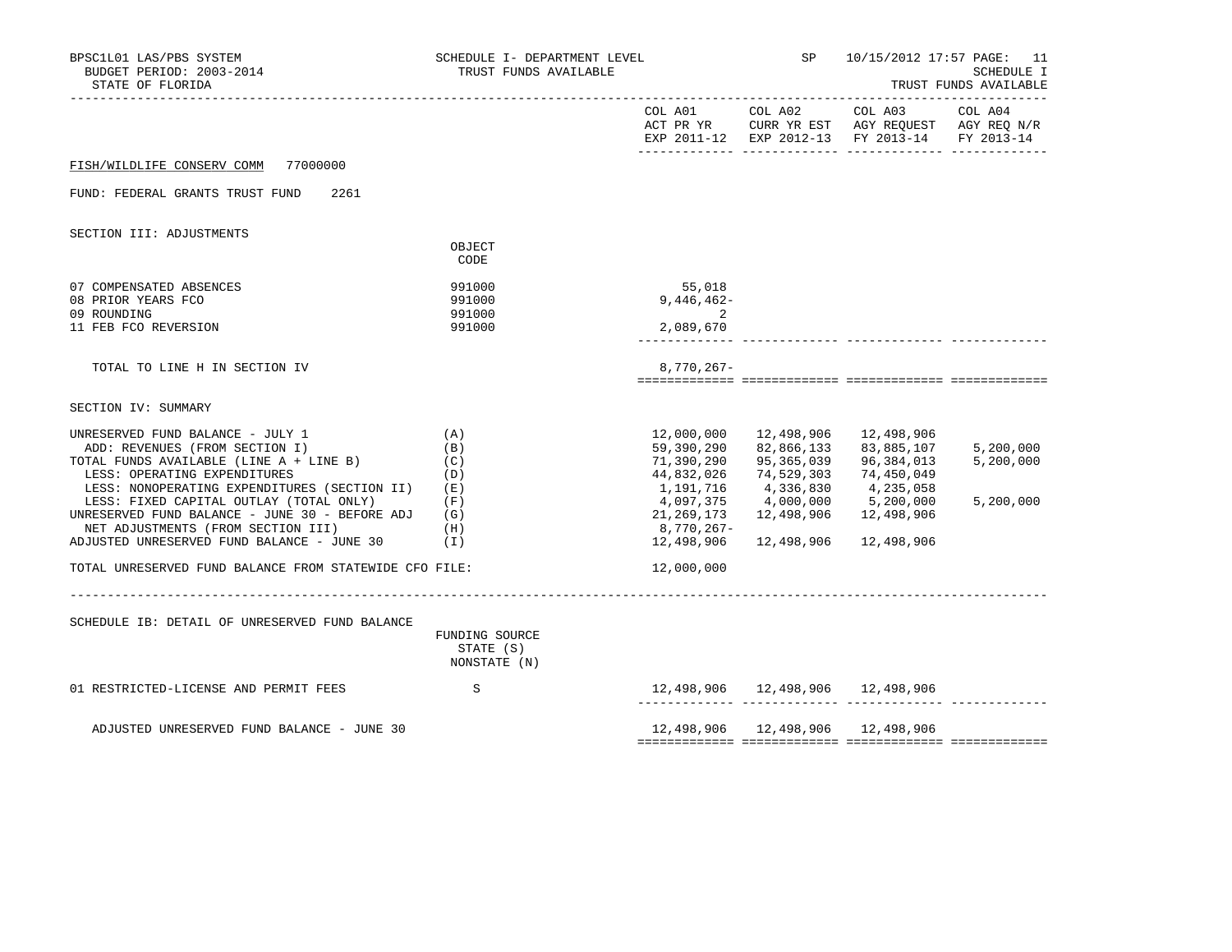| BPSC1L01 LAS/PBS SYSTEM<br>BUDGET PERIOD: 2003-2014<br>STATE OF FLORIDA | SCHEDULE I- DEPARTMENT LEVEL<br>TRUST FUNDS AVAILABLE |              | SP         | 10/15/2012 17:57 PAGE: 11                                                                                         | <b>SCHEDULE I</b><br>TRUST FUNDS AVAILABLE |
|-------------------------------------------------------------------------|-------------------------------------------------------|--------------|------------|-------------------------------------------------------------------------------------------------------------------|--------------------------------------------|
|                                                                         |                                                       | COL A01      |            | COL A02 COL A03<br>ACT PR YR CURR YR EST AGY REQUEST AGY REQ N/R<br>EXP 2011-12 EXP 2012-13 FY 2013-14 FY 2013-14 | COL A04                                    |
| FISH/WILDLIFE CONSERV COMM<br>77000000                                  |                                                       |              |            |                                                                                                                   |                                            |
| FUND: FEDERAL GRANTS TRUST FUND<br>2261                                 |                                                       |              |            |                                                                                                                   |                                            |
| SECTION III: ADJUSTMENTS                                                |                                                       |              |            |                                                                                                                   |                                            |
|                                                                         | OBJECT<br>CODE                                        |              |            |                                                                                                                   |                                            |
| 07 COMPENSATED ABSENCES                                                 | 991000                                                | 55,018       |            |                                                                                                                   |                                            |
| 08 PRIOR YEARS FCO                                                      | 991000                                                | $9,446,462-$ |            |                                                                                                                   |                                            |
| 09 ROUNDING                                                             | 991000                                                | 2            |            |                                                                                                                   |                                            |
| 11 FEB FCO REVERSION                                                    | 991000                                                | 2,089,670    |            |                                                                                                                   |                                            |
| TOTAL TO LINE H IN SECTION IV                                           |                                                       | $8,770,267-$ |            |                                                                                                                   |                                            |
| SECTION IV: SUMMARY                                                     |                                                       |              |            |                                                                                                                   |                                            |
| UNRESERVED FUND BALANCE - JULY 1                                        | (A)                                                   | 12,000,000   | 12,498,906 | 12,498,906                                                                                                        |                                            |
| ADD: REVENUES (FROM SECTION I)                                          | (B)                                                   | 59,390,290   | 82,866,133 | 83,885,107                                                                                                        | 5,200,000                                  |
| TOTAL FUNDS AVAILABLE (LINE A + LINE B)                                 | (C)                                                   | 71,390,290   | 95,365,039 | 96,384,013                                                                                                        | 5,200,000                                  |
| LESS: OPERATING EXPENDITURES                                            | (D)                                                   | 44,832,026   | 74,529,303 | 74,450,049                                                                                                        |                                            |
| LESS: NONOPERATING EXPENDITURES (SECTION II)                            | (E)                                                   | 1,191,716    | 4,336,830  | 4,235,058                                                                                                         |                                            |
| LESS: FIXED CAPITAL OUTLAY (TOTAL ONLY)                                 | (F)                                                   | 4,097,375    | 4,000,000  | 5,200,000                                                                                                         | 5,200,000                                  |
| UNRESERVED FUND BALANCE - JUNE 30 - BEFORE ADJ                          | (G)                                                   | 21,269,173   | 12,498,906 | 12,498,906                                                                                                        |                                            |
| NET ADJUSTMENTS (FROM SECTION III)                                      | (H)                                                   | 8,770,267-   |            |                                                                                                                   |                                            |
| ADJUSTED UNRESERVED FUND BALANCE - JUNE 30                              | (I)                                                   | 12,498,906   | 12,498,906 | 12,498,906                                                                                                        |                                            |
| TOTAL UNRESERVED FUND BALANCE FROM STATEWIDE CFO FILE:                  |                                                       | 12,000,000   |            |                                                                                                                   |                                            |
| SCHEDULE IB: DETAIL OF UNRESERVED FUND BALANCE                          |                                                       |              |            |                                                                                                                   |                                            |
|                                                                         | FUNDING SOURCE<br>STATE (S)<br>NONSTATE (N)           |              |            |                                                                                                                   |                                            |
| 01 RESTRICTED-LICENSE AND PERMIT FEES                                   | S                                                     |              |            | 12,498,906  12,498,906  12,498,906                                                                                |                                            |
| ADJUSTED UNRESERVED FUND BALANCE - JUNE 30                              |                                                       |              |            | 12,498,906  12,498,906  12,498,906                                                                                |                                            |
|                                                                         |                                                       |              |            |                                                                                                                   |                                            |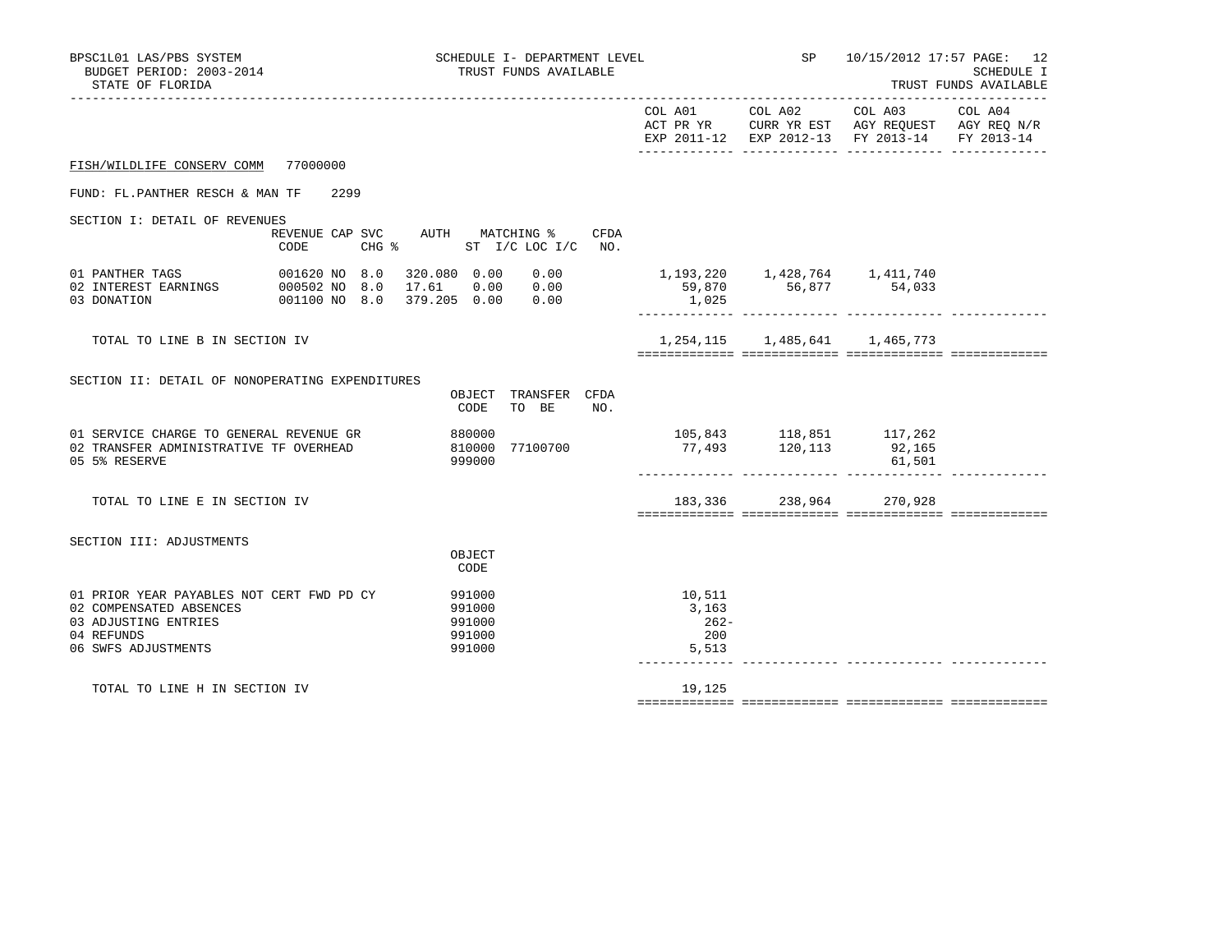| BPSC1L01 LAS/PBS SYSTEM<br>BUDGET PERIOD: 2003-2014<br>STATE OF FLORIDA                                                           | SCHEDULE I- DEPARTMENT LEVEL<br>TRUST FUNDS AVAILABLE                           |                                           |                 | SP 10/15/2012 17:57 PAGE: 12<br>SCHEDULE I<br>TRUST FUNDS AVAILABLE                                                                    |  |
|-----------------------------------------------------------------------------------------------------------------------------------|---------------------------------------------------------------------------------|-------------------------------------------|-----------------|----------------------------------------------------------------------------------------------------------------------------------------|--|
|                                                                                                                                   |                                                                                 |                                           | COL A01 COL A02 | COL A03 COL A04<br>ACT PR YR $\,$ CURR YR EST $\,$ AGY REQUEST $\,$ AGY REQ $\rm N/R$<br>EXP 2011-12 EXP 2012-13 FY 2013-14 FY 2013-14 |  |
| FISH/WILDLIFE CONSERV COMM 77000000                                                                                               |                                                                                 |                                           |                 |                                                                                                                                        |  |
| FUND: FL.PANTHER RESCH & MAN TF 2299                                                                                              |                                                                                 |                                           |                 |                                                                                                                                        |  |
| SECTION I: DETAIL OF REVENUES<br>CODE                                                                                             | REVENUE CAP SVC AUTH MATCHING %<br>CFDA<br>CHG $\frac{1}{2}$ ST I/C LOC I/C NO. |                                           |                 |                                                                                                                                        |  |
| 001620 NO 8.0 320.080 0.00 0.00<br>1INGS 000502 NO 8.0 17.61 0.00 0.00<br>01 PANTHER TAGS<br>02 INTEREST EARNINGS<br>03 DONATION  | 0.00<br>001100 NO 8.0 379.205 0.00 0.00                                         | 1,025                                     |                 | 1, 193, 220 1, 428, 764 1, 411, 740<br>59,870 56,877 54,033                                                                            |  |
| TOTAL TO LINE B IN SECTION IV                                                                                                     |                                                                                 |                                           |                 | 1, 254, 115 1, 485, 641 1, 465, 773                                                                                                    |  |
| SECTION II: DETAIL OF NONOPERATING EXPENDITURES                                                                                   | OBJECT TRANSFER CFDA<br>CODE<br>TO BE<br>NO.                                    |                                           |                 |                                                                                                                                        |  |
| 01 SERVICE CHARGE TO GENERAL REVENUE GR<br>02 TRANSFER ADMINISTRATIVE TF OVERHEAD<br>05 5% RESERVE                                | 880000<br>810000 77100700<br>999000                                             |                                           |                 | 105,843 118,851 117,262<br>77,493 120,113 92,165<br>61,501                                                                             |  |
| TOTAL TO LINE E IN SECTION IV                                                                                                     |                                                                                 |                                           |                 | 183,336 238,964 270,928                                                                                                                |  |
| SECTION III: ADJUSTMENTS                                                                                                          | OBJECT<br>CODE                                                                  |                                           |                 |                                                                                                                                        |  |
| 01 PRIOR YEAR PAYABLES NOT CERT FWD PD CY<br>02 COMPENSATED ABSENCES<br>03 ADJUSTING ENTRIES<br>04 REFUNDS<br>06 SWFS ADJUSTMENTS | 991000<br>991000<br>991000<br>991000<br>991000                                  | 10,511<br>3,163<br>$262-$<br>200<br>5,513 |                 |                                                                                                                                        |  |
| TOTAL TO LINE H IN SECTION IV                                                                                                     |                                                                                 | 19,125                                    |                 |                                                                                                                                        |  |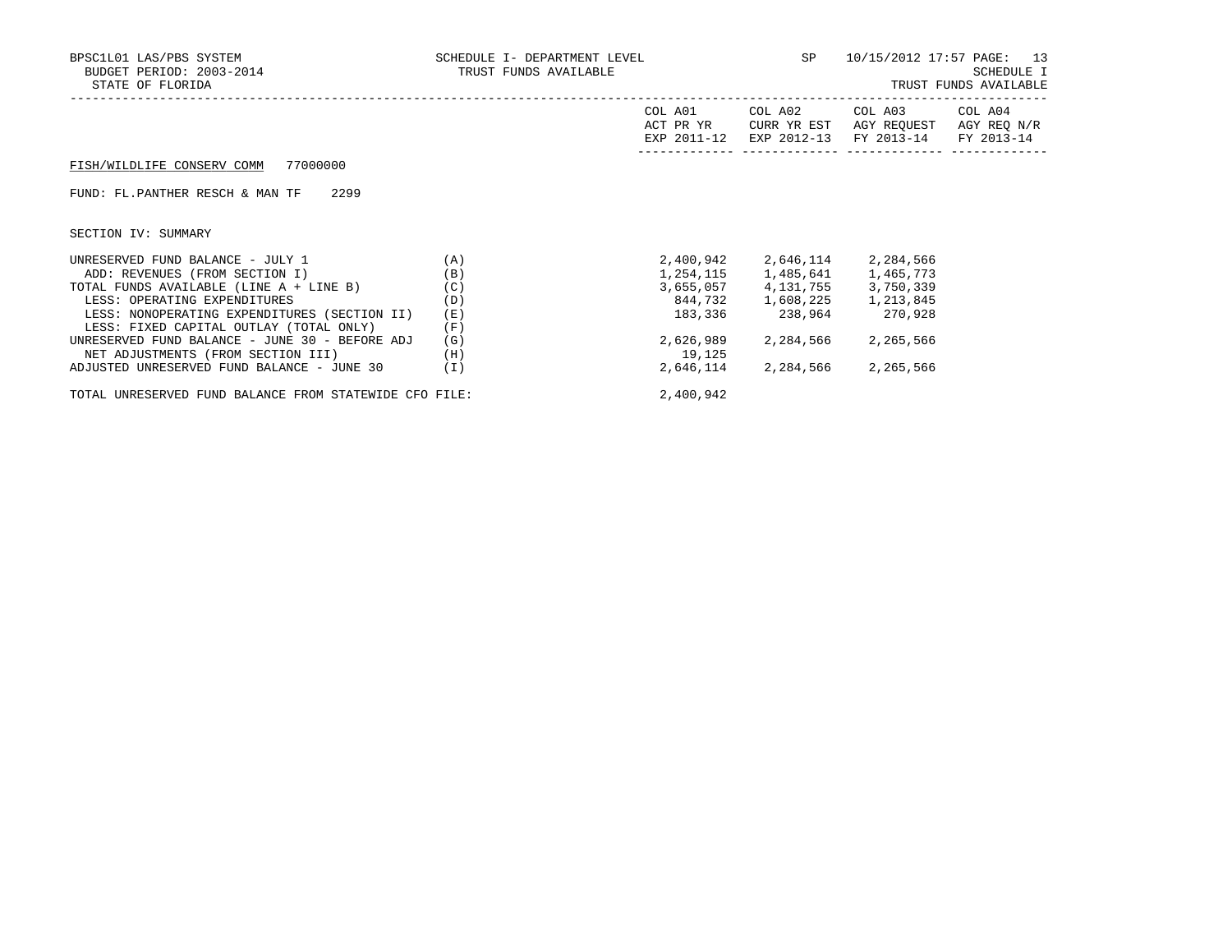| BPSC1L01 LAS/PBS SYSTEM<br>BUDGET PERIOD: 2003-2014<br>STATE OF FLORIDA                                                                                                                                                                                                                                                          | SCHEDULE I- DEPARTMENT LEVEL<br>TRUST FUNDS AVAILABLE |                                             | SP                                                                                                                                               | 10/15/2012 17:57 PAGE: 13            | <b>SCHEDULE I</b><br>TRUST FUNDS AVAILABLE |
|----------------------------------------------------------------------------------------------------------------------------------------------------------------------------------------------------------------------------------------------------------------------------------------------------------------------------------|-------------------------------------------------------|---------------------------------------------|--------------------------------------------------------------------------------------------------------------------------------------------------|--------------------------------------|--------------------------------------------|
|                                                                                                                                                                                                                                                                                                                                  |                                                       | COL A01<br>ACT PR YR<br>EXP 2011-12         | COL A02<br>CURR YR EST<br>EXP 2012-13                                                                                                            | COL A03<br>AGY REQUEST<br>FY 2013-14 | COL A04<br>AGY REQ N/R<br>FY 2013-14       |
| 77000000<br>FISH/WILDLIFE CONSERV COMM                                                                                                                                                                                                                                                                                           |                                                       |                                             |                                                                                                                                                  |                                      |                                            |
| 2299<br>FUND: FL.PANTHER RESCH & MAN TF                                                                                                                                                                                                                                                                                          |                                                       |                                             |                                                                                                                                                  |                                      |                                            |
| SECTION IV: SUMMARY                                                                                                                                                                                                                                                                                                              |                                                       |                                             |                                                                                                                                                  |                                      |                                            |
| UNRESERVED FUND BALANCE - JULY 1<br>ADD: REVENUES (FROM SECTION I)<br>TOTAL FUNDS AVAILABLE (LINE A + LINE B)<br>LESS: OPERATING EXPENDITURES<br>LESS: NONOPERATING EXPENDITURES (SECTION II)<br>LESS: FIXED CAPITAL OUTLAY (TOTAL ONLY)<br>UNRESERVED FUND BALANCE - JUNE 30 - BEFORE ADJ<br>NET ADJUSTMENTS (FROM SECTION III) | (A)<br>(B)<br>(C)<br>(D)<br>(E)<br>(F)<br>(G)<br>(H)  | 2,400,942<br>183,336<br>2,626,989<br>19,125 | 2,646,114<br>1, 254, 115 1, 485, 641 1, 465, 773<br>3,655,057 4,131,755 3,750,339<br>844,732 1,608,225 1,213,845<br>238,964 270,928<br>2,284,566 | 2,284,566<br>2,265,566               |                                            |
| ADJUSTED UNRESERVED FUND BALANCE - JUNE 30                                                                                                                                                                                                                                                                                       | (I)                                                   | 2,646,114                                   | 2,284,566 2,265,566                                                                                                                              |                                      |                                            |

TOTAL UNRESERVED FUND BALANCE FROM STATEWIDE CFO FILE: 2,400,942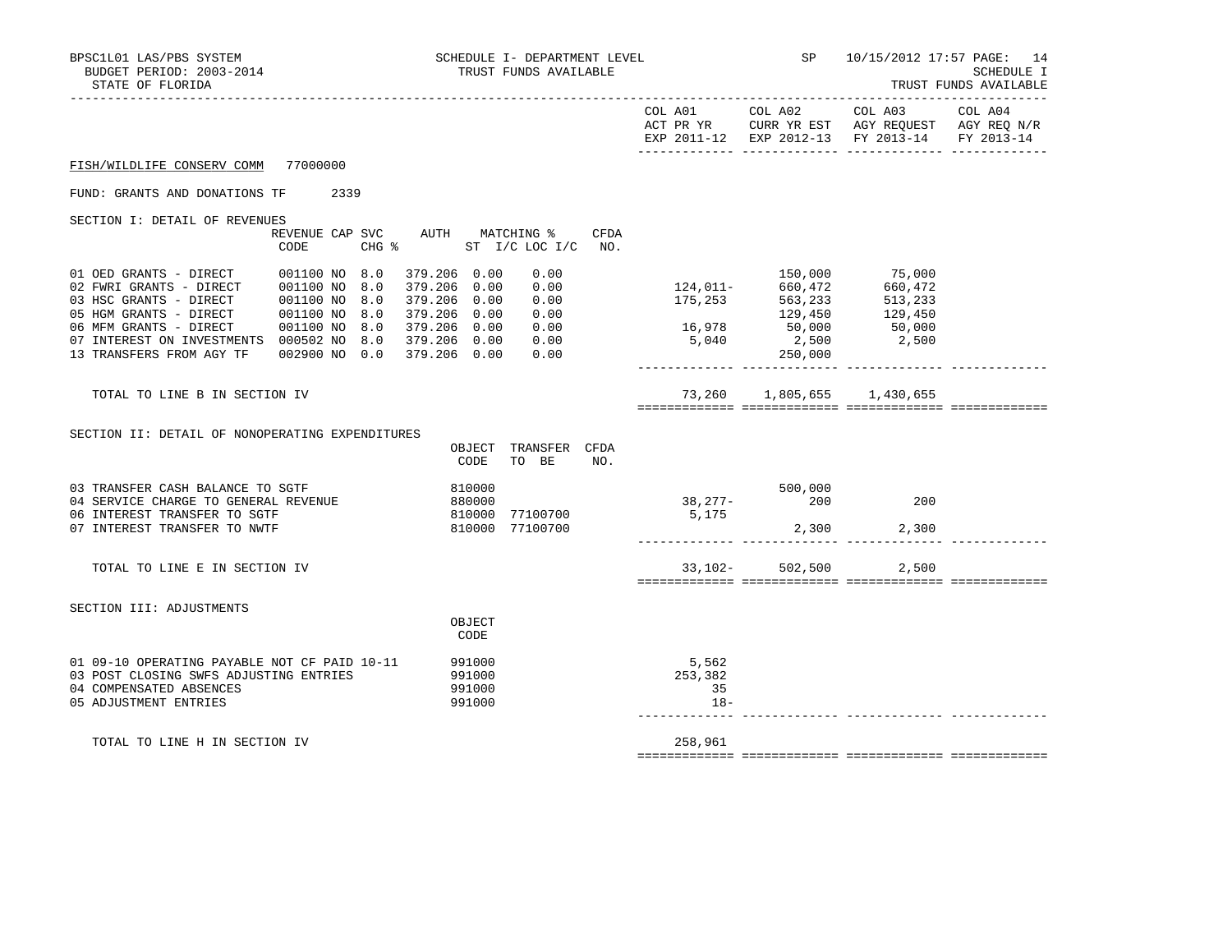| BPSC1L01 LAS/PBS SYSTEM<br>BUDGET PERIOD: 2003-2014<br>STATE OF FLORIDA                                                                                                                                                                                             |                                                 |     | SCHEDULE I- DEPARTMENT LEVEL<br>TRUST FUNDS AVAILABLE        |                  |                                                                            | <b>SP</b> SP | 10/15/2012 17:57 PAGE: 14<br><b>SCHEDULE I</b><br>TRUST FUNDS AVAILABLE |                    |                                                                   |  |
|---------------------------------------------------------------------------------------------------------------------------------------------------------------------------------------------------------------------------------------------------------------------|-------------------------------------------------|-----|--------------------------------------------------------------|------------------|----------------------------------------------------------------------------|--------------|-------------------------------------------------------------------------|--------------------|-------------------------------------------------------------------|--|
|                                                                                                                                                                                                                                                                     |                                                 |     |                                                              |                  |                                                                            |              |                                                                         |                    | EXP 2011-12 EXP 2012-13 FY 2013-14 FY 2013-14                     |  |
| FISH/WILDLIFE CONSERV COMM 77000000                                                                                                                                                                                                                                 |                                                 |     |                                                              |                  |                                                                            |              |                                                                         |                    |                                                                   |  |
| FUND: GRANTS AND DONATIONS TF 2339                                                                                                                                                                                                                                  |                                                 |     |                                                              |                  |                                                                            |              |                                                                         |                    |                                                                   |  |
| SECTION I: DETAIL OF REVENUES                                                                                                                                                                                                                                       | CODE                                            |     |                                                              |                  | REVENUE CAP SVC AUTH MATCHING %<br>CHG % ST I/C LOC I/C NO.                | CFDA         |                                                                         |                    |                                                                   |  |
| 01 OED GRANTS - DIRECT 001100 NO 8.0<br>02 FWRI GRANTS - DIRECT 001100 NO 8.0<br>03 HSC GRANTS - DIRECT 001100 NO<br>05 HGM GRANTS - DIRECT<br>06 MFM GRANTS - DIRECT<br>07 INTEREST ON INVESTMENTS  000502 NO 8.0  379.206  0.00  0.00<br>13 TRANSFERS FROM AGY TF | 001100 NO 8.0<br>001100 NO 8.0<br>002900 NO 0.0 | 8.0 | 379.206 0.00<br>379.206 0.00<br>379.206 0.00<br>379.206 0.00 |                  | 0.00<br>0.00<br>0.00<br>0.00<br>379.206  0.00  0.00<br>379.206  0.00  0.00 |              | 150,000 75,000<br>124,011- 660,472 660,472<br>175,253 563,233 513,233   | 250,000            | $129,450$<br>$16,978$<br>$5,040$<br>$2,500$<br>$2,500$<br>$2,500$ |  |
| TOTAL TO LINE B IN SECTION IV                                                                                                                                                                                                                                       |                                                 |     |                                                              |                  |                                                                            |              |                                                                         |                    | 73,260 1,805,655 1,430,655                                        |  |
| SECTION II: DETAIL OF NONOPERATING EXPENDITURES                                                                                                                                                                                                                     |                                                 |     |                                                              | OBJECT<br>CODE   | TRANSFER CFDA<br>TO BE                                                     | NO.          |                                                                         |                    |                                                                   |  |
| 03 TRANSFER CASH BALANCE TO SGTF<br>04 SERVICE CHARGE TO GENERAL REVENUE<br>06 INTEREST TRANSFER TO SGTF<br>07 INTEREST TRANSFER TO NWTF                                                                                                                            |                                                 |     |                                                              | 810000<br>880000 | 810000 77100700<br>810000 77100700                                         |              | 5,175                                                                   |                    | 200<br>2,300 2,300                                                |  |
| TOTAL TO LINE E IN SECTION IV                                                                                                                                                                                                                                       |                                                 |     |                                                              |                  |                                                                            |              |                                                                         | $33,102 - 502,500$ | 2,500                                                             |  |
| SECTION III: ADJUSTMENTS                                                                                                                                                                                                                                            |                                                 |     |                                                              | OBJECT<br>CODE   |                                                                            |              |                                                                         |                    |                                                                   |  |

|                                              | UDU LU 1<br>CODE |         |  |
|----------------------------------------------|------------------|---------|--|
| 01 09-10 OPERATING PAYABLE NOT CF PAID 10-11 | 991000           | 5,562   |  |
| 03 POST CLOSING SWFS ADJUSTING ENTRIES       | 991000           | 253,382 |  |
| 04 COMPENSATED ABSENCES                      | 991000           | 35      |  |
| 05 ADJUSTMENT ENTRIES                        | 991000           | $18 -$  |  |
|                                              |                  |         |  |
|                                              |                  |         |  |
| TOTAL TO LINE H IN SECTION IV                |                  | 258,961 |  |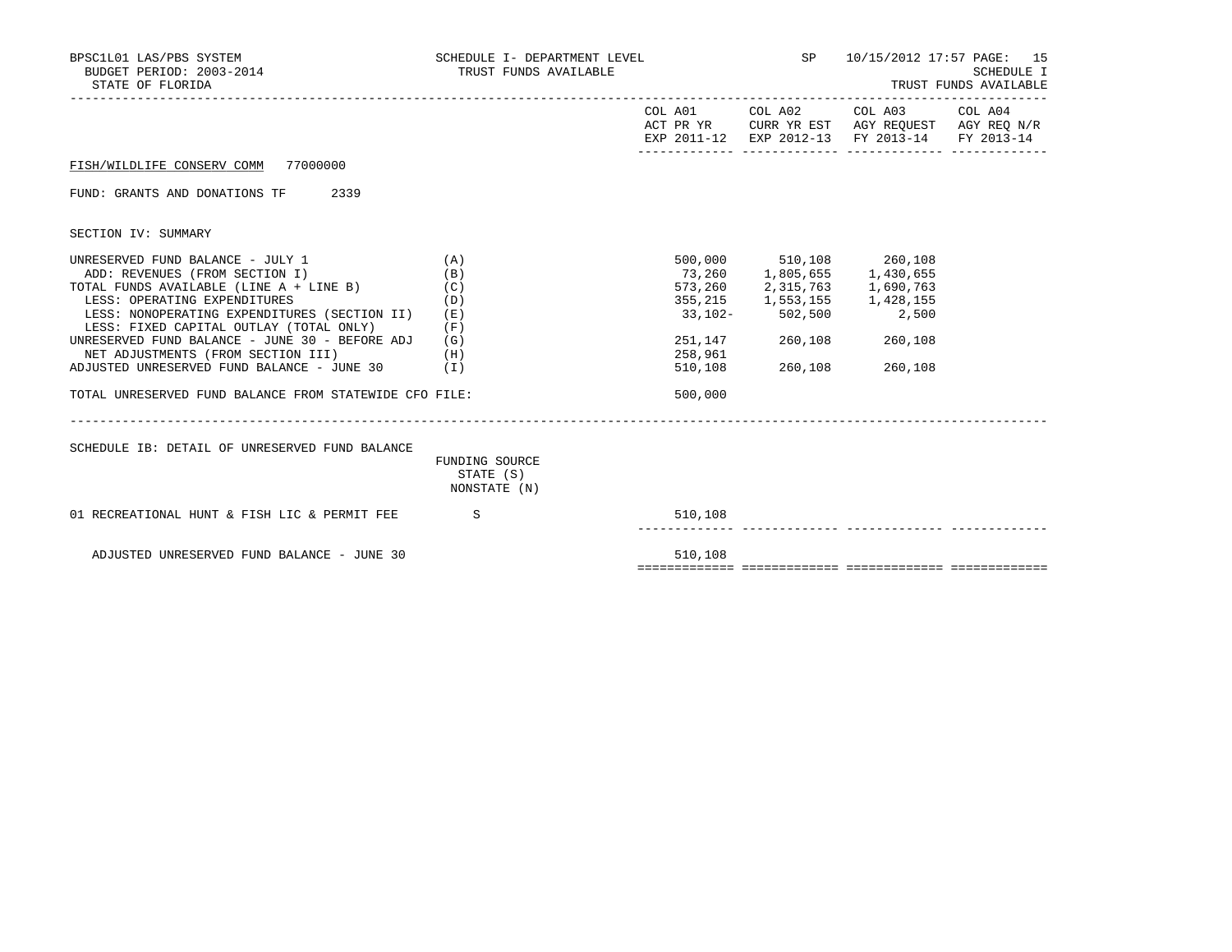| BPSC1L01 LAS/PBS SYSTEM<br>BUDGET PERIOD: 2003-2014<br>STATE OF FLORIDA                                                                                                                                                                                                                                                                                                                                                                            | SCHEDULE I- DEPARTMENT LEVEL<br>TRUST FUNDS AVAILABLE    |                                         |                                                                                                                                                                                   | SP 10/15/2012 17:57 PAGE: 15                                                                           | SCHEDULE I<br>TRUST FUNDS AVAILABLE |
|----------------------------------------------------------------------------------------------------------------------------------------------------------------------------------------------------------------------------------------------------------------------------------------------------------------------------------------------------------------------------------------------------------------------------------------------------|----------------------------------------------------------|-----------------------------------------|-----------------------------------------------------------------------------------------------------------------------------------------------------------------------------------|--------------------------------------------------------------------------------------------------------|-------------------------------------|
|                                                                                                                                                                                                                                                                                                                                                                                                                                                    |                                                          | COL A01                                 | COL A02                                                                                                                                                                           | COL A03 COL A04<br>ACT PR YR CURR YR EST AGY REQUEST AGY REQ N/R<br>EXP 2011-12 EXP 2012-13 FY 2013-14 | FY 2013-14                          |
| FISH/WILDLIFE CONSERV COMM 77000000                                                                                                                                                                                                                                                                                                                                                                                                                |                                                          |                                         |                                                                                                                                                                                   |                                                                                                        |                                     |
| FUND: GRANTS AND DONATIONS TF 2339                                                                                                                                                                                                                                                                                                                                                                                                                 |                                                          |                                         |                                                                                                                                                                                   |                                                                                                        |                                     |
| SECTION IV: SUMMARY                                                                                                                                                                                                                                                                                                                                                                                                                                |                                                          |                                         |                                                                                                                                                                                   |                                                                                                        |                                     |
| UNRESERVED FUND BALANCE - JULY 1<br>ADD: REVENUES (FROM SECTION I)<br>TOTAL FUNDS AVAILABLE (LINE A + LINE B) (C)<br>LESS: OPERATING EXPENDITURES<br>LESS: NONOPERATING EXPENDITURES (SECTION II)<br>LESS: FIXED CAPITAL OUTLAY (TOTAL ONLY)<br>UNRESERVED FUND BALANCE - JUNE 30 - BEFORE ADJ<br>NET ADJUSTMENTS (FROM SECTION III)<br>ADJUSTED UNRESERVED FUND BALANCE - JUNE $30$ (I)<br>TOTAL UNRESERVED FUND BALANCE FROM STATEWIDE CFO FILE: | (A)<br>(B)<br>(D)<br>(E)<br>$(\mathbf{F})$<br>(G)<br>(H) | 73,260<br>258,961<br>510,108<br>500,000 | 500,000 510,108 260,108<br>1,805,655 1,430,655<br>573,260 2,315,763 1,690,763<br>355, 215 1, 553, 155 1, 428, 155<br>33,102-502,500<br>251,147 260,108 260,108<br>260,108 260,108 | 2,500                                                                                                  |                                     |
| SCHEDULE IB: DETAIL OF UNRESERVED FUND BALANCE                                                                                                                                                                                                                                                                                                                                                                                                     | FUNDING SOURCE<br>STATE (S)<br>NONSTATE (N)              |                                         |                                                                                                                                                                                   |                                                                                                        |                                     |
| 01 RECREATIONAL HUNT & FISH LIC & PERMIT FEE S                                                                                                                                                                                                                                                                                                                                                                                                     |                                                          | 510,108                                 |                                                                                                                                                                                   |                                                                                                        |                                     |
| ADJUSTED UNRESERVED FUND BALANCE - JUNE 30                                                                                                                                                                                                                                                                                                                                                                                                         |                                                          | 510,108                                 |                                                                                                                                                                                   |                                                                                                        |                                     |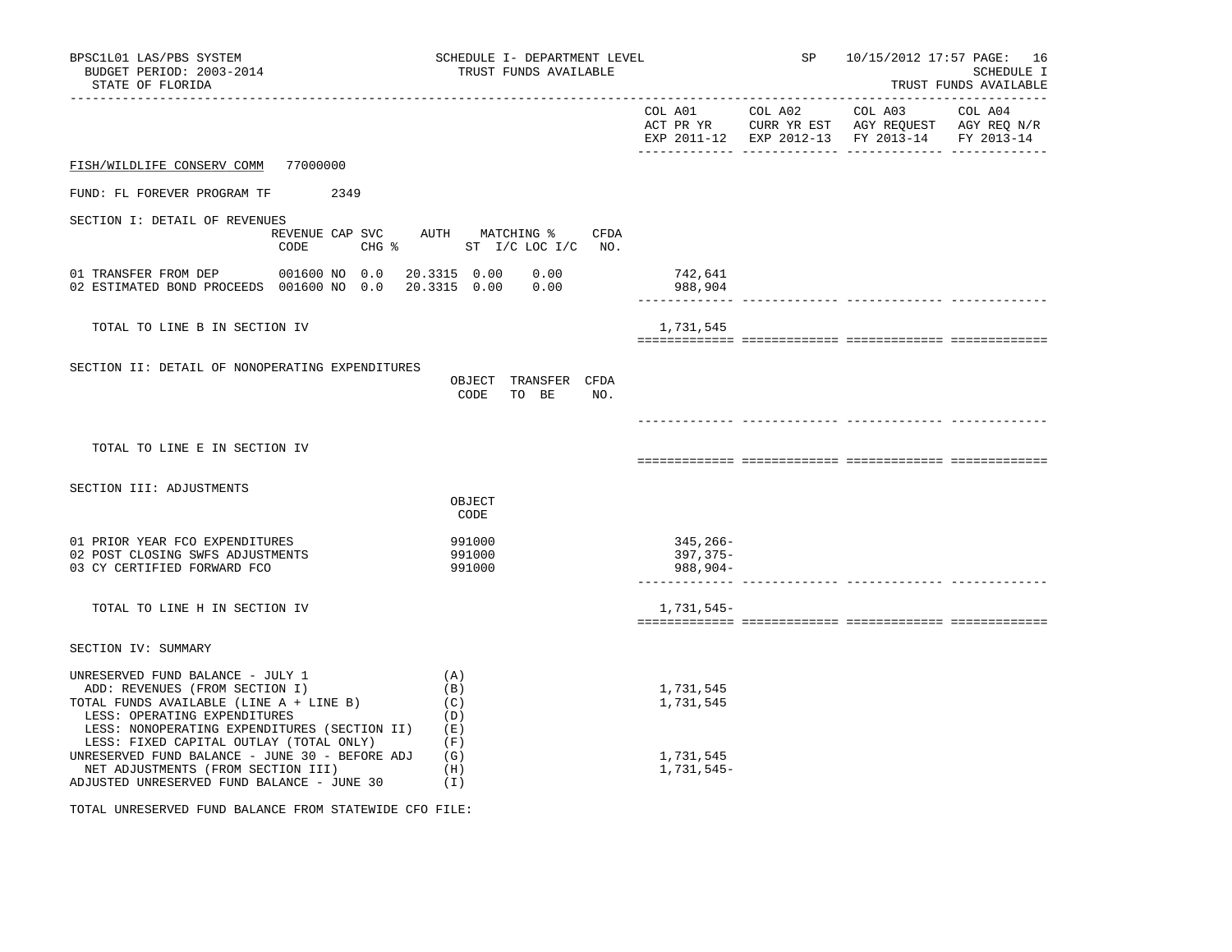| BPSC1L01 LAS/PBS SYSTEM<br>BUDGET PERIOD: 2003-2014<br>STATE OF FLORIDA                                                                                                                       |                                              | SCHEDULE I- DEPARTMENT LEVEL<br>TRUST FUNDS AVAILABLE |                                      |  | SP and the set of the set of the set of the set of the set of the set of the set of the set of the set of the set of the set of the set of the set of the set of the set of the set of the set of the set of the set of the se |  | 10/15/2012 17:57 PAGE: 16<br>SCHEDULE I<br>TRUST FUNDS AVAILABLE                                                                                                                                                                                                                           |  |  |
|-----------------------------------------------------------------------------------------------------------------------------------------------------------------------------------------------|----------------------------------------------|-------------------------------------------------------|--------------------------------------|--|--------------------------------------------------------------------------------------------------------------------------------------------------------------------------------------------------------------------------------|--|--------------------------------------------------------------------------------------------------------------------------------------------------------------------------------------------------------------------------------------------------------------------------------------------|--|--|
|                                                                                                                                                                                               |                                              |                                                       |                                      |  |                                                                                                                                                                                                                                |  | $\begin{tabular}{lllllllllll} \multicolumn{2}{l}{{\text{COL A01}}} & \multicolumn{2}{c}{{\text{COL A03}}} & \multicolumn{2}{c}{{\text{COL A04}}} \end{tabular}$<br>ACT PR YR $\,$ CURR YR EST $\,$ AGY REQUEST $\,$ AGY REQ $\,$ N/R $\,$<br>EXP 2011-12 EXP 2012-13 FY 2013-14 FY 2013-14 |  |  |
| FISH/WILDLIFE CONSERV COMM 77000000                                                                                                                                                           |                                              |                                                       |                                      |  |                                                                                                                                                                                                                                |  |                                                                                                                                                                                                                                                                                            |  |  |
| FUND: FL FOREVER PROGRAM TF                                                                                                                                                                   | 2349                                         |                                                       |                                      |  |                                                                                                                                                                                                                                |  |                                                                                                                                                                                                                                                                                            |  |  |
| SECTION I: DETAIL OF REVENUES                                                                                                                                                                 | REVENUE CAP SVC AUTH MATCHING % CFDA<br>CODE |                                                       | CHG $\frac{1}{6}$ ST I/C LOC I/C NO. |  |                                                                                                                                                                                                                                |  |                                                                                                                                                                                                                                                                                            |  |  |
| 01 TRANSFER FROM DEP 001600 NO 0.0<br>02 ESTIMATED BOND PROCEEDS 001600 NO 0.0                                                                                                                |                                              | 20.3315  0.00  0.00<br>20.3315  0.00  0.00            |                                      |  | 742,641<br>988,904                                                                                                                                                                                                             |  |                                                                                                                                                                                                                                                                                            |  |  |
| TOTAL TO LINE B IN SECTION IV                                                                                                                                                                 |                                              |                                                       |                                      |  | 1,731,545                                                                                                                                                                                                                      |  |                                                                                                                                                                                                                                                                                            |  |  |
| SECTION II: DETAIL OF NONOPERATING EXPENDITURES                                                                                                                                               |                                              | CODE                                                  | OBJECT TRANSFER CFDA<br>TO BE<br>NO. |  |                                                                                                                                                                                                                                |  |                                                                                                                                                                                                                                                                                            |  |  |
| TOTAL TO LINE E IN SECTION IV                                                                                                                                                                 |                                              |                                                       |                                      |  |                                                                                                                                                                                                                                |  |                                                                                                                                                                                                                                                                                            |  |  |
| SECTION III: ADJUSTMENTS                                                                                                                                                                      |                                              | OBJECT<br>CODE                                        |                                      |  |                                                                                                                                                                                                                                |  |                                                                                                                                                                                                                                                                                            |  |  |
| 01 PRIOR YEAR FCO EXPENDITURES<br>02 POST CLOSING SWFS ADJUSTMENTS<br>03 CY CERTIFIED FORWARD FCO                                                                                             |                                              | 991000<br>991000<br>991000                            |                                      |  | 345,266-<br>397,375-<br>988,904-                                                                                                                                                                                               |  |                                                                                                                                                                                                                                                                                            |  |  |
| TOTAL TO LINE H IN SECTION IV                                                                                                                                                                 |                                              |                                                       |                                      |  | 1,731,545-                                                                                                                                                                                                                     |  |                                                                                                                                                                                                                                                                                            |  |  |
| SECTION IV: SUMMARY                                                                                                                                                                           |                                              |                                                       |                                      |  |                                                                                                                                                                                                                                |  |                                                                                                                                                                                                                                                                                            |  |  |
| UNRESERVED FUND BALANCE - JULY 1<br>ADD: REVENUES (FROM SECTION I)<br>TOTAL FUNDS AVAILABLE (LINE A + LINE B)<br>LESS: OPERATING EXPENDITURES<br>LESS: NONOPERATING EXPENDITURES (SECTION II) |                                              | (A)<br>(B)<br>(C)<br>(D)<br>(E)                       |                                      |  | 1,731,545<br>1,731,545                                                                                                                                                                                                         |  |                                                                                                                                                                                                                                                                                            |  |  |
| LESS: FIXED CAPITAL OUTLAY (TOTAL ONLY)<br>UNRESERVED FUND BALANCE - JUNE 30 - BEFORE ADJ<br>NET ADJUSTMENTS (FROM SECTION III)<br>ADJUSTED UNRESERVED FUND BALANCE - JUNE 30                 |                                              | (F)<br>(G)<br>(H)<br>(I)                              |                                      |  | 1,731,545<br>1,731,545-                                                                                                                                                                                                        |  |                                                                                                                                                                                                                                                                                            |  |  |

TOTAL UNRESERVED FUND BALANCE FROM STATEWIDE CFO FILE: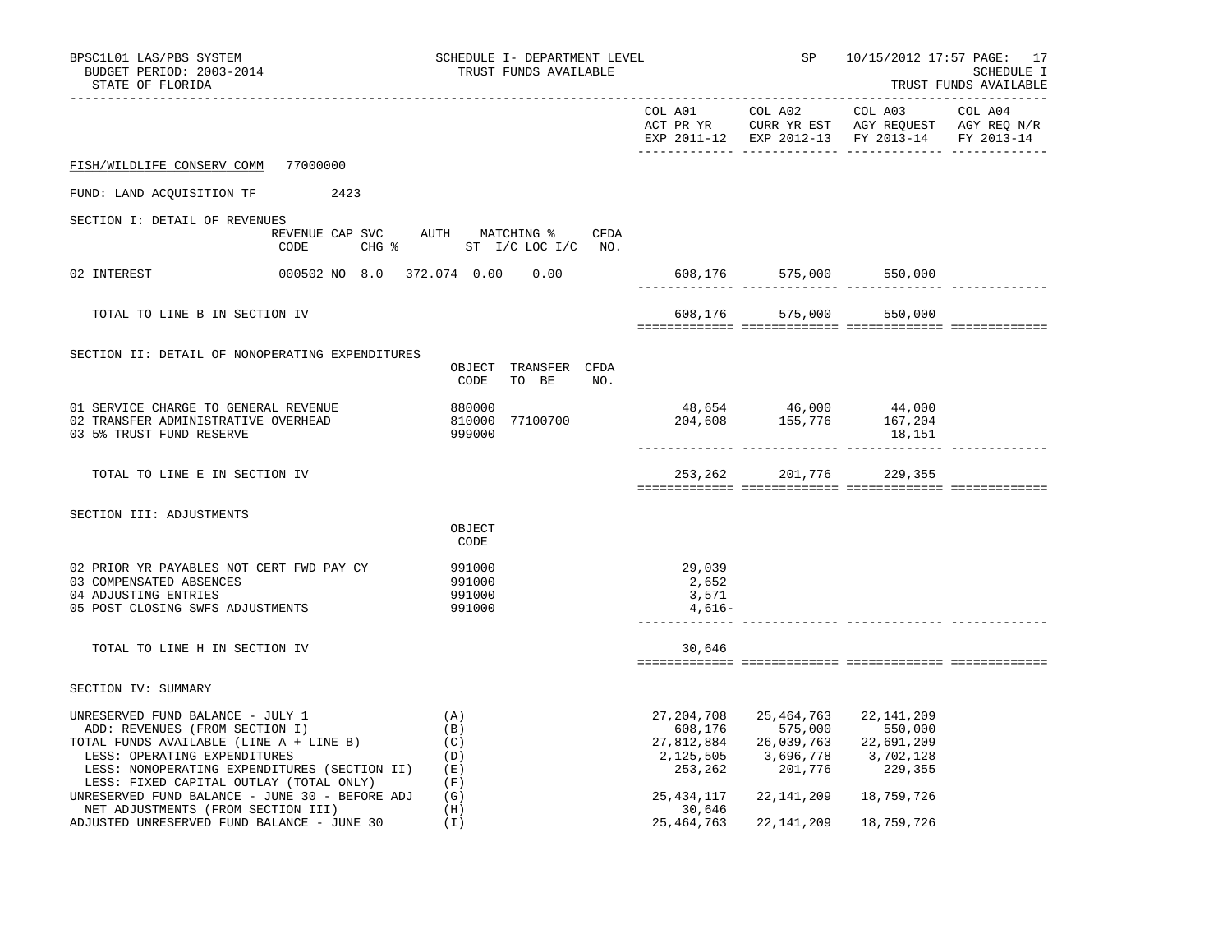| BPSC1L01 LAS/PBS SYSTEM<br>BUDGET PERIOD: 2003-2014<br>STATE OF FLORIDA                                                                                                                                                                      | SCHEDULE I- DEPARTMENT LEVEL<br>TRUST FUNDS AVAILABLE                        |                                               |                                                                                                     | SP 10/15/2012 17:57 PAGE: 17<br>SCHEDULE I<br>TRUST FUNDS AVAILABLE |  |  |
|----------------------------------------------------------------------------------------------------------------------------------------------------------------------------------------------------------------------------------------------|------------------------------------------------------------------------------|-----------------------------------------------|-----------------------------------------------------------------------------------------------------|---------------------------------------------------------------------|--|--|
|                                                                                                                                                                                                                                              |                                                                              | EXP 2011-12 EXP 2012-13 FY 2013-14 FY 2013-14 |                                                                                                     |                                                                     |  |  |
| FISH/WILDLIFE CONSERV COMM 77000000                                                                                                                                                                                                          |                                                                              |                                               |                                                                                                     |                                                                     |  |  |
| FUND: LAND ACQUISITION TF 2423                                                                                                                                                                                                               |                                                                              |                                               |                                                                                                     |                                                                     |  |  |
| SECTION I: DETAIL OF REVENUES                                                                                                                                                                                                                |                                                                              |                                               |                                                                                                     |                                                                     |  |  |
| CODE                                                                                                                                                                                                                                         | REVENUE CAP SVC AUTH MATCHING % CFDA<br>CHG $\frac{1}{6}$ ST I/C LOC I/C NO. |                                               |                                                                                                     |                                                                     |  |  |
| 02 INTEREST                                                                                                                                                                                                                                  | 000502 NO 8.0 372.074 0.00 0.00                                              |                                               |                                                                                                     |                                                                     |  |  |
| TOTAL TO LINE B IN SECTION IV                                                                                                                                                                                                                |                                                                              |                                               |                                                                                                     | 608,176 575,000 550,000                                             |  |  |
|                                                                                                                                                                                                                                              |                                                                              |                                               |                                                                                                     |                                                                     |  |  |
| SECTION II: DETAIL OF NONOPERATING EXPENDITURES                                                                                                                                                                                              | OBJECT TRANSFER CFDA<br>CODE<br>TO BE<br>NO.                                 |                                               |                                                                                                     |                                                                     |  |  |
| 01 SERVICE CHARGE TO GENERAL REVENUE<br>02 TRANSFER ADMINISTRATIVE OVERHEAD<br>03 5% TRUST FUND RESERVE                                                                                                                                      | 880000<br>810000 77100700<br>999000                                          |                                               | $48,654$ $46,000$ $44,000$<br>$204,608$ $155,776$ $167,204$                                         | 18,151                                                              |  |  |
| TOTAL TO LINE E IN SECTION IV                                                                                                                                                                                                                |                                                                              |                                               | 253, 262 201, 776 229, 355                                                                          |                                                                     |  |  |
|                                                                                                                                                                                                                                              |                                                                              |                                               |                                                                                                     |                                                                     |  |  |
| SECTION III: ADJUSTMENTS                                                                                                                                                                                                                     | OBJECT<br>CODE                                                               |                                               |                                                                                                     |                                                                     |  |  |
| 02 PRIOR YR PAYABLES NOT CERT FWD PAY CY<br>03 COMPENSATED ABSENCES<br>04 ADJUSTING ENTRIES<br>05 POST CLOSING SWFS ADJUSTMENTS                                                                                                              | 991000<br>991000<br>991000<br>991000                                         | 29,039<br>2,652<br>3,571<br>$4,616-$          |                                                                                                     |                                                                     |  |  |
| TOTAL TO LINE H IN SECTION IV                                                                                                                                                                                                                |                                                                              | 30,646                                        |                                                                                                     |                                                                     |  |  |
| SECTION IV: SUMMARY                                                                                                                                                                                                                          |                                                                              |                                               |                                                                                                     |                                                                     |  |  |
| UNRESERVED FUND BALANCE - JULY 1<br>ADD: REVENUES (FROM SECTION I)<br>TOTAL FUNDS AVAILABLE (LINE A + LINE B)<br>LESS: OPERATING EXPENDITURES<br>LESS: NONOPERATING EXPENDITURES (SECTION II) (E)<br>LESS: FIXED CAPITAL OUTLAY (TOTAL ONLY) | (A)<br>(B)<br>(C)<br>(D)<br>(F)                                              | 27,204,708<br>608,176<br>2,125,505            | 25,464,763<br>575,000 550,000<br>27,812,884 26,039,763 22,691,209<br>3,696,778<br>253, 262 201, 776 | 22, 141, 209<br>3,702,128<br>229,355                                |  |  |
| UNRESERVED FUND BALANCE - JUNE 30 - BEFORE ADJ $(G)$<br>NET ADJUSTMENTS (FROM SECTION III)<br>ADJUSTED UNRESERVED FUND BALANCE - JUNE 30                                                                                                     | (H)<br>(I)                                                                   | 25,434,117<br>30,646<br>25, 464, 763          | 22,141,209                                                                                          | 22,141,209 18,759,726<br>18,759,726                                 |  |  |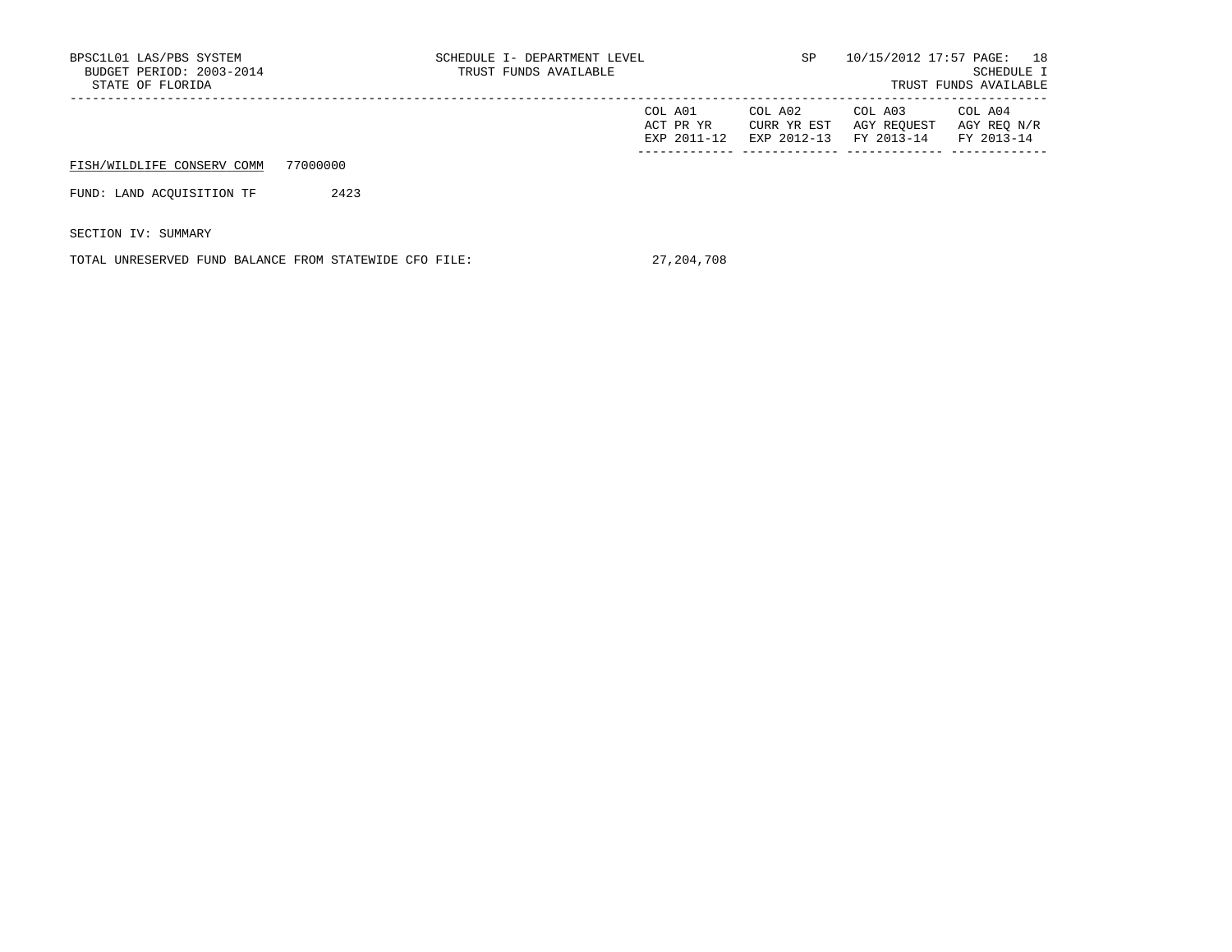| BPSC1L01 LAS/PBS SYSTEM<br>BUDGET PERIOD: 2003-2014<br>STATE OF FLORIDA |          | SCHEDULE I- DEPARTMENT LEVEL<br>TRUST FUNDS AVAILABLE |                                     | SP.                                   | 10/15/2012 17:57 PAGE: 18            | SCHEDULE I<br>TRUST FUNDS AVAILABLE  |
|-------------------------------------------------------------------------|----------|-------------------------------------------------------|-------------------------------------|---------------------------------------|--------------------------------------|--------------------------------------|
|                                                                         |          |                                                       | COL A01<br>ACT PR YR<br>EXP 2011-12 | COL A02<br>CURR YR EST<br>EXP 2012-13 | COL A03<br>AGY REOUEST<br>FY 2013-14 | COL A04<br>AGY REO N/R<br>FY 2013-14 |
| FISH/WILDLIFE CONSERV COMM                                              | 77000000 |                                                       |                                     |                                       |                                      |                                      |
| FUND: LAND ACOUISITION TF                                               | 2423     |                                                       |                                     |                                       |                                      |                                      |
| SECTION IV: SUMMARY                                                     |          |                                                       |                                     |                                       |                                      |                                      |

TOTAL UNRESERVED FUND BALANCE FROM STATEWIDE CFO FILE: 27,204,708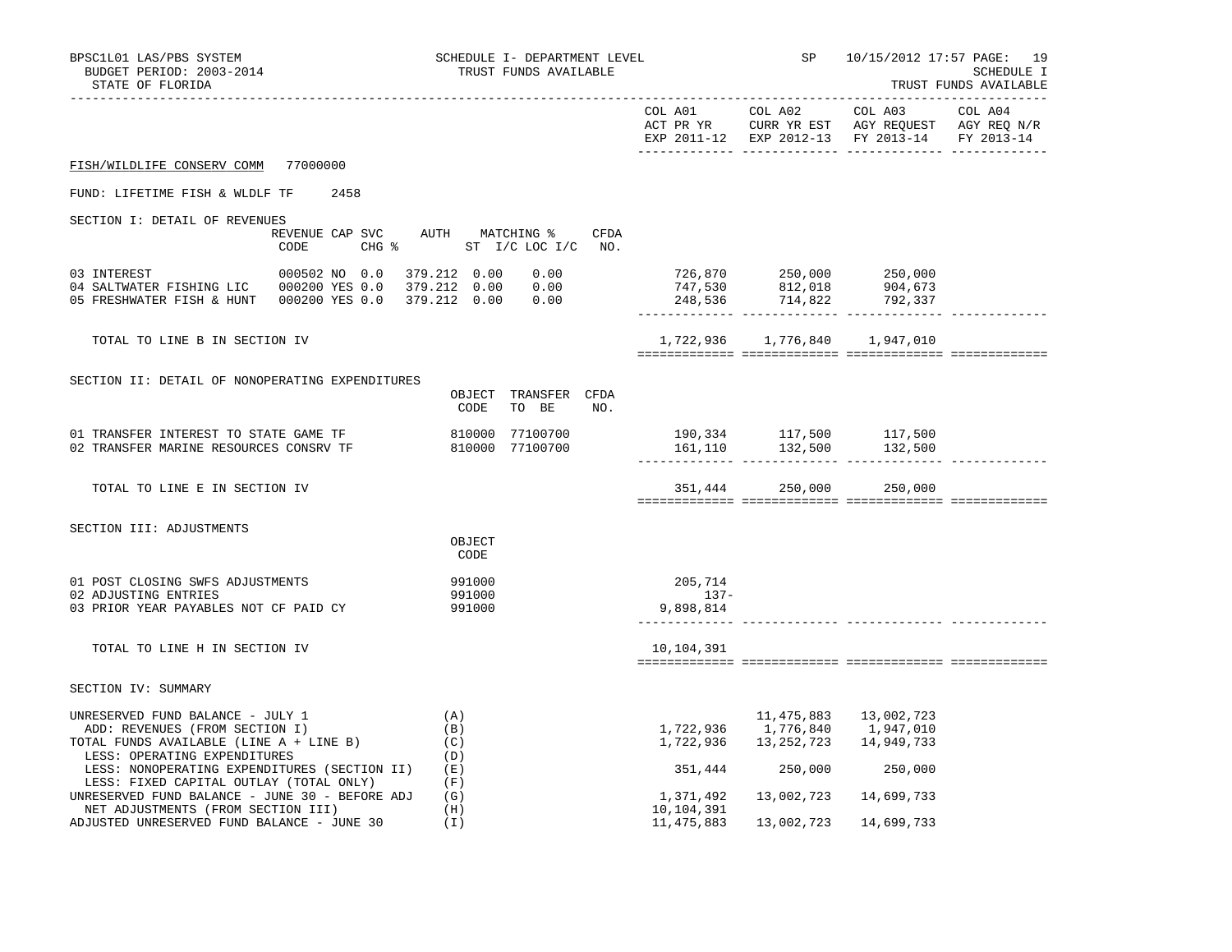| BPSC1L01 LAS/PBS SYSTEM<br>BUDGET PERIOD: 2003-2014<br>STATE OF FLORIDA                                                                       |                                         | SCHEDULE I- DEPARTMENT LEVEL<br>TRUST FUNDS AVAILABLE |      |                             |                                                                                     | SP 10/15/2012 17:57 PAGE: 19                  | SCHEDULE I<br>TRUST FUNDS AVAILABLE |
|-----------------------------------------------------------------------------------------------------------------------------------------------|-----------------------------------------|-------------------------------------------------------|------|-----------------------------|-------------------------------------------------------------------------------------|-----------------------------------------------|-------------------------------------|
|                                                                                                                                               |                                         |                                                       |      |                             |                                                                                     | EXP 2011-12 EXP 2012-13 FY 2013-14 FY 2013-14 |                                     |
| FISH/WILDLIFE CONSERV COMM 77000000                                                                                                           |                                         |                                                       |      |                             |                                                                                     |                                               |                                     |
| FUND: LIFETIME FISH & WLDLF TF                                                                                                                | 2458                                    |                                                       |      |                             |                                                                                     |                                               |                                     |
| SECTION I: DETAIL OF REVENUES                                                                                                                 |                                         |                                                       |      |                             |                                                                                     |                                               |                                     |
|                                                                                                                                               | REVENUE CAP SVC AUTH MATCHING %<br>CODE | CHG % ST I/C LOC I/C NO.                              | CFDA |                             |                                                                                     |                                               |                                     |
| 03 INTEREST<br>05 FRESHWATER FISH & HUNT  000200 YES 0.0  379.212  0.00  0.00                                                                 | $0.00502$ NO $0.0$ 379.212 $0.00$ 0.00  |                                                       |      |                             | 726,870 250,000 250,000<br>$747,530$ $812,018$ 904,673<br>$248,536$ 714,822 792,337 |                                               |                                     |
| TOTAL TO LINE B IN SECTION IV                                                                                                                 |                                         |                                                       |      |                             | 1,722,936 1,776,840 1,947,010                                                       |                                               |                                     |
| SECTION II: DETAIL OF NONOPERATING EXPENDITURES                                                                                               |                                         | OBJECT TRANSFER CFDA<br>CODE<br>TO BE                 | NO.  |                             |                                                                                     |                                               |                                     |
| 01 TRANSFER INTEREST TO STATE GAME TF<br>02 TRANSFER MARINE RESOURCES CONSRV TF 810000 77100700                                               |                                         | 810000 77100700                                       |      |                             | 190,334 117,500 117,500<br>$161,110$ $132,500$ $132,500$                            |                                               |                                     |
| TOTAL TO LINE E IN SECTION IV                                                                                                                 |                                         |                                                       |      |                             | 351,444 250,000 250,000                                                             |                                               |                                     |
| SECTION III: ADJUSTMENTS                                                                                                                      |                                         | OBJECT<br>CODE                                        |      |                             |                                                                                     |                                               |                                     |
| 01 POST CLOSING SWFS ADJUSTMENTS<br>02 ADJUSTING ENTRIES                                                                                      |                                         | 991000<br>991000                                      |      | 205,714<br>$137-$           |                                                                                     |                                               |                                     |
| 03 PRIOR YEAR PAYABLES NOT CF PAID CY                                                                                                         |                                         | 991000                                                |      | 9,898,814<br>-------------- |                                                                                     |                                               |                                     |
| TOTAL TO LINE H IN SECTION IV                                                                                                                 |                                         |                                                       |      | 10,104,391                  |                                                                                     |                                               |                                     |
| SECTION IV: SUMMARY                                                                                                                           |                                         |                                                       |      |                             |                                                                                     |                                               |                                     |
| UNRESERVED FUND BALANCE - JULY 1<br>ADD: REVENUES (FROM SECTION I)<br>TOTAL FUNDS AVAILABLE (LINE A + LINE B)<br>LESS: OPERATING EXPENDITURES |                                         | (A)<br>(B)<br>(C)<br>(D)                              |      |                             | 1,722,936 1,776,840 1,947,010<br>1,722,936 13,252,723                               | 11,475,883   13,002,723<br>14,949,733         |                                     |
| LESS: NONOPERATING EXPENDITURES (SECTION II)<br>LESS: FIXED CAPITAL OUTLAY (TOTAL ONLY)                                                       |                                         | (E)<br>(F)                                            |      |                             | 351,444 250,000                                                                     | 250,000                                       |                                     |
| UNRESERVED FUND BALANCE - JUNE 30 - BEFORE ADJ<br>NET ADJUSTMENTS (FROM SECTION III)                                                          |                                         | (G)<br>(H)                                            |      | 1,371,492<br>10,104,391     |                                                                                     | 13,002,723 14,699,733                         |                                     |
| ADJUSTED UNRESERVED FUND BALANCE - JUNE 30                                                                                                    |                                         | (T)                                                   |      | 11,475,883                  | 13,002,723                                                                          | 14,699,733                                    |                                     |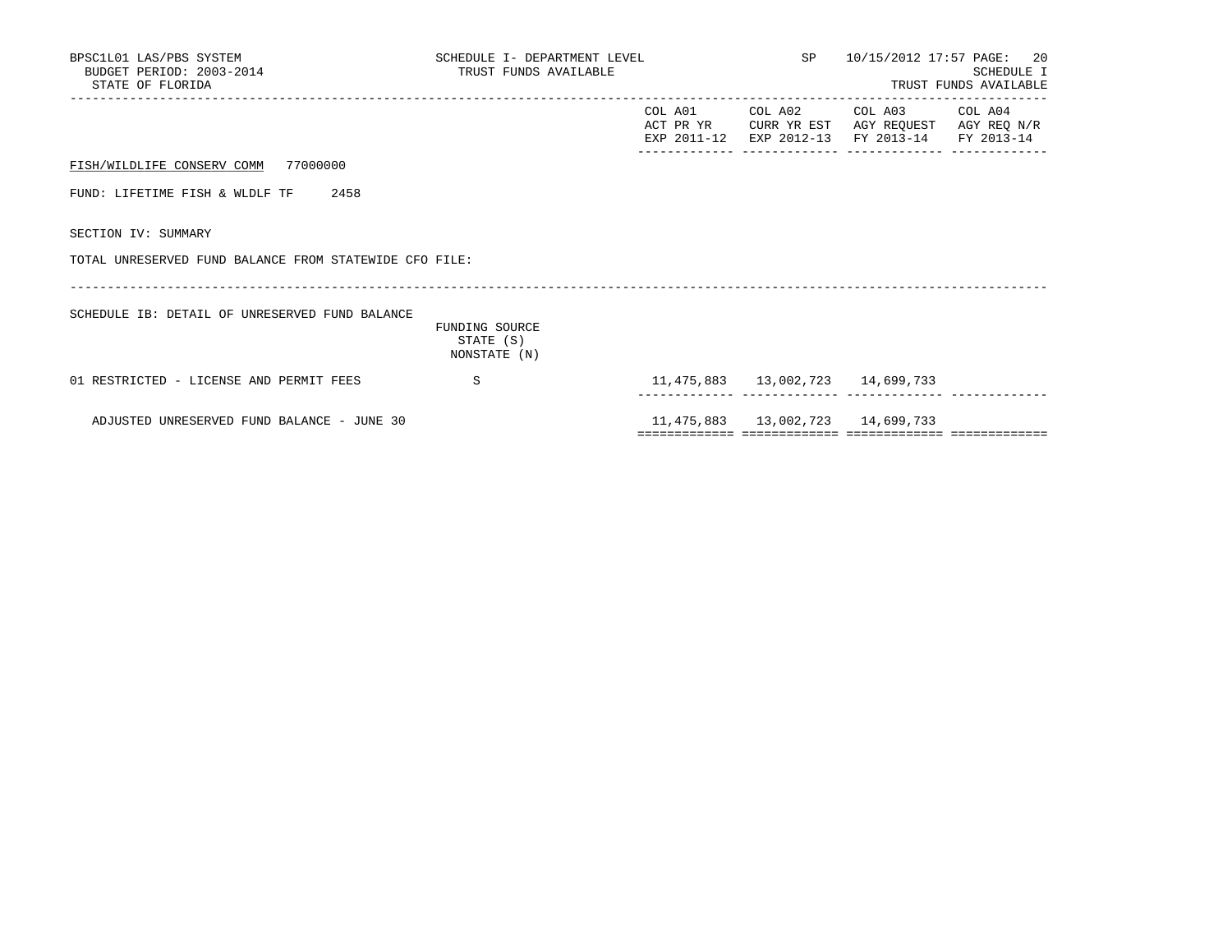| BPSC1L01 LAS/PBS SYSTEM<br>BUDGET PERIOD: 2003-2014<br>STATE OF FLORIDA | SCHEDULE I- DEPARTMENT LEVEL<br>TRUST FUNDS AVAILABLE |  |                                        | SP 10/15/2012 17:57 PAGE: 20<br>SCHEDULE I<br>TRUST FUNDS AVAILABLE                                                               |  |  |
|-------------------------------------------------------------------------|-------------------------------------------------------|--|----------------------------------------|-----------------------------------------------------------------------------------------------------------------------------------|--|--|
|                                                                         |                                                       |  |                                        | COL A01 COL A02 COL A03 COL A04<br>ACT PR YR CURR YR EST AGY REOUEST AGY REO N/R<br>EXP 2011-12 EXP 2012-13 FY 2013-14 FY 2013-14 |  |  |
| FISH/WILDLIFE CONSERV COMM 77000000                                     |                                                       |  |                                        |                                                                                                                                   |  |  |
| FUND: LIFETIME FISH & WLDLF TF 2458                                     |                                                       |  |                                        |                                                                                                                                   |  |  |
| SECTION IV: SUMMARY                                                     |                                                       |  |                                        |                                                                                                                                   |  |  |
| TOTAL UNRESERVED FUND BALANCE FROM STATEWIDE CFO FILE:                  |                                                       |  |                                        |                                                                                                                                   |  |  |
| SCHEDULE IB: DETAIL OF UNRESERVED FUND BALANCE                          | FUNDING SOURCE<br>STATE (S)<br>NONSTATE (N)           |  |                                        |                                                                                                                                   |  |  |
| 01 RESTRICTED - LICENSE AND PERMIT FEES                                 | S.                                                    |  | 11,475,883   13,002,723   14,699,733   |                                                                                                                                   |  |  |
| ADJUSTED UNRESERVED FUND BALANCE - JUNE 30                              |                                                       |  | 11, 475, 883 13, 002, 723 14, 699, 733 |                                                                                                                                   |  |  |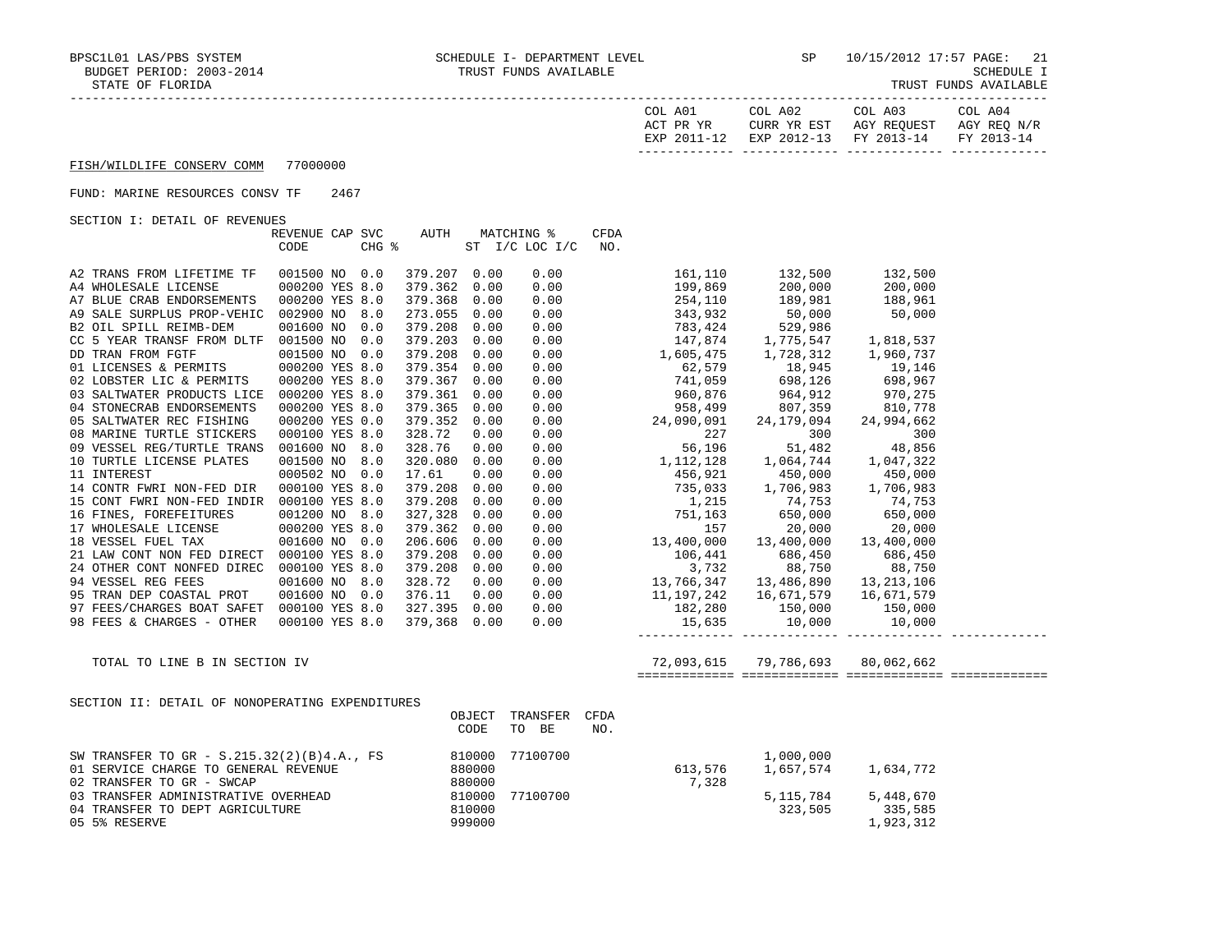| COL A01<br>ACT PR YR | COL A02<br>CURR YR EST            | COL A03<br>AGY REOUEST | COL A04<br>AGY REO N/R |
|----------------------|-----------------------------------|------------------------|------------------------|
| EXP 2011-12          | EXP 2012-13 FY 2013-14 FY 2013-14 |                        |                        |

# FUND: MARINE RESOURCES CONSV TF 2467

SECTION I: DETAIL OF REVENUES

|                                                                                                                                                                                                                         | REVENUE CAP SVC<br>CODE |  | AUTH<br>$CHG$ $\approx$ |      | MATCHING %<br>ST I/C LOC I/C | CFDA<br>NO. |                                                  |         |                         |  |
|-------------------------------------------------------------------------------------------------------------------------------------------------------------------------------------------------------------------------|-------------------------|--|-------------------------|------|------------------------------|-------------|--------------------------------------------------|---------|-------------------------|--|
| A2 TRANS FROM LIFETIME TF                                                                                                                                                                                               | 001500 NO 0.0           |  | 379.207 0.00            |      |                              |             |                                                  |         |                         |  |
| A4 WHOLESALE LICENSE                                                                                                                                                                                                    | 000200 YES 8.0          |  | 379.362 0.00            |      |                              |             |                                                  |         |                         |  |
| A7 BLUE CRAB ENDORSEMENTS                                                                                                                                                                                               | 000200 YES 8.0          |  | 379.368 0.00            |      |                              |             |                                                  |         |                         |  |
| A9 SALE SURPLUS PROP-VEHIC 002900 NO 8.0                                                                                                                                                                                |                         |  | 273.055 0.00            |      |                              |             |                                                  |         |                         |  |
| B2 OIL SPILL REIMB-DEM                                                                                                                                                                                                  | 001600 NO 0.0           |  | 379.208 0.00            |      |                              |             |                                                  |         |                         |  |
| CC 5 YEAR TRANSF FROM DLTF 001500 NO 0.0                                                                                                                                                                                |                         |  | 379.203 0.00            |      |                              |             |                                                  |         |                         |  |
|                                                                                                                                                                                                                         | 001500 NO 0.0           |  | 379.208 0.00            |      |                              |             |                                                  |         |                         |  |
| DD TRAN FROM FGTF<br>01 LICENSES & PERMITS<br>02 LOBSTER LIC & PERMITS                                                                                                                                                  | 000200 YES 8.0          |  | 379.354 0.00            |      |                              |             |                                                  |         |                         |  |
|                                                                                                                                                                                                                         | 000200 YES 8.0          |  | 379.367 0.00            |      |                              |             |                                                  |         |                         |  |
| 03 SALTWATER PRODUCTS LICE 000200 YES 8.0                                                                                                                                                                               |                         |  | 379.361 0.00            |      |                              |             |                                                  |         |                         |  |
| 04 STONECRAB ENDORSEMENTS                                                                                                                                                                                               | 000200 YES 8.0          |  | 379.365 0.00            |      |                              |             |                                                  |         |                         |  |
| 05 SALTWATER REC FISHING                                                                                                                                                                                                | 000200 YES 0.0          |  | 379.352 0.00            |      |                              |             |                                                  |         |                         |  |
| 08 MARINE TURTLE STICKERS                                                                                                                                                                                               | 000100 YES 8.0          |  | 328.72                  | 0.00 |                              |             |                                                  |         |                         |  |
| 09 VESSEL REG/TURTLE TRANS 001600 NO 8.0                                                                                                                                                                                |                         |  | 328.76                  | 0.00 |                              |             |                                                  |         |                         |  |
| 10 TURTLE LICENSE PLATES                                                                                                                                                                                                | 001500 NO 8.0           |  | 320.080 0.00            |      |                              |             |                                                  |         |                         |  |
| 11 INTEREST                                                                                                                                                                                                             | 000502 NO 0.0           |  | 17.61                   | 0.00 |                              |             |                                                  |         |                         |  |
| 14 CONTR FWRI NON-FED DIR                                                                                                                                                                                               | 000100 YES 8.0          |  | 379.208 0.00            |      |                              |             |                                                  |         |                         |  |
| 15 CONT FWRI NON-FED INDIR 000100 YES 8.0                                                                                                                                                                               |                         |  | 379.208 0.00            |      |                              |             |                                                  |         |                         |  |
|                                                                                                                                                                                                                         | 001200 NO 8.0           |  | 327,328                 | 0.00 |                              |             |                                                  |         |                         |  |
| 16 FINES, FOREFEITURES<br>17 WHOLESALE LICENSE                                                                                                                                                                          | 000200 YES 8.0          |  | 379.362                 | 0.00 |                              |             |                                                  |         |                         |  |
| 18 VESSEL FUEL TAX                                                                                                                                                                                                      | 001600 NO 0.0           |  | 206.606                 | 0.00 |                              |             |                                                  |         |                         |  |
| 21 LAW CONT NON FED DIRECT 000100 YES 8.0                                                                                                                                                                               |                         |  | 379.208 0.00            |      |                              |             |                                                  |         |                         |  |
| 24 OTHER CONT NONFED DIREC 000100 YES 8.0                                                                                                                                                                               |                         |  | 379.208 0.00            |      |                              |             |                                                  |         |                         |  |
| 94 VESSEL REG FEES                                                                                                                                                                                                      | 001600 NO 8.0           |  | 328.72                  | 0.00 |                              |             |                                                  |         |                         |  |
| 95 TRAN DEP COASTAL PROT 001600 NO 0.0                                                                                                                                                                                  |                         |  | 376.11 0.00             |      |                              |             |                                                  |         |                         |  |
| 97 FEES/CHARGES BOAT SAFET 000100 YES 8.0                                                                                                                                                                               |                         |  | 327.395 0.00            |      |                              |             |                                                  |         |                         |  |
| 98 FEES & CHARGES - OTHER                                                                                                                                                                                               | 000100 YES 8.0          |  | 379,368 0.00            |      |                              |             |                                                  |         |                         |  |
|                                                                                                                                                                                                                         |                         |  |                         |      |                              |             |                                                  |         |                         |  |
| TOTAL TO LINE B IN SECTION IV                                                                                                                                                                                           |                         |  |                         |      |                              |             | 72,093,615 79,786,693 80,062,662                 |         |                         |  |
| SECTION II: DETAIL OF NONOPERATING EXPENDITURES                                                                                                                                                                         |                         |  |                         |      |                              |             |                                                  |         |                         |  |
|                                                                                                                                                                                                                         |                         |  |                         |      | OBJECT TRANSFER              | <b>CFDA</b> |                                                  |         |                         |  |
|                                                                                                                                                                                                                         |                         |  |                         | CODE | TO BE                        | NO.         |                                                  |         |                         |  |
| SW TRANSFER TO GR - S.215.32(2)(B)4.A., FS<br>01 SERVICE CHARGE TO GENERAL REVENUE<br>02 TRANSFER TO GR - SWCAP<br>03 TRANSFER ADMINISTRATIVE OVERHEAD<br>04 TRANSFER TO DEPT AGRICULTURE<br>05 5% RESERVE<br>05 999000 |                         |  |                         |      | 77100700                     |             | $1,000,000$<br>$613,576$ $1,657,574$ $1,634,772$ |         |                         |  |
|                                                                                                                                                                                                                         |                         |  |                         |      |                              |             | $613,576$<br>77100700<br>7,328                   |         |                         |  |
|                                                                                                                                                                                                                         |                         |  |                         |      |                              |             |                                                  |         |                         |  |
|                                                                                                                                                                                                                         |                         |  |                         |      |                              |             |                                                  |         | 5, 115, 784 5, 448, 670 |  |
|                                                                                                                                                                                                                         |                         |  |                         |      |                              |             |                                                  | 323,505 | 335,585                 |  |
|                                                                                                                                                                                                                         |                         |  |                         |      |                              |             |                                                  |         | 1,923,312               |  |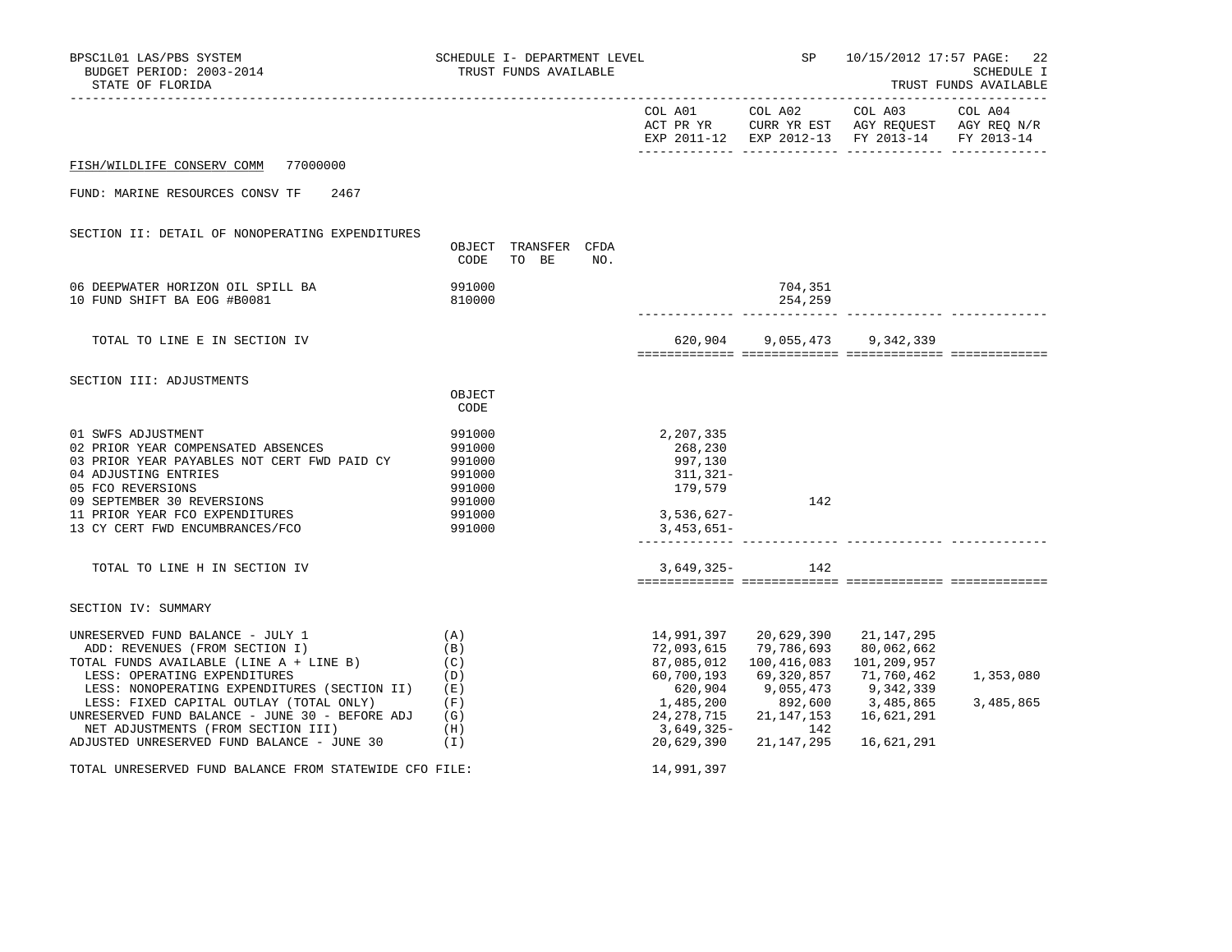| BPSC1L01 LAS/PBS SYSTEM<br>BUDGET PERIOD: 2003-2014<br>STATE OF FLORIDA                                                                                                                                                                                                                                                                                                        |                                                                              | SCHEDULE I- DEPARTMENT LEVEL<br>TRUST FUNDS AVAILABLE |     |                                                                                                          | <b>SP</b>                                                                                                                     | 10/15/2012 17:57 PAGE:                                                                                        | 22<br>SCHEDULE I<br>TRUST FUNDS AVAILABLE |
|--------------------------------------------------------------------------------------------------------------------------------------------------------------------------------------------------------------------------------------------------------------------------------------------------------------------------------------------------------------------------------|------------------------------------------------------------------------------|-------------------------------------------------------|-----|----------------------------------------------------------------------------------------------------------|-------------------------------------------------------------------------------------------------------------------------------|---------------------------------------------------------------------------------------------------------------|-------------------------------------------|
|                                                                                                                                                                                                                                                                                                                                                                                |                                                                              |                                                       |     |                                                                                                          |                                                                                                                               | EXP 2011-12 EXP 2012-13 FY 2013-14 FY 2013-14                                                                 |                                           |
| FISH/WILDLIFE CONSERV COMM 77000000                                                                                                                                                                                                                                                                                                                                            |                                                                              |                                                       |     |                                                                                                          |                                                                                                                               |                                                                                                               |                                           |
| FUND: MARINE RESOURCES CONSV TF<br>2467                                                                                                                                                                                                                                                                                                                                        |                                                                              |                                                       |     |                                                                                                          |                                                                                                                               |                                                                                                               |                                           |
| SECTION II: DETAIL OF NONOPERATING EXPENDITURES                                                                                                                                                                                                                                                                                                                                | CODE                                                                         | OBJECT TRANSFER CFDA<br>TO BE                         | NO. |                                                                                                          |                                                                                                                               |                                                                                                               |                                           |
| 06 DEEPWATER HORIZON OIL SPILL BA<br>10 FUND SHIFT BA EOG #B0081                                                                                                                                                                                                                                                                                                               | 991000<br>810000                                                             |                                                       |     |                                                                                                          | 704,351<br>254,259                                                                                                            |                                                                                                               |                                           |
| TOTAL TO LINE E IN SECTION IV                                                                                                                                                                                                                                                                                                                                                  |                                                                              |                                                       |     |                                                                                                          |                                                                                                                               | 620,904 9,055,473 9,342,339                                                                                   |                                           |
| SECTION III: ADJUSTMENTS                                                                                                                                                                                                                                                                                                                                                       | OBJECT<br>CODE                                                               |                                                       |     |                                                                                                          |                                                                                                                               |                                                                                                               |                                           |
| 01 SWFS ADJUSTMENT<br>02 PRIOR YEAR COMPENSATED ABSENCES<br>03 PRIOR YEAR PAYABLES NOT CERT FWD PAID CY<br>04 ADJUSTING ENTRIES<br>05 FCO REVERSIONS<br>09 SEPTEMBER 30 REVERSIONS<br>11 PRIOR YEAR FCO EXPENDITURES<br>13 CY CERT FWD ENCUMBRANCES/FCO                                                                                                                        | 991000<br>991000<br>991000<br>991000<br>991000<br>991000<br>991000<br>991000 |                                                       |     | 2,207,335<br>268,230<br>997,130<br>311,321-<br>179,579<br>$3,536,627-$<br>$3,453,651-$                   | 142                                                                                                                           |                                                                                                               |                                           |
| TOTAL TO LINE H IN SECTION IV                                                                                                                                                                                                                                                                                                                                                  |                                                                              |                                                       |     |                                                                                                          | $3,649,325-142$                                                                                                               |                                                                                                               |                                           |
| SECTION IV: SUMMARY                                                                                                                                                                                                                                                                                                                                                            |                                                                              |                                                       |     |                                                                                                          |                                                                                                                               |                                                                                                               |                                           |
| UNRESERVED FUND BALANCE - JULY 1<br>ADD: REVENUES (FROM SECTION I)<br>TOTAL FUNDS AVAILABLE (LINE A + LINE B)<br>LESS: OPERATING EXPENDITURES<br>LESS: NONOPERATING EXPENDITURES (SECTION II)<br>LESS: FIXED CAPITAL OUTLAY (TOTAL ONLY)<br>UNRESERVED FUND BALANCE - JUNE 30 - BEFORE ADJ<br>NET ADJUSTMENTS (FROM SECTION III)<br>ADJUSTED UNRESERVED FUND BALANCE - JUNE 30 | (A)<br>(B)<br>(C)<br>(D)<br>( E )<br>(F)<br>(G)<br>(H)<br>(I)                |                                                       |     | 14,991,397<br>72,093,615<br>87,085,012<br>60,700,193<br>620,904<br>1,485,200<br>24,278,715<br>20,629,390 | 20,629,390<br>79,786,693<br>100,416,083<br>69,320,857<br>9,055,473<br>892,600<br>21, 147, 153<br>3,649,325- 142<br>21,147,295 | 21, 147, 295<br>80,062,662<br>101,209,957<br>71,760,462<br>9,342,339<br>3,485,865<br>16,621,291<br>16,621,291 | 1,353,080<br>3,485,865                    |
| TOTAL UNRESERVED FUND BALANCE FROM STATEWIDE CFO FILE:                                                                                                                                                                                                                                                                                                                         |                                                                              |                                                       |     | 14,991,397                                                                                               |                                                                                                                               |                                                                                                               |                                           |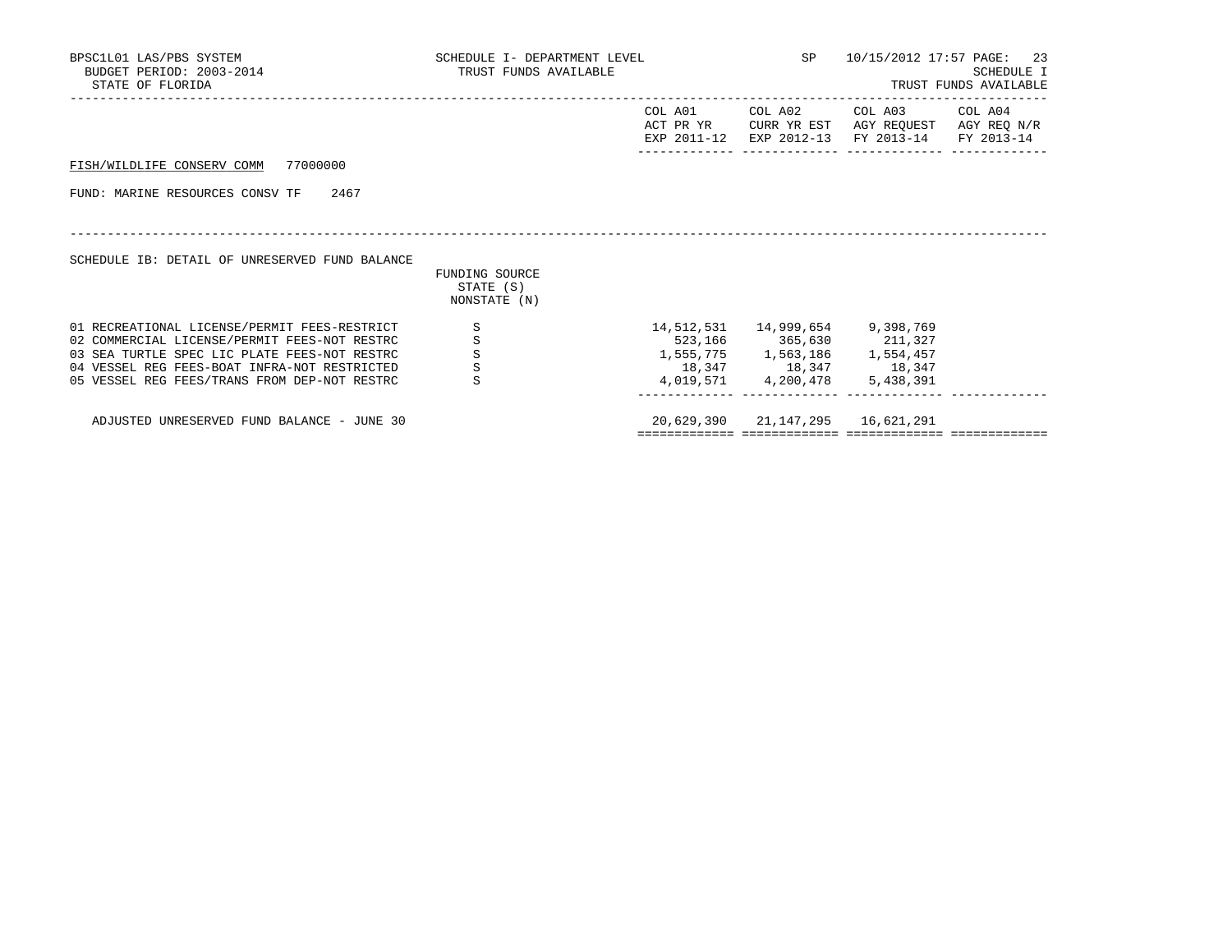| BPSC1L01 LAS/PBS SYSTEM<br>BUDGET PERIOD: 2003-2014<br>STATE OF FLORIDA                                                                                                                                                                      | TRUST FUNDS AVAILABLE                        | SCHEDULE I- DEPARTMENT LEVEL |                                                                                                                                               | 10/15/2012 17:57 PAGE: 23<br>SCHEDULE I<br>TRUST FUNDS AVAILABLE                                                |  |  |
|----------------------------------------------------------------------------------------------------------------------------------------------------------------------------------------------------------------------------------------------|----------------------------------------------|------------------------------|-----------------------------------------------------------------------------------------------------------------------------------------------|-----------------------------------------------------------------------------------------------------------------|--|--|
|                                                                                                                                                                                                                                              |                                              | COL A01<br>ACT PR YR         |                                                                                                                                               | COL A02 COL A03 COL A04<br>CURR YR EST AGY REOUEST AGY REO N/R<br>EXP 2011-12 EXP 2012-13 FY 2013-14 FY 2013-14 |  |  |
| FISH/WILDLIFE CONSERV COMM 77000000                                                                                                                                                                                                          |                                              |                              |                                                                                                                                               |                                                                                                                 |  |  |
| FUND: MARINE RESOURCES CONSV TF 2467                                                                                                                                                                                                         |                                              |                              |                                                                                                                                               |                                                                                                                 |  |  |
| SCHEDULE IB: DETAIL OF UNRESERVED FUND BALANCE                                                                                                                                                                                               | FUNDING SOURCE<br>STATE (S)<br>NONSTATE (N)  |                              |                                                                                                                                               |                                                                                                                 |  |  |
| 01 RECREATIONAL LICENSE/PERMIT FEES-RESTRICT<br>02 COMMERCIAL LICENSE/PERMIT FEES-NOT RESTRC<br>03 SEA TURTLE SPEC LIC PLATE FEES-NOT RESTRC<br>04 VESSEL REG FEES-BOAT INFRA-NOT RESTRICTED<br>05 VESSEL REG FEES/TRANS FROM DEP-NOT RESTRC | S<br>$\, \mathbb{S} \,$<br>$\rm S$<br>S<br>S |                              | 14,512,531 14,999,654 9,398,769<br>523,166 365,630 211,327<br>1,555,775 1,563,186 1,554,457<br>18, 347 18, 347 18, 347<br>4,019,571 4,200,478 | 5,438,391                                                                                                       |  |  |
| ADJUSTED UNRESERVED FUND BALANCE - JUNE 30                                                                                                                                                                                                   |                                              |                              | 20,629,390 21,147,295 16,621,291                                                                                                              |                                                                                                                 |  |  |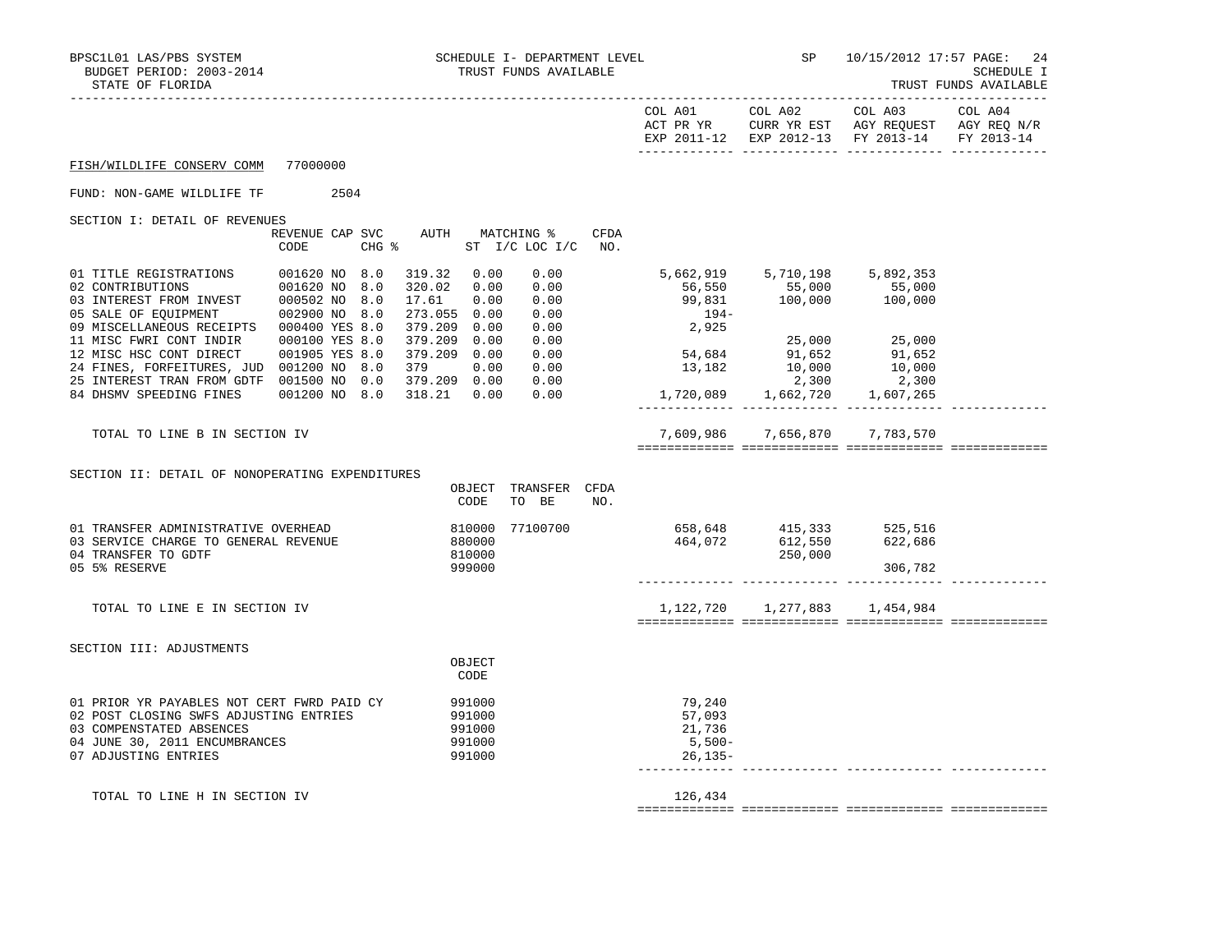| IRUSI FUNDS AVAILABL |  |
|----------------------|--|
|----------------------|--|

|                                                                                                                                                                                                |          |                                                                                                                                                                                             |                                |                                                                                  | EXP 2011-12 EXP 2012-13 FY 2013-14                                                        |         | FY 2013-14 |
|------------------------------------------------------------------------------------------------------------------------------------------------------------------------------------------------|----------|---------------------------------------------------------------------------------------------------------------------------------------------------------------------------------------------|--------------------------------|----------------------------------------------------------------------------------|-------------------------------------------------------------------------------------------|---------|------------|
| FISH/WILDLIFE CONSERV COMM                                                                                                                                                                     | 77000000 |                                                                                                                                                                                             |                                |                                                                                  |                                                                                           |         |            |
| FUND: NON-GAME WILDLIFE TF                                                                                                                                                                     | 2504     |                                                                                                                                                                                             |                                |                                                                                  |                                                                                           |         |            |
| SECTION I: DETAIL OF REVENUES                                                                                                                                                                  | CODE     | REVENUE CAP SVC AUTH MATCHING %<br>CHG % ST I/C LOC I/C                                                                                                                                     | <b>CFDA</b><br>NO <sub>z</sub> |                                                                                  |                                                                                           |         |            |
| 01 TITLE REGISTRATIONS 001620 NO 8.0<br>09 MISCELLANEOUS RECEIPTS 000400 YES 8.0<br>24 FINES, FORFEITURES, JUD 001200 NO 8.0 379 0.00<br>25 INTEREST TRAN FROM GDTF 001500 NO 0.0 379.209 0.00 |          | 319.32 0.00<br>0.00<br>320.02 0.00<br>0.00<br>17.61<br>0.00<br>0.00<br>273.055 0.00<br>0.00<br>379.209 0.00<br>0.00<br>379.209 0.00<br>0.00<br>379.209 0.00<br>0.00<br>0.00<br>0.00<br>0.00 |                                | $194-$<br>2,925<br>25,000 25,000<br>54,684 91,652 91,652<br>13,182 10,000 10,000 | 5,662,919 5,710,198 5,892,353<br>$56,550$ $55,000$ $55,000$<br>99,831 $100,000$ $100,000$ |         |            |
| TOTAL TO LINE B IN SECTION IV                                                                                                                                                                  |          |                                                                                                                                                                                             |                                |                                                                                  | 7,609,986 7,656,870 7,783,570                                                             |         |            |
| SECTION II: DETAIL OF NONOPERATING EXPENDITURES                                                                                                                                                |          | OBJECT TRANSFER CFDA<br>CODE<br>TO BE                                                                                                                                                       | NO.                            |                                                                                  |                                                                                           |         |            |
| 01 TRANSFER ADMINISTRATIVE OVERHEAD<br>03 SERVICE CHARGE TO GENERAL REVENUE<br>04 TRANSFER TO GDTF<br>05 5% RESERVE                                                                            |          | 77100700<br>810000<br>880000<br>810000<br>999000                                                                                                                                            |                                |                                                                                  | 658,648   415,333   525,516<br>464,072   612,550   622,686<br>250,000                     | 306,782 |            |
| TOTAL TO LINE E IN SECTION IV                                                                                                                                                                  |          |                                                                                                                                                                                             |                                |                                                                                  | 1, 122, 720 1, 277, 883 1, 454, 984                                                       |         |            |
| SECTION III: ADJUSTMENTS                                                                                                                                                                       |          | OBJECT<br>CODE                                                                                                                                                                              |                                |                                                                                  |                                                                                           |         |            |
| 01 PRIOR YR PAYABLES NOT CERT FWRD PAID CY<br>02 POST CLOSING SWFS ADJUSTING ENTRIES<br>03 COMPENSTATED ABSENCES<br>04 JUNE 30, 2011 ENCUMBRANCES<br>07 ADJUSTING ENTRIES                      |          | 991000<br>991000<br>991000<br>991000<br>991000                                                                                                                                              |                                | 79,240<br>57,093<br>21,736<br>$5,500-$<br>$26, 135 -$                            |                                                                                           |         |            |
| TOTAL TO LINE H IN SECTION IV                                                                                                                                                                  |          |                                                                                                                                                                                             |                                | 126,434                                                                          |                                                                                           |         |            |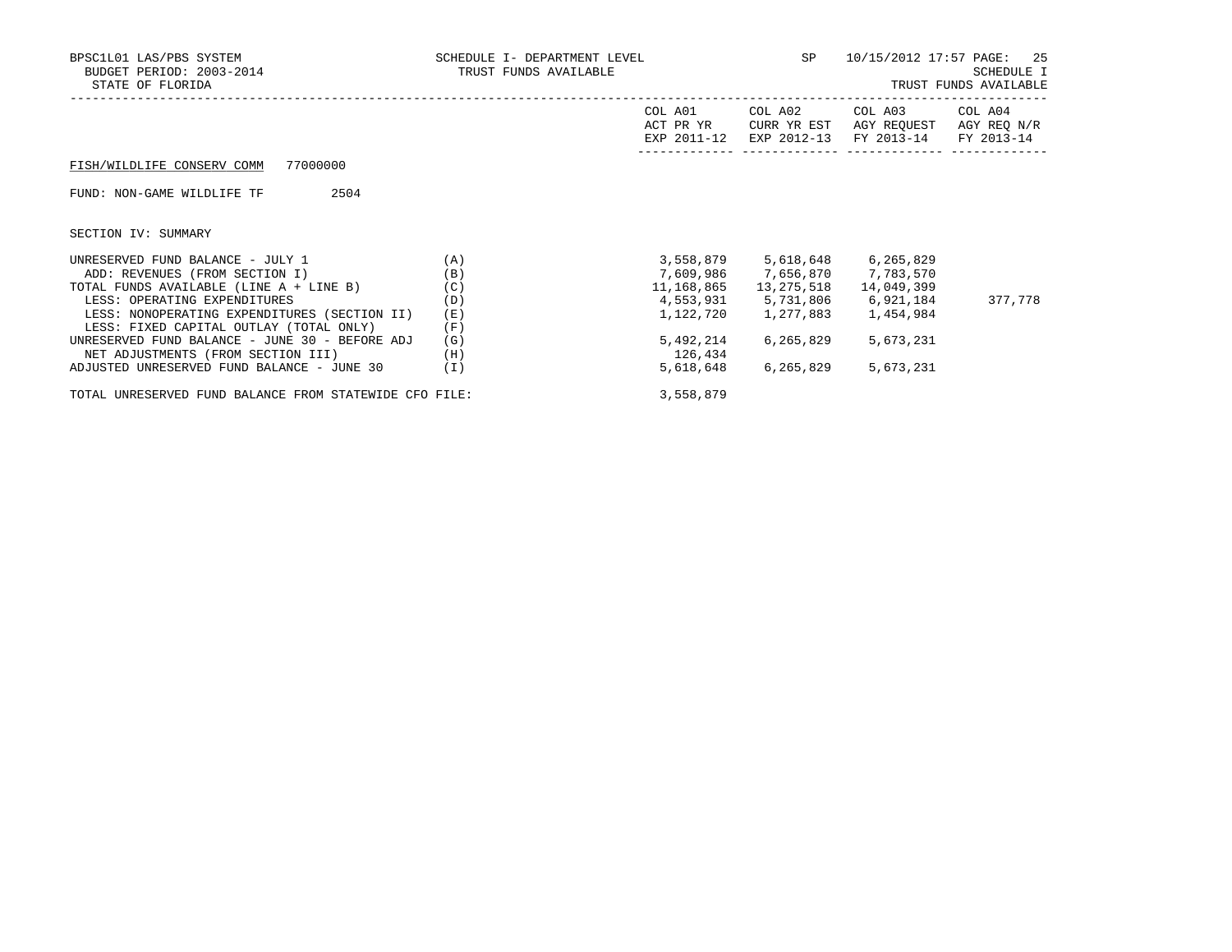| BPSC1L01 LAS/PBS SYSTEM<br>SCHEDULE I- DEPARTMENT LEVEL<br>BUDGET PERIOD: 2003-2014<br>TRUST FUNDS AVAILABLE<br>STATE OF FLORIDA |     | SP                                  | 10/15/2012 17:57 PAGE:                | -25<br>SCHEDULE I<br>TRUST FUNDS AVAILABLE |                                      |
|----------------------------------------------------------------------------------------------------------------------------------|-----|-------------------------------------|---------------------------------------|--------------------------------------------|--------------------------------------|
|                                                                                                                                  |     | COL A01<br>ACT PR YR<br>EXP 2011-12 | COL A02<br>CURR YR EST<br>EXP 2012-13 | COL A03<br>AGY REQUEST<br>FY 2013-14       | COL A04<br>AGY REQ N/R<br>FY 2013-14 |
| 77000000<br>FISH/WILDLIFE CONSERV COMM                                                                                           |     |                                     |                                       |                                            |                                      |
| FUND: NON-GAME WILDLIFE TF<br>2504                                                                                               |     |                                     |                                       |                                            |                                      |
| SECTION IV: SUMMARY                                                                                                              |     |                                     |                                       |                                            |                                      |
| UNRESERVED FUND BALANCE - JULY 1                                                                                                 | (A) | 3,558,879                           | 5,618,648                             | 6,265,829                                  |                                      |
| ADD: REVENUES (FROM SECTION I)                                                                                                   | (B) | 7,609,986                           | 7,656,870                             | 7,783,570                                  |                                      |
| TOTAL FUNDS AVAILABLE (LINE A + LINE B)                                                                                          | (C) | 11,168,865                          | 13,275,518                            | 14,049,399                                 |                                      |
| LESS: OPERATING EXPENDITURES                                                                                                     | (D) |                                     | 4,553,931 5,731,806                   | 6,921,184                                  | 377,778                              |
| LESS: NONOPERATING EXPENDITURES (SECTION II)                                                                                     | (E) | 1,122,720                           | 1,277,883                             | 1,454,984                                  |                                      |
| LESS: FIXED CAPITAL OUTLAY (TOTAL ONLY)                                                                                          | (F) |                                     |                                       |                                            |                                      |
| UNRESERVED FUND BALANCE - JUNE 30 - BEFORE ADJ                                                                                   | (G) | 5,492,214                           | 6,265,829                             | 5,673,231                                  |                                      |
| NET ADJUSTMENTS (FROM SECTION III)                                                                                               | (H) | 126,434                             |                                       |                                            |                                      |
| ADJUSTED UNRESERVED FUND BALANCE - JUNE 30                                                                                       | (I) | 5,618,648                           | 6,265,829                             | 5,673,231                                  |                                      |

TOTAL UNRESERVED FUND BALANCE FROM STATEWIDE CFO FILE: 3,558,879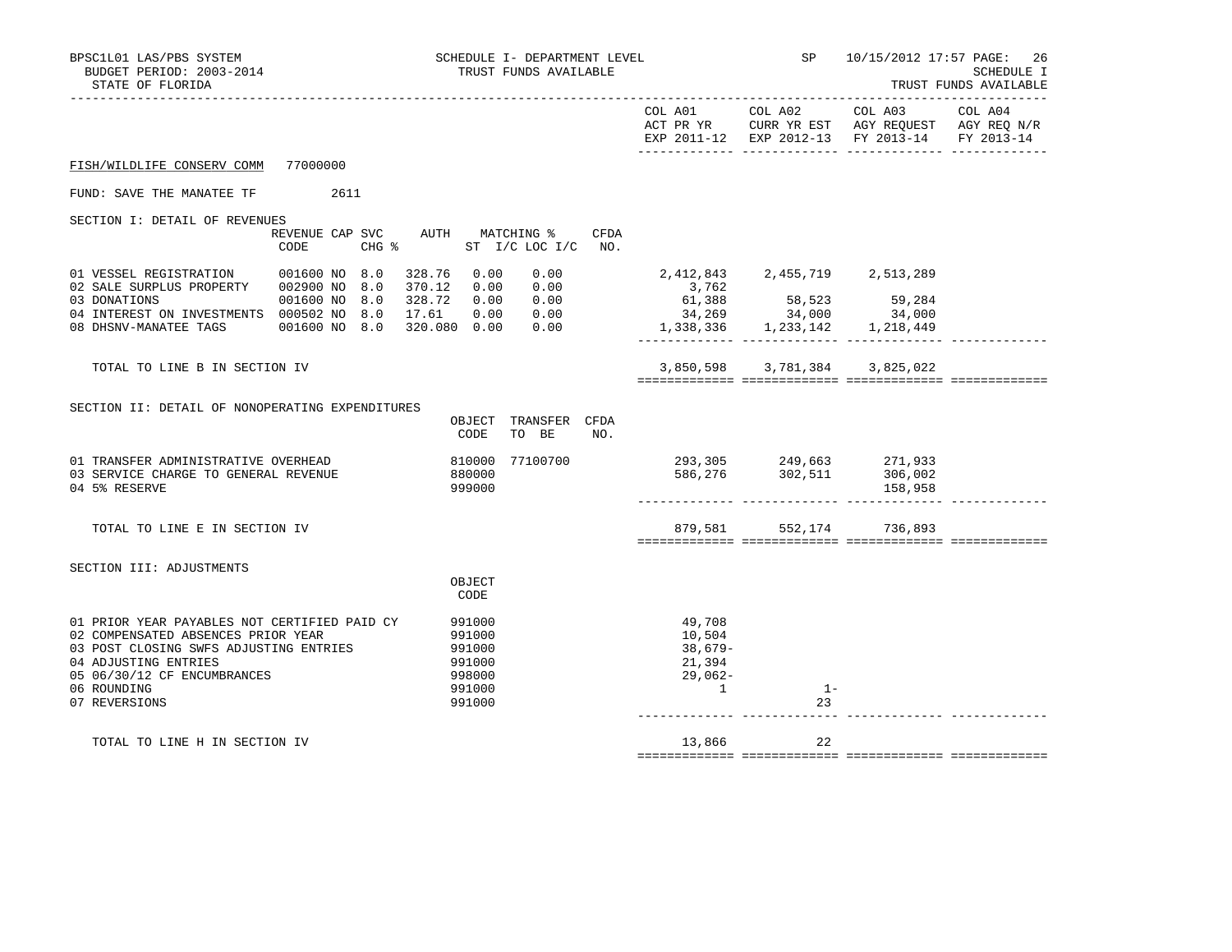| BPSC1L01 LAS/PBS SYSTEM<br>BUDGET PERIOD: 2003-2014<br>STATE OF FLORIDA                                                                                                                                             | SCHEDULE I- DEPARTMENT LEVEL<br>TRUST FUNDS AVAILABLE                |                                                                  | SP                            |                                                                                                               | 10/15/2012 17:57 PAGE: 26<br>SCHEDULE I<br>TRUST FUNDS AVAILABLE<br>----------- |
|---------------------------------------------------------------------------------------------------------------------------------------------------------------------------------------------------------------------|----------------------------------------------------------------------|------------------------------------------------------------------|-------------------------------|---------------------------------------------------------------------------------------------------------------|---------------------------------------------------------------------------------|
|                                                                                                                                                                                                                     |                                                                      | COL A01                                                          | COL A02                       | COL A03<br>ACT PR YR CURR YR EST AGY REQUEST AGY REQ N/R<br>EXP 2011-12 EXP 2012-13 FY 2013-14                | COL A04<br>FY 2013-14                                                           |
| FISH/WILDLIFE CONSERV COMM<br>77000000                                                                                                                                                                              |                                                                      |                                                                  |                               |                                                                                                               |                                                                                 |
| FUND: SAVE THE MANATEE TF<br>2611                                                                                                                                                                                   |                                                                      |                                                                  |                               |                                                                                                               |                                                                                 |
| SECTION I: DETAIL OF REVENUES<br>REVENUE CAP SVC<br>CODE                                                                                                                                                            | AUTH MATCHING %<br>CFDA<br>$CHG$ $\frac{1}{6}$<br>ST I/C LOC I/C NO. |                                                                  |                               |                                                                                                               |                                                                                 |
| 01 VESSEL REGISTRATION 001600 NO 8.0                                                                                                                                                                                | 328.76 0.00<br>0.00                                                  | $34,269$<br>$1,338,336$<br>$1,233,142$<br>$1,218,449$            | 2,412,843 2,455,719 2,513,289 | $\begin{array}{cccc} 2,112,16 \\ 3,762 \\ 61,388 \\ 34,269 \end{array}$ 58,523 59,284<br>34,000 34,000 34,000 |                                                                                 |
| TOTAL TO LINE B IN SECTION IV                                                                                                                                                                                       |                                                                      |                                                                  |                               | 3,850,598 3,781,384 3,825,022                                                                                 |                                                                                 |
| SECTION II: DETAIL OF NONOPERATING EXPENDITURES                                                                                                                                                                     | OBJECT TRANSFER CFDA<br>CODE<br>TO BE<br>NO.                         |                                                                  |                               |                                                                                                               |                                                                                 |
| 01 TRANSFER ADMINISTRATIVE OVERHEAD<br>03 SERVICE CHARGE TO GENERAL REVENUE<br>04 5% RESERVE                                                                                                                        | 77100700<br>810000<br>880000<br>999000                               |                                                                  |                               | 293,305 249,663 271,933<br>586,276 302,511 306,002<br>158,958                                                 |                                                                                 |
| TOTAL TO LINE E IN SECTION IV                                                                                                                                                                                       |                                                                      |                                                                  |                               | 879,581 552,174 736,893                                                                                       |                                                                                 |
| SECTION III: ADJUSTMENTS                                                                                                                                                                                            | OBJECT<br>CODE                                                       |                                                                  |                               |                                                                                                               |                                                                                 |
| 01 PRIOR YEAR PAYABLES NOT CERTIFIED PAID CY<br>02 COMPENSATED ABSENCES PRIOR YEAR<br>03 POST CLOSING SWFS ADJUSTING ENTRIES<br>04 ADJUSTING ENTRIES<br>05 06/30/12 CF ENCUMBRANCES<br>06 ROUNDING<br>07 REVERSIONS | 991000<br>991000<br>991000<br>991000<br>998000<br>991000<br>991000   | 49,708<br>10,504<br>$38,679-$<br>21,394<br>$29,062-$<br>$\sim$ 1 | $1 -$<br>23                   |                                                                                                               |                                                                                 |
| TOTAL TO LINE H IN SECTION IV                                                                                                                                                                                       |                                                                      | 13,866                                                           | 22                            |                                                                                                               |                                                                                 |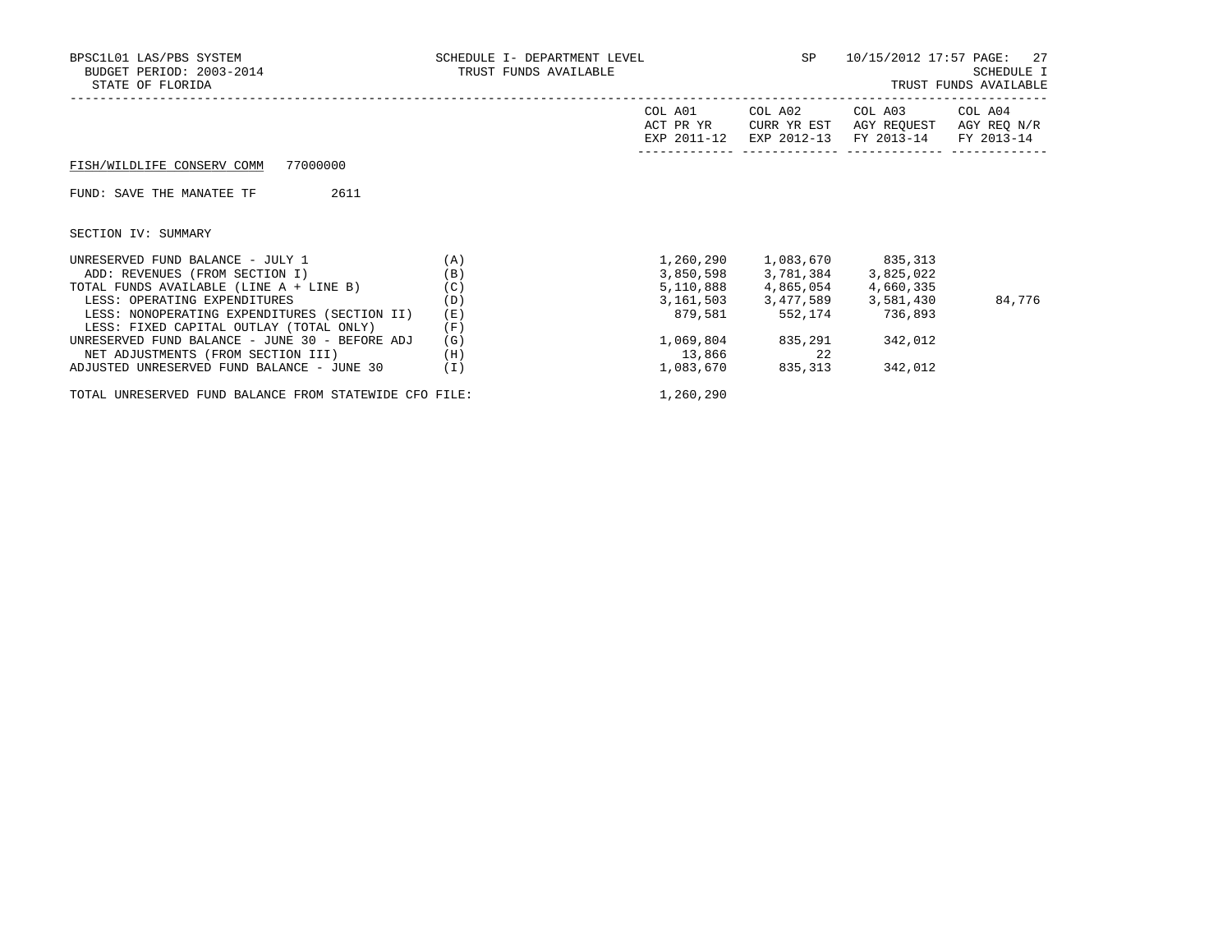| BPSC1L01 LAS/PBS SYSTEM<br>BUDGET PERIOD: 2003-2014<br>STATE OF FLORIDA | SCHEDULE I- DEPARTMENT LEVEL<br>TRUST FUNDS AVAILABLE |                                     | SP                                    | 10/15/2012 17:57 PAGE:<br>-27<br>SCHEDULE I<br>TRUST FUNDS AVAILABLE |                                      |
|-------------------------------------------------------------------------|-------------------------------------------------------|-------------------------------------|---------------------------------------|----------------------------------------------------------------------|--------------------------------------|
|                                                                         |                                                       | COL A01<br>ACT PR YR<br>EXP 2011-12 | COL A02<br>CURR YR EST<br>EXP 2012-13 | COL A03<br>AGY REOUEST<br>FY 2013-14                                 | COL A04<br>AGY REQ N/R<br>FY 2013-14 |
| 77000000<br>FISH/WILDLIFE CONSERV COMM                                  |                                                       |                                     |                                       |                                                                      |                                      |
| 2611<br>FUND: SAVE THE MANATEE TF                                       |                                                       |                                     |                                       |                                                                      |                                      |
| SECTION IV: SUMMARY                                                     |                                                       |                                     |                                       |                                                                      |                                      |
| UNRESERVED FUND BALANCE - JULY 1                                        | (A)                                                   | 1,260,290                           |                                       | 1,083,670 835,313                                                    |                                      |
| ADD: REVENUES (FROM SECTION I)                                          | (B)                                                   | 3,850,598                           | 3,781,384                             | 3,825,022                                                            |                                      |
| TOTAL FUNDS AVAILABLE (LINE A + LINE B)                                 | (C)                                                   |                                     | 5,110,888 4,865,054                   | 4,660,335                                                            |                                      |
| LESS: OPERATING EXPENDITURES                                            | (D)                                                   |                                     |                                       | 3, 161, 503 3, 477, 589 3, 581, 430                                  | 84,776                               |
| LESS: NONOPERATING EXPENDITURES (SECTION II)                            | (E)                                                   | 879,581                             | 552,174                               | 736,893                                                              |                                      |
| LESS: FIXED CAPITAL OUTLAY (TOTAL ONLY)                                 | (F)                                                   |                                     |                                       |                                                                      |                                      |
| UNRESERVED FUND BALANCE - JUNE 30 - BEFORE ADJ                          | (G)                                                   | 1,069,804                           | 835,291                               | 342,012                                                              |                                      |
| NET ADJUSTMENTS (FROM SECTION III)                                      | (H)                                                   | 13,866                              | 22                                    |                                                                      |                                      |
| ADJUSTED UNRESERVED FUND BALANCE - JUNE 30                              | (I)                                                   | 1,083,670                           | 835,313                               | 342,012                                                              |                                      |
|                                                                         |                                                       |                                     |                                       |                                                                      |                                      |

TOTAL UNRESERVED FUND BALANCE FROM STATEWIDE CFO FILE: 1,260,290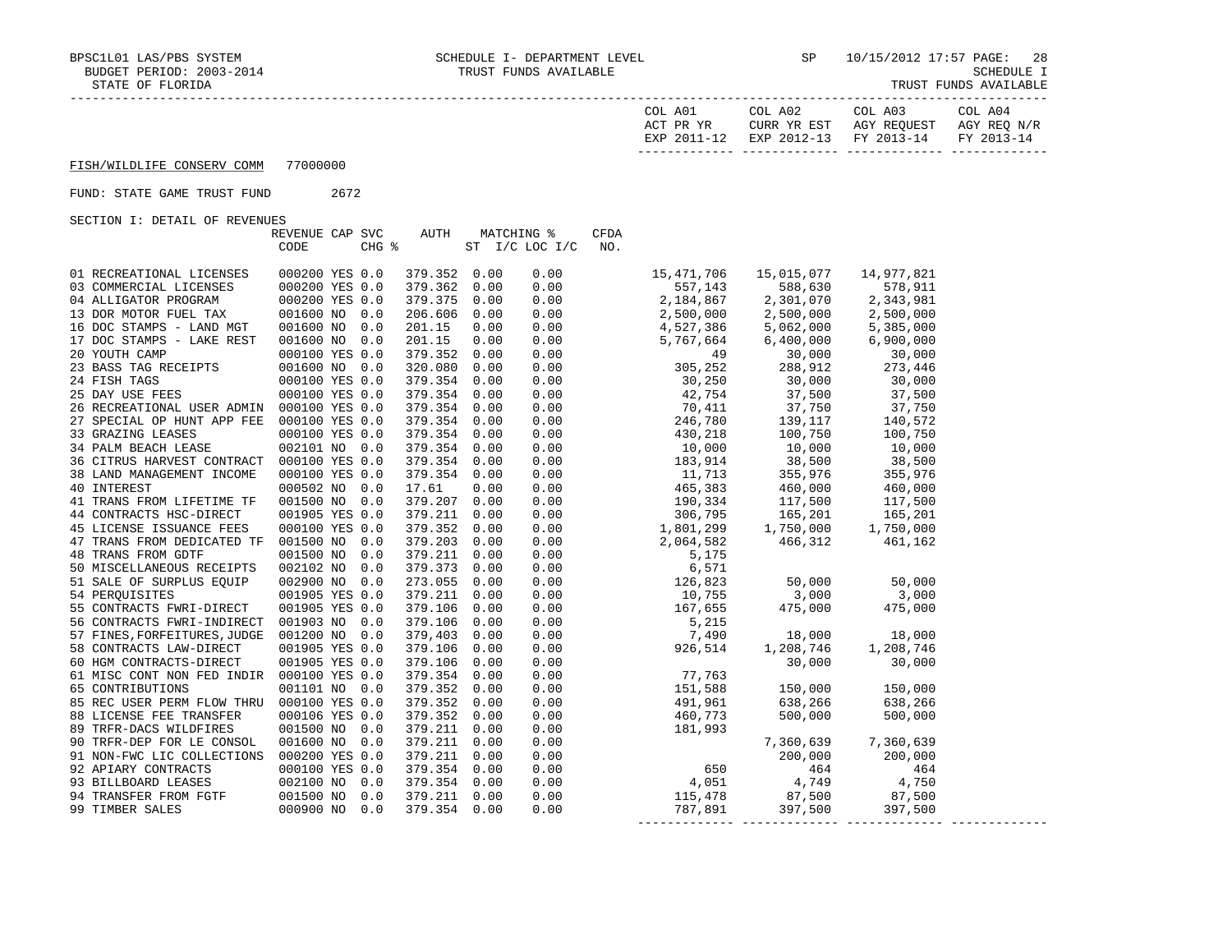| COL A01<br>ACT PR YR | COL A02<br>CURR YR EST            | COL A03<br>AGY REOUEST | COL A04<br>AGY REO N/R |
|----------------------|-----------------------------------|------------------------|------------------------|
| EXP 2011-12          | EXP 2012-13 FY 2013-14 FY 2013-14 |                        |                        |

# FUND: STATE GAME TRUST FUND 2672

|                                           | REVENUE CAP SVC  | AUTH         | MATCHING %     |      | <b>CFDA</b> |            |            |            |  |
|-------------------------------------------|------------------|--------------|----------------|------|-------------|------------|------------|------------|--|
|                                           | CODE             | CHG %        | ST I/C LOC I/C |      | NO.         |            |            |            |  |
|                                           |                  |              |                |      |             |            |            |            |  |
| 01 RECREATIONAL LICENSES                  | 000200 YES 0.0   | 379.352      | 0.00           | 0.00 |             | 15,471,706 | 15,015,077 | 14,977,821 |  |
| 03 COMMERCIAL LICENSES                    | 000200 YES 0.0   | 379.362      | 0.00           | 0.00 |             | 557,143    | 588,630    | 578,911    |  |
| 04 ALLIGATOR PROGRAM                      | 000200 YES 0.0   | 379.375      | 0.00           | 0.00 |             | 2,184,867  | 2,301,070  | 2,343,981  |  |
| 13 DOR MOTOR FUEL TAX                     | 001600 NO<br>0.0 | 206.606      | 0.00           | 0.00 |             | 2,500,000  | 2,500,000  | 2,500,000  |  |
| 16 DOC STAMPS - LAND MGT                  | 001600 NO<br>0.0 | 201.15       | 0.00           | 0.00 |             | 4,527,386  | 5,062,000  | 5,385,000  |  |
| 17 DOC STAMPS - LAKE REST                 | 001600 NO 0.0    | 201.15       | 0.00           | 0.00 |             | 5,767,664  | 6,400,000  | 6,900,000  |  |
| 20 YOUTH CAMP                             | 000100 YES 0.0   | 379.352      | 0.00           | 0.00 |             | 49         | 30,000     | 30,000     |  |
| 23 BASS TAG RECEIPTS                      | 001600 NO 0.0    | 320.080      | 0.00           | 0.00 |             | 305,252    | 288,912    | 273,446    |  |
| 24 FISH TAGS                              | 000100 YES 0.0   | 379.354      | 0.00           | 0.00 |             | 30,250     | 30,000     | 30,000     |  |
| 25 DAY USE FEES                           | 000100 YES 0.0   | 379.354      | 0.00           | 0.00 |             | 42,754     | 37,500     | 37,500     |  |
| 26 RECREATIONAL USER ADMIN 000100 YES 0.0 |                  | 379.354      | 0.00           | 0.00 |             | 70,411     | 37,750     | 37,750     |  |
| 27 SPECIAL OP HUNT APP FEE 000100 YES 0.0 |                  | 379.354      | 0.00           | 0.00 |             | 246,780    | 139,117    | 140,572    |  |
| 33 GRAZING LEASES                         | 000100 YES 0.0   | 379.354      | 0.00           | 0.00 |             | 430,218    | 100,750    | 100,750    |  |
| 34 PALM BEACH LEASE                       | 002101 NO 0.0    | 379.354      | 0.00           | 0.00 |             | 10,000     | 10,000     | 10,000     |  |
| 36 CITRUS HARVEST CONTRACT 000100 YES 0.0 |                  | 379.354      | 0.00           | 0.00 |             | 183,914    | 38,500     | 38,500     |  |
| 38 LAND MANAGEMENT INCOME                 | 000100 YES 0.0   | 379.354      | 0.00           | 0.00 |             | 11,713     | 355,976    | 355,976    |  |
| 40 INTEREST                               | 000502 NO 0.0    | 17.61        | 0.00           | 0.00 |             | 465,383    | 460,000    | 460,000    |  |
| 41 TRANS FROM LIFETIME TF                 | 001500 NO<br>0.0 | 379.207      | 0.00           | 0.00 |             | 190,334    | 117,500    | 117,500    |  |
| 44 CONTRACTS HSC-DIRECT                   | 001905 YES 0.0   | 379.211      | 0.00           | 0.00 |             | 306,795    | 165,201    | 165,201    |  |
| 45 LICENSE ISSUANCE FEES                  | 000100 YES 0.0   | 379.352      | 0.00           | 0.00 |             | 1,801,299  | 1,750,000  | 1,750,000  |  |
| 47 TRANS FROM DEDICATED TF 001500 NO      | 0.0              | 379.203      | 0.00           | 0.00 |             | 2,064,582  | 466,312    | 461,162    |  |
| 48 TRANS FROM GDTF                        | 001500 NO<br>0.0 | 379.211      | 0.00           | 0.00 |             | 5,175      |            |            |  |
| 50 MISCELLANEOUS RECEIPTS                 | 002102 NO 0.0    | 379.373      | 0.00           | 0.00 |             | 6,571      |            |            |  |
| 51 SALE OF SURPLUS EQUIP                  | 002900 NO 0.0    | 273.055      | 0.00           | 0.00 |             | 126,823    | 50,000     | 50,000     |  |
| 54 PERQUISITES                            | 001905 YES 0.0   | 379.211      | 0.00           | 0.00 |             | 10,755     | 3,000      | 3,000      |  |
| 55 CONTRACTS FWRI-DIRECT                  | 001905 YES 0.0   | 379.106      | 0.00           | 0.00 |             | 167,655    | 475,000    | 475,000    |  |
| 56 CONTRACTS FWRI-INDIRECT 001903 NO      | 0.0              | 379.106      | 0.00           | 0.00 |             | 5,215      |            |            |  |
| 57 FINES, FORFEITURES, JUDGE 001200 NO    | 0.0              | 379,403      | 0.00           | 0.00 |             | 7,490      | 18,000     | 18,000     |  |
| 58 CONTRACTS LAW-DIRECT                   | 001905 YES 0.0   | 379.106      | 0.00           | 0.00 |             | 926,514    | 1,208,746  | 1,208,746  |  |
| 60 HGM CONTRACTS-DIRECT                   | 001905 YES 0.0   | 379.106      | 0.00           | 0.00 |             |            | 30,000     | 30,000     |  |
| 61 MISC CONT NON FED INDIR 000100 YES 0.0 |                  | 379.354      | 0.00           | 0.00 |             | 77,763     |            |            |  |
| 65 CONTRIBUTIONS                          | 001101 NO 0.0    | 379.352      | 0.00           | 0.00 |             | 151,588    | 150,000    | 150,000    |  |
| 85 REC USER PERM FLOW THRU 000100 YES 0.0 |                  | 379.352      | 0.00           | 0.00 |             | 491,961    | 638,266    | 638,266    |  |
| 88 LICENSE FEE TRANSFER                   | 000106 YES 0.0   | 379.352      | 0.00           | 0.00 |             | 460,773    | 500,000    | 500,000    |  |
| 89 TRFR-DACS WILDFIRES                    | 001500 NO 0.0    | 379.211      | 0.00           | 0.00 |             | 181,993    |            |            |  |
| 90 TRFR-DEP FOR LE CONSOL                 | 001600 NO 0.0    | 379.211      | 0.00           | 0.00 |             |            | 7,360,639  | 7,360,639  |  |
| 91 NON-FWC LIC COLLECTIONS                | 000200 YES 0.0   | 379.211      | 0.00           | 0.00 |             |            | 200,000    | 200,000    |  |
| 92 APIARY CONTRACTS                       | 000100 YES 0.0   | 379.354      | 0.00           | 0.00 |             | 650        | 464        | 464        |  |
| 93 BILLBOARD LEASES                       | 002100 NO 0.0    | 379.354      | 0.00           | 0.00 |             | 4,051      | 4,749      | 4,750      |  |
| 94 TRANSFER FROM FGTF                     | 001500 NO<br>0.0 | 379.211      | 0.00           | 0.00 |             | 115,478    | 87,500     | 87,500     |  |
| 99 TIMBER SALES                           | 000900 NO<br>0.0 | 379.354 0.00 |                | 0.00 |             | 787,891    | 397,500    | 397,500    |  |
|                                           |                  |              |                |      |             |            |            |            |  |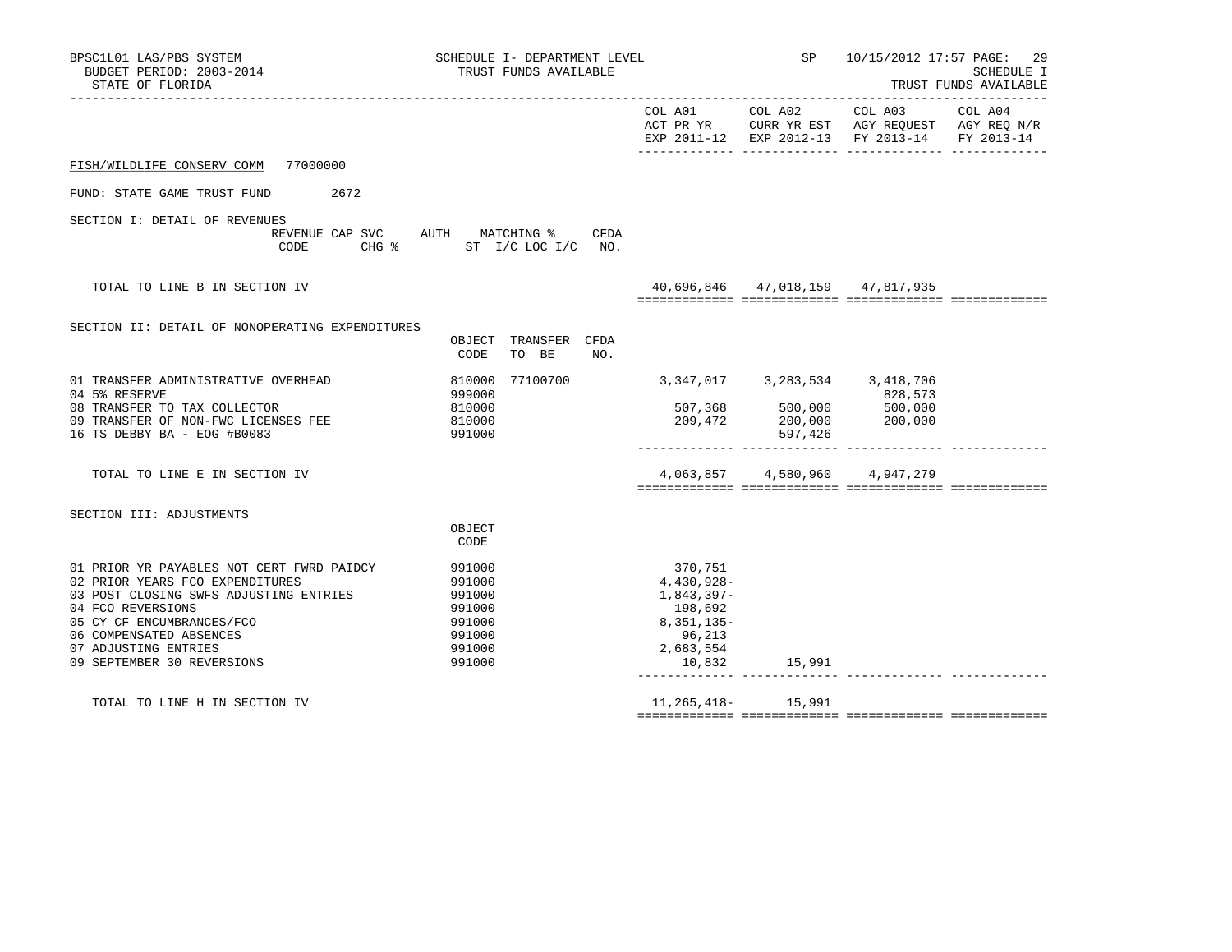| BPSC1L01 LAS/PBS SYSTEM<br>BUDGET PERIOD: 2003-2014<br>STATE OF FLORIDA                                                                                                                                                                                   | SCHEDULE I- DEPARTMENT LEVEL<br>TRUST FUNDS AVAILABLE                        |                               |      | <b>SP</b> SP                                                                                    | 10/15/2012 17:57 PAGE: 29<br>SCHEDULE I<br>TRUST FUNDS AVAILABLE<br>___________________ |                                                                                                                                   |  |
|-----------------------------------------------------------------------------------------------------------------------------------------------------------------------------------------------------------------------------------------------------------|------------------------------------------------------------------------------|-------------------------------|------|-------------------------------------------------------------------------------------------------|-----------------------------------------------------------------------------------------|-----------------------------------------------------------------------------------------------------------------------------------|--|
|                                                                                                                                                                                                                                                           |                                                                              |                               |      |                                                                                                 |                                                                                         | COL A01 COL A02 COL A03 COL A04<br>ACT PR YR CURR YR EST AGY REQUEST AGY REQ N/R<br>EXP 2011-12 EXP 2012-13 FY 2013-14 FY 2013-14 |  |
| FISH/WILDLIFE CONSERV COMM 77000000                                                                                                                                                                                                                       |                                                                              |                               |      |                                                                                                 |                                                                                         |                                                                                                                                   |  |
| FUND: STATE GAME TRUST FUND<br>2672                                                                                                                                                                                                                       |                                                                              |                               |      |                                                                                                 |                                                                                         |                                                                                                                                   |  |
| SECTION I: DETAIL OF REVENUES<br>REVENUE CAP SVC AUTH MATCHING %<br>CODE<br>CHG % ST I/C LOC I/C NO.                                                                                                                                                      |                                                                              |                               | CFDA |                                                                                                 |                                                                                         |                                                                                                                                   |  |
| TOTAL TO LINE B IN SECTION IV                                                                                                                                                                                                                             |                                                                              |                               |      |                                                                                                 |                                                                                         | 40,696,846 47,018,159 47,817,935                                                                                                  |  |
| SECTION II: DETAIL OF NONOPERATING EXPENDITURES                                                                                                                                                                                                           | CODE                                                                         | OBJECT TRANSFER CFDA<br>TO BE | NO.  |                                                                                                 |                                                                                         |                                                                                                                                   |  |
| 01 TRANSFER ADMINISTRATIVE OVERHEAD<br>04 5% RESERVE<br>08 TRANSFER TO TAX COLLECTOR<br>09 TRANSFER OF NON-FWC LICENSES FEE<br>16 TS DEBBY BA - EOG #B0083                                                                                                | 810000<br>999000<br>810000<br>810000<br>991000                               | 77100700                      |      | 3, 347, 017 3, 283, 534 3, 418, 706                                                             | 597,426                                                                                 | 828,573<br>028,575<br>100,000 500,000 500,000<br>200,000 200,000 200,000                                                          |  |
| TOTAL TO LINE E IN SECTION IV                                                                                                                                                                                                                             |                                                                              |                               |      |                                                                                                 | 4,063,857 4,580,960 4,947,279                                                           |                                                                                                                                   |  |
| SECTION III: ADJUSTMENTS                                                                                                                                                                                                                                  | OBJECT<br>CODE                                                               |                               |      |                                                                                                 |                                                                                         |                                                                                                                                   |  |
| 01 PRIOR YR PAYABLES NOT CERT FWRD PAIDCY<br>02 PRIOR YEARS FCO EXPENDITURES<br>03 POST CLOSING SWFS ADJUSTING ENTRIES<br>04 FCO REVERSIONS<br>05 CY CF ENCUMBRANCES/FCO<br>06 COMPENSATED ABSENCES<br>07 ADJUSTING ENTRIES<br>09 SEPTEMBER 30 REVERSIONS | 991000<br>991000<br>991000<br>991000<br>991000<br>991000<br>991000<br>991000 |                               |      | 370,751<br>4,430,928-<br>1,843,397-<br>198,692<br>$8,351,135-$<br>96,213<br>2,683,554<br>10,832 | 15,991                                                                                  |                                                                                                                                   |  |
| TOTAL TO LINE H IN SECTION IV                                                                                                                                                                                                                             |                                                                              |                               |      |                                                                                                 | 11, 265, 418 - 15, 991                                                                  |                                                                                                                                   |  |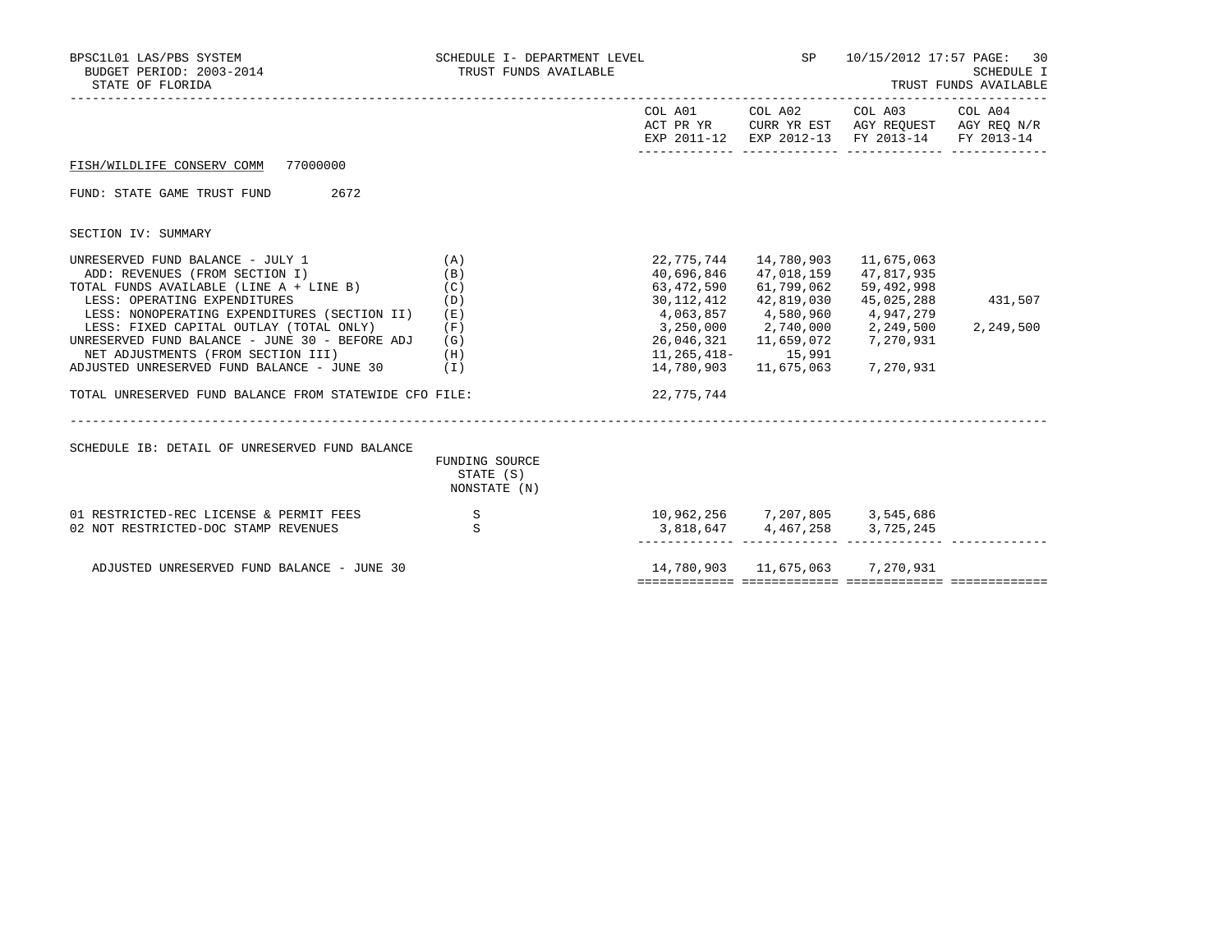| BPSC1L01 LAS/PBS SYSTEM<br>BUDGET PERIOD: 2003-2014<br>STATE OF FLORIDA                                                                                                       | SCHEDULE I- DEPARTMENT LEVEL<br>TRUST FUNDS AVAILABLE |                                                                | SP <sub>3</sub>                        | 10/15/2012 17:57 PAGE: 30<br>SCHEDULE I<br>TRUST FUNDS AVAILABLE                                                  |           |  |
|-------------------------------------------------------------------------------------------------------------------------------------------------------------------------------|-------------------------------------------------------|----------------------------------------------------------------|----------------------------------------|-------------------------------------------------------------------------------------------------------------------|-----------|--|
|                                                                                                                                                                               |                                                       |                                                                | COL A01 COL A02                        | COL A03 COL A04<br>ACT PR YR CURR YR EST AGY REQUEST AGY REQ N/R<br>EXP 2011-12 EXP 2012-13 FY 2013-14 FY 2013-14 |           |  |
| FISH/WILDLIFE CONSERV COMM<br>77000000                                                                                                                                        |                                                       |                                                                |                                        |                                                                                                                   |           |  |
| FUND: STATE GAME TRUST FUND<br>2672                                                                                                                                           |                                                       |                                                                |                                        |                                                                                                                   |           |  |
| SECTION IV: SUMMARY                                                                                                                                                           |                                                       |                                                                |                                        |                                                                                                                   |           |  |
| UNRESERVED FUND BALANCE - JULY 1<br>ADD: REVENUES (FROM SECTION I)<br>TOTAL FUNDS AVAILABLE (LINE A + LINE B)                                                                 | (A)<br>(B)<br>(C)                                     | 22,775,744<br>40,696,846<br>63,472,590                         | 14,780,903<br>47,018,159<br>61,799,062 | 11,675,063<br>47,817,935<br>59,492,998                                                                            |           |  |
| LESS: OPERATING EXPENDITURES<br>LESS: NONOPERATING EXPENDITURES (SECTION II)                                                                                                  | (D)<br>(E)                                            | 30,112,412<br>4,063,857 4,580,960                              | 42,819,030                             | 45,025,288<br>4,947,279                                                                                           | 431,507   |  |
| LESS: FIXED CAPITAL OUTLAY (TOTAL ONLY)<br>UNRESERVED FUND BALANCE - JUNE 30 - BEFORE ADJ<br>NET ADJUSTMENTS (FROM SECTION III)<br>ADJUSTED UNRESERVED FUND BALANCE - JUNE 30 | (F)<br>(G)<br>(H)<br>(I)                              | 3,250,000 2,740,000<br>26,046,321<br>11,265,418–<br>14,780,903 | 11,659,072<br>15,991<br>11,675,063     | 2,249,500<br>7,270,931<br>7,270,931                                                                               | 2,249,500 |  |
| TOTAL UNRESERVED FUND BALANCE FROM STATEWIDE CFO FILE:                                                                                                                        |                                                       | 22,775,744                                                     |                                        |                                                                                                                   |           |  |
| SCHEDULE IB: DETAIL OF UNRESERVED FUND BALANCE                                                                                                                                | FUNDING SOURCE<br>STATE (S)<br>NONSTATE (N)           |                                                                |                                        |                                                                                                                   |           |  |
| 01 RESTRICTED-REC LICENSE & PERMIT FEES<br>02 NOT RESTRICTED-DOC STAMP REVENUES                                                                                               | S<br>S                                                | 10,962,256 7,207,805 3,545,686                                 | 3,818,647 4,467,258 3,725,245          |                                                                                                                   |           |  |
| ADJUSTED UNRESERVED FUND BALANCE - JUNE 30                                                                                                                                    |                                                       |                                                                | 14,780,903   11,675,063   7,270,931    |                                                                                                                   |           |  |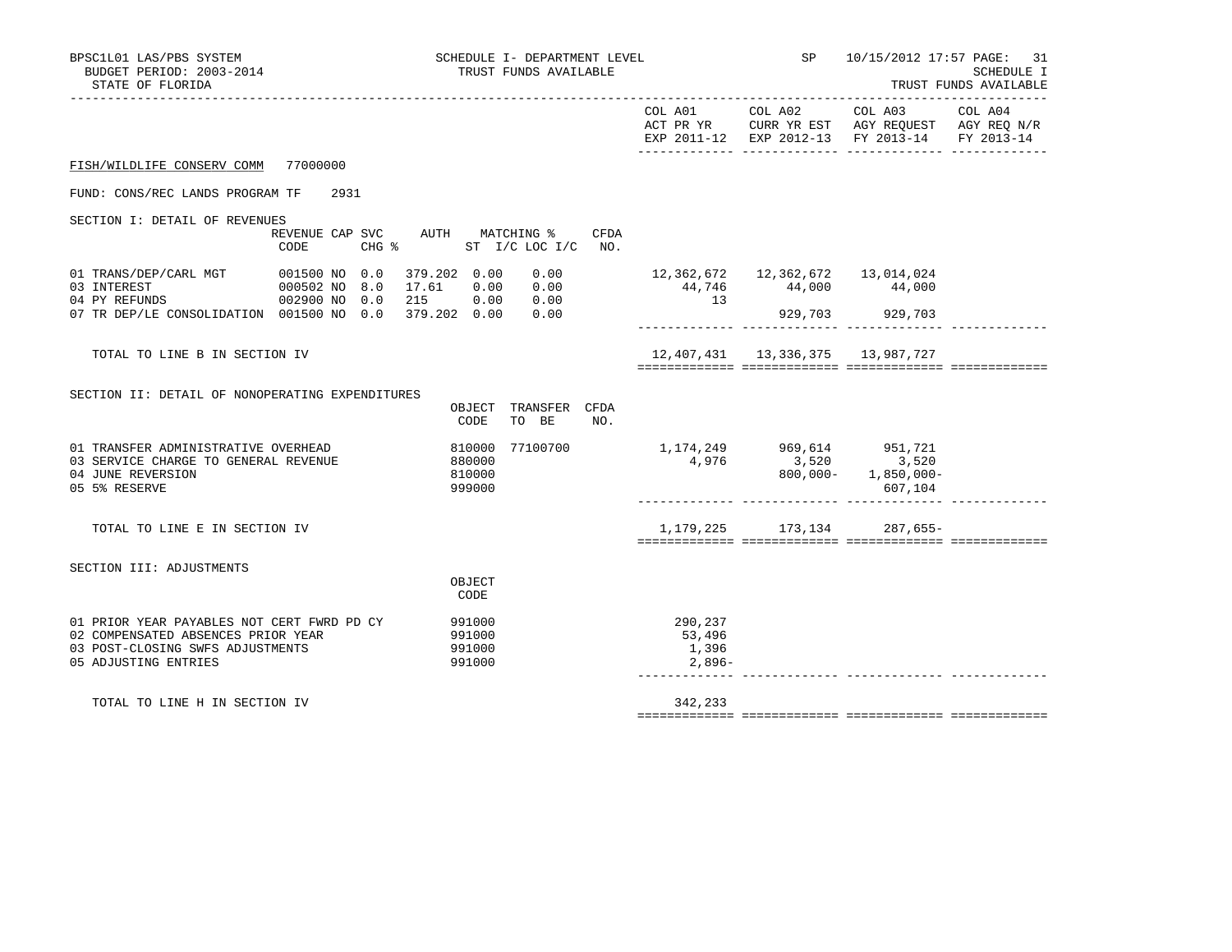| BPSC1L01 LAS/PBS SYSTEM<br>BUDGET PERIOD: 2003-2014<br>STATE OF FLORIDA                                                                      |                                                                                  | SCHEDULE I- DEPARTMENT LEVEL<br>TRUST FUNDS AVAILABLE                        |                                      | SP<br>_____________________________                                | 10/15/2012 17:57 PAGE:                                                                           | 31<br>SCHEDULE I<br>TRUST FUNDS AVAILABLE |
|----------------------------------------------------------------------------------------------------------------------------------------------|----------------------------------------------------------------------------------|------------------------------------------------------------------------------|--------------------------------------|--------------------------------------------------------------------|--------------------------------------------------------------------------------------------------|-------------------------------------------|
|                                                                                                                                              |                                                                                  |                                                                              |                                      |                                                                    | EXP 2011-12 EXP 2012-13 FY 2013-14 FY 2013-14                                                    |                                           |
| FISH/WILDLIFE CONSERV COMM 77000000                                                                                                          |                                                                                  |                                                                              |                                      |                                                                    |                                                                                                  |                                           |
| FUND: CONS/REC LANDS PROGRAM TF                                                                                                              | 2931                                                                             |                                                                              |                                      |                                                                    |                                                                                                  |                                           |
| SECTION I: DETAIL OF REVENUES<br>CODE                                                                                                        |                                                                                  | REVENUE CAP SVC AUTH MATCHING % CFDA<br>CHG $\frac{1}{2}$ ST I/C LOC I/C NO. |                                      |                                                                    |                                                                                                  |                                           |
| 01 TRANS/DEP/CARL MGT<br>03 INTEREST<br>04 PY REFUNDS                                                                                        | 001500 NO 0.0 379.202 0.00<br>000502 NO 8.0 17.61 0.00<br>002900 NO 0.0 215 0.00 | 0.00<br>0.00<br>0.00                                                         | 13                                   | 12, 362, 672   12, 362, 672   13, 014, 024<br>44,746 44,000 44,000 |                                                                                                  |                                           |
| 07 TR DEP/LE CONSOLIDATION 001500 NO 0.0 379.202 0.00                                                                                        |                                                                                  | 0.00                                                                         |                                      | 929,703 929,703                                                    |                                                                                                  |                                           |
| TOTAL TO LINE B IN SECTION IV                                                                                                                |                                                                                  |                                                                              |                                      | 12,407,431 13,336,375 13,987,727                                   |                                                                                                  |                                           |
| SECTION II: DETAIL OF NONOPERATING EXPENDITURES                                                                                              |                                                                                  | OBJECT TRANSFER CFDA<br>CODE TO BE<br>NO.                                    |                                      |                                                                    |                                                                                                  |                                           |
| 01 TRANSFER ADMINISTRATIVE OVERHEAD<br>03 SERVICE CHARGE TO GENERAL REVENUE<br>04 JUNE REVERSION<br>05 5% RESERVE                            |                                                                                  | 810000 77100700 1,174,249 969,614 951,721<br>880000<br>810000<br>999000      | 4,976                                |                                                                    | $3,520$ $3,520$<br>$800,000 1,850,000-$<br>607,104                                               |                                           |
| TOTAL TO LINE E IN SECTION IV                                                                                                                |                                                                                  |                                                                              |                                      |                                                                    | 1, 179, 225 173, 134 287, 655-<br><u> accordorecto concerdorecto concerdorecto concerdorecto</u> |                                           |
| SECTION III: ADJUSTMENTS                                                                                                                     |                                                                                  | OBJECT<br>CODE                                                               |                                      |                                                                    |                                                                                                  |                                           |
| 01 PRIOR YEAR PAYABLES NOT CERT FWRD PD CY<br>02 COMPENSATED ABSENCES PRIOR YEAR<br>03 POST-CLOSING SWFS ADJUSTMENTS<br>05 ADJUSTING ENTRIES |                                                                                  | 991000<br>991000<br>991000<br>991000                                         | 290,237<br>53,496<br>1,396<br>2,896- |                                                                    |                                                                                                  |                                           |
| TOTAL TO LINE H IN SECTION IV                                                                                                                |                                                                                  |                                                                              | 342,233                              |                                                                    |                                                                                                  |                                           |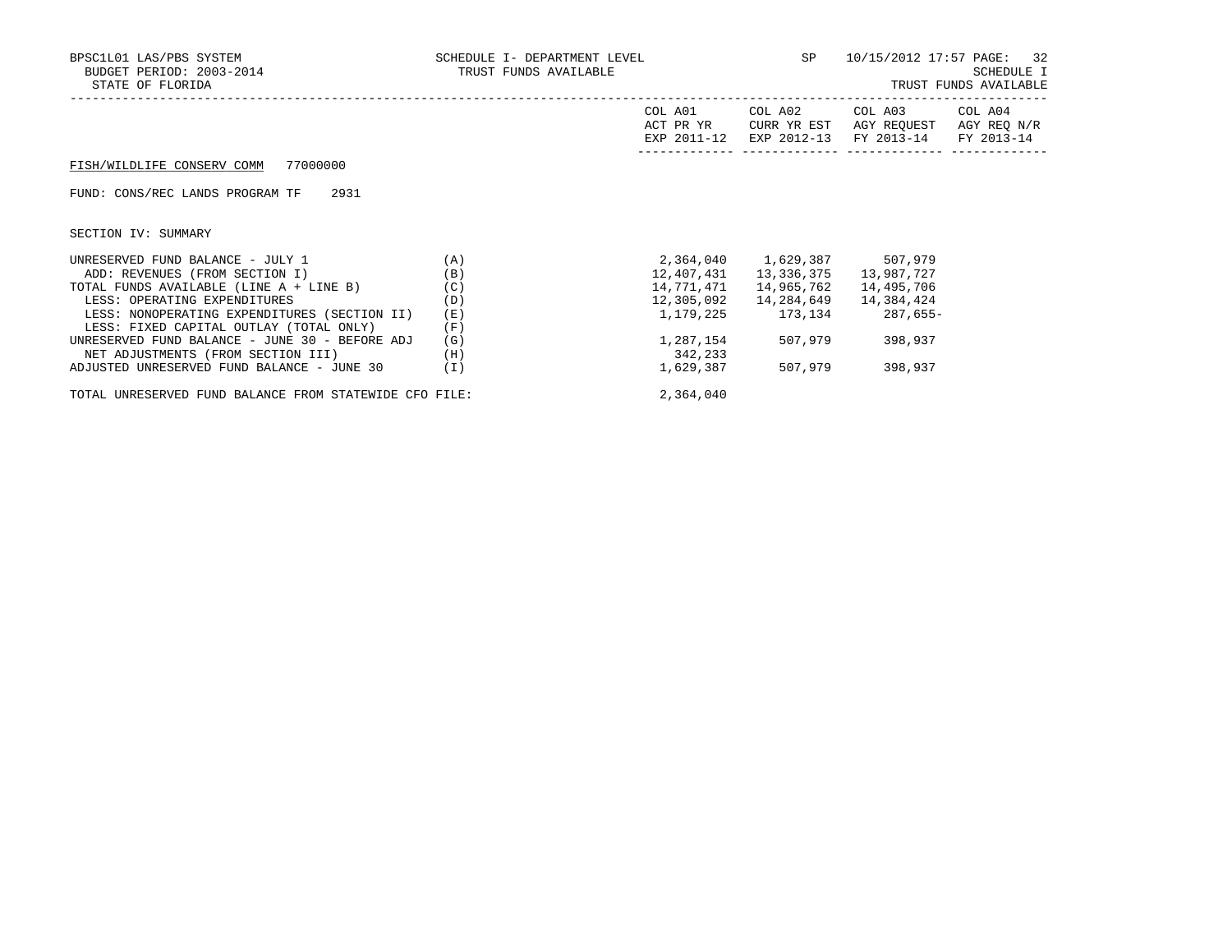| BPSC1L01 LAS/PBS SYSTEM<br>BUDGET PERIOD: 2003-2014<br>STATE OF FLORIDA | SCHEDULE I- DEPARTMENT LEVEL<br>TRUST FUNDS AVAILABLE |                                     | SP                                    | 10/15/2012 17:57 PAGE: 32<br>SCHEDULE I<br>TRUST FUNDS AVAILABLE |            |  |
|-------------------------------------------------------------------------|-------------------------------------------------------|-------------------------------------|---------------------------------------|------------------------------------------------------------------|------------|--|
|                                                                         |                                                       | COL A01<br>ACT PR YR<br>EXP 2011-12 | COL A02<br>CURR YR EST<br>EXP 2012-13 | COL A03 COL A04<br>AGY REOUEST AGY REO N/R<br>FY 2013-14         | FY 2013-14 |  |
| FISH/WILDLIFE CONSERV COMM 77000000                                     |                                                       |                                     |                                       |                                                                  |            |  |
| FUND: CONS/REC LANDS PROGRAM TF<br>2931                                 |                                                       |                                     |                                       |                                                                  |            |  |
| SECTION IV: SUMMARY                                                     |                                                       |                                     |                                       |                                                                  |            |  |
| UNRESERVED FUND BALANCE - JULY 1                                        | (A)                                                   |                                     | 2,364,040 1,629,387 507,979           |                                                                  |            |  |
| ADD: REVENUES (FROM SECTION I)                                          | (B)                                                   | 12,407,431                          | 13,336,375                            | 13,987,727                                                       |            |  |
| TOTAL FUNDS AVAILABLE (LINE A + LINE B)                                 | (C)                                                   | 14,771,471                          | 14,965,762                            | 14,495,706                                                       |            |  |
| LESS: OPERATING EXPENDITURES                                            | (D)                                                   | 12,305,092                          | 14,284,649                            | 14,384,424                                                       |            |  |
| LESS: NONOPERATING EXPENDITURES (SECTION II)                            | (E)                                                   |                                     |                                       | 1, 179, 225 173, 134 287, 655-                                   |            |  |
| LESS: FIXED CAPITAL OUTLAY (TOTAL ONLY)                                 | (F)                                                   |                                     |                                       |                                                                  |            |  |
| UNRESERVED FUND BALANCE - JUNE 30 - BEFORE ADJ                          | (G)                                                   | 1,287,154                           | 507,979                               | 398,937                                                          |            |  |
| NET ADJUSTMENTS (FROM SECTION III)                                      | (H)                                                   | 342,233                             |                                       |                                                                  |            |  |
| ADJUSTED UNRESERVED FUND BALANCE - JUNE 30                              | (I)                                                   | 1,629,387                           | 507,979                               | 398,937                                                          |            |  |

TOTAL UNRESERVED FUND BALANCE FROM STATEWIDE CFO FILE: 2,364,040